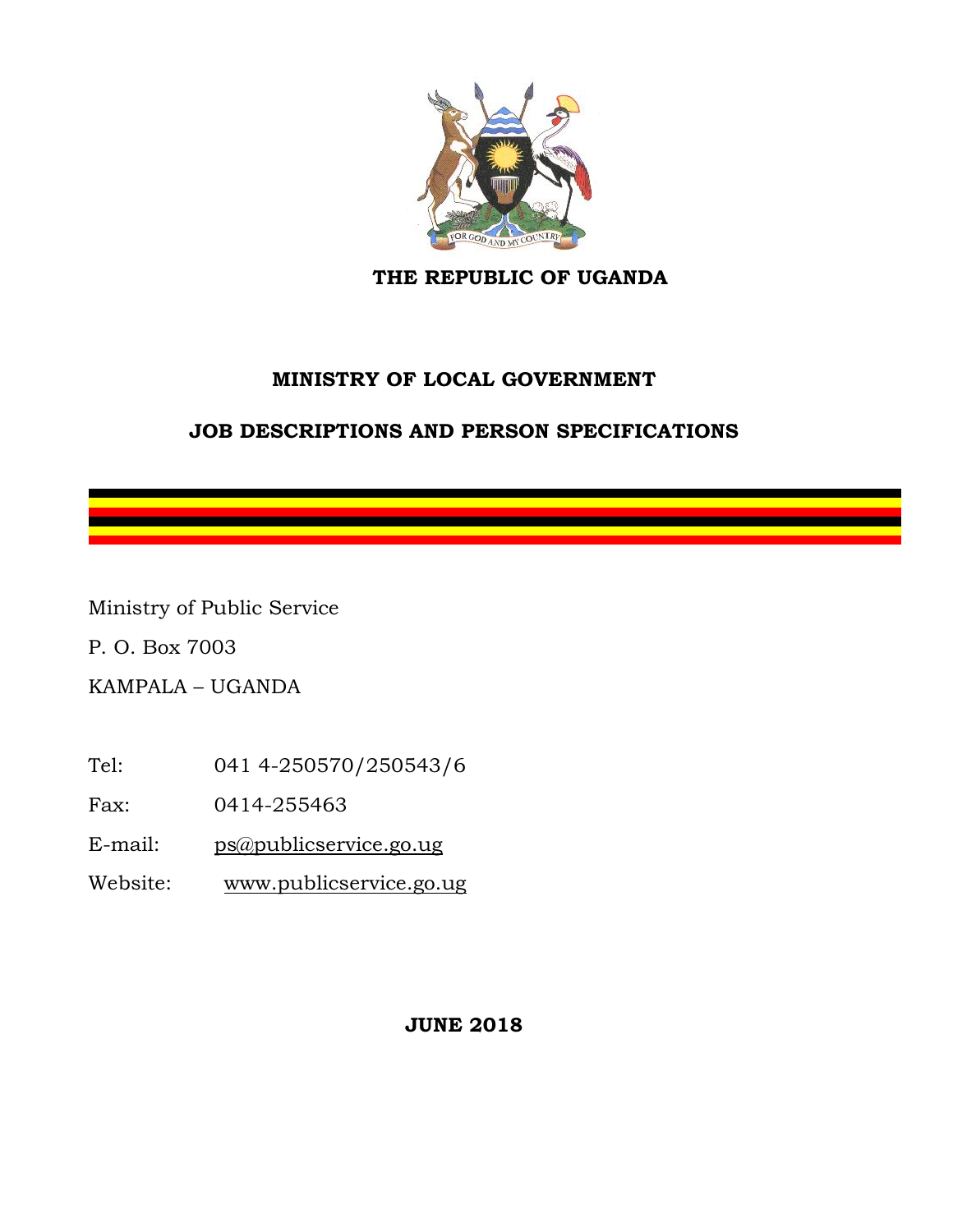

#### **THE REPUBLIC OF UGANDA**

# **MINISTRY OF LOCAL GOVERNMENT**

# **JOB DESCRIPTIONS AND PERSON SPECIFICATIONS**

Ministry of Public Service

P. O. Box 7003

KAMPALA – UGANDA

Tel: 041 4-250570/250543/6

Fax: 0414-255463

E-mail: [ps@publicservice.go.ug](mailto:ps@publivservice.go.ug)

Website: [www.publicservice.go.ug](http://www.publicservice.go.ug/)

**JUNE 2018**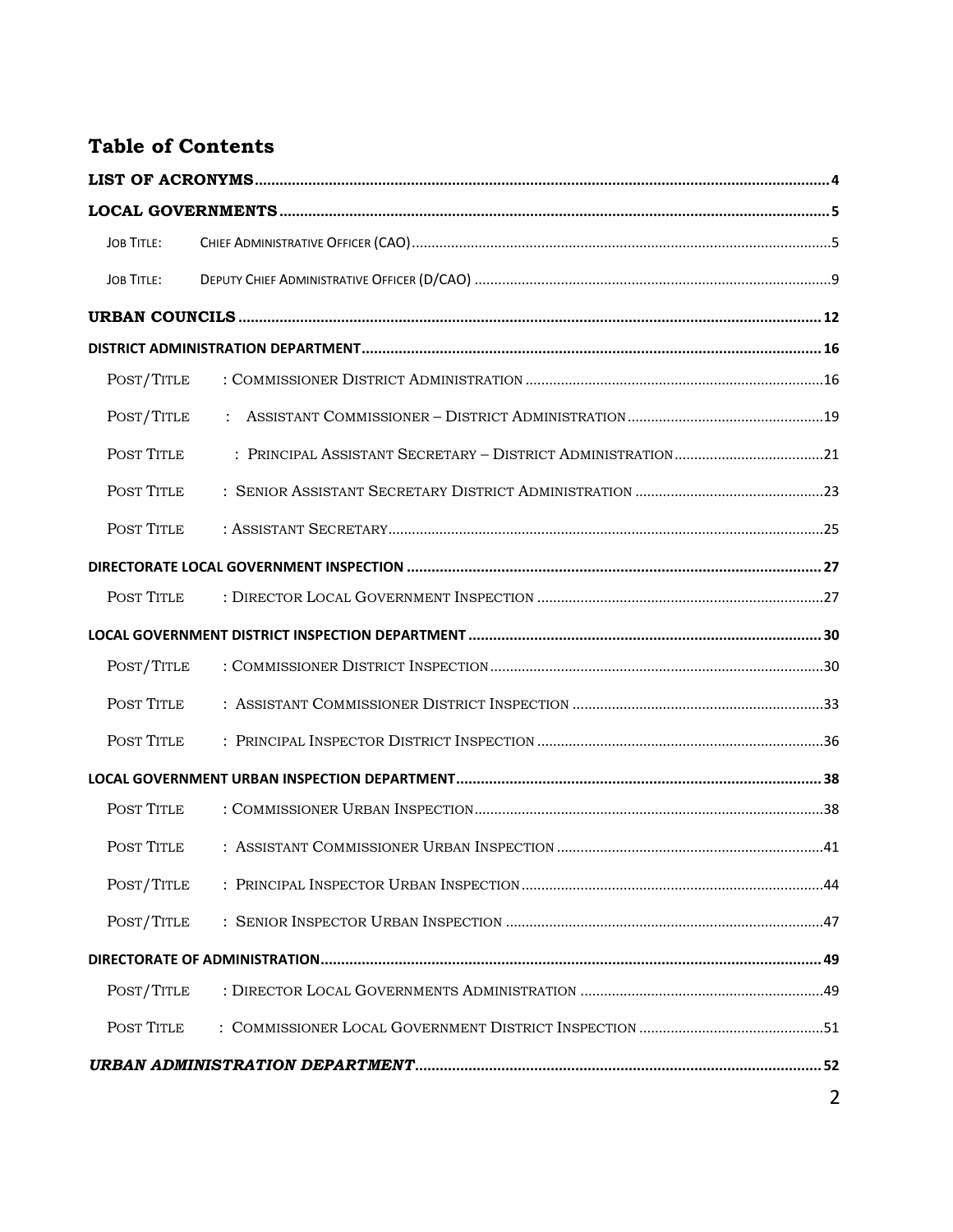# **Table of Contents**

| <b>JOB TITLE:</b> |               |                |  |
|-------------------|---------------|----------------|--|
| <b>JOB TITLE:</b> |               |                |  |
|                   |               |                |  |
|                   |               |                |  |
| POST/TITLE        |               |                |  |
| POST/TITLE        | $\mathcal{L}$ |                |  |
| <b>POST TITLE</b> |               |                |  |
| POST TITLE        |               |                |  |
| POST TITLE        |               |                |  |
|                   |               |                |  |
| POST TITLE        |               |                |  |
|                   |               |                |  |
| POST/TITLE        |               |                |  |
| <b>POST TITLE</b> |               |                |  |
| <b>POST TITLE</b> |               |                |  |
|                   |               |                |  |
| <b>POST TITLE</b> |               |                |  |
| <b>POST TITLE</b> |               |                |  |
| POST/TITLE        |               |                |  |
| POST/TITLE        |               |                |  |
|                   |               |                |  |
| POST/TITLE        |               |                |  |
| POST TITLE        |               |                |  |
|                   |               |                |  |
|                   |               | $\overline{2}$ |  |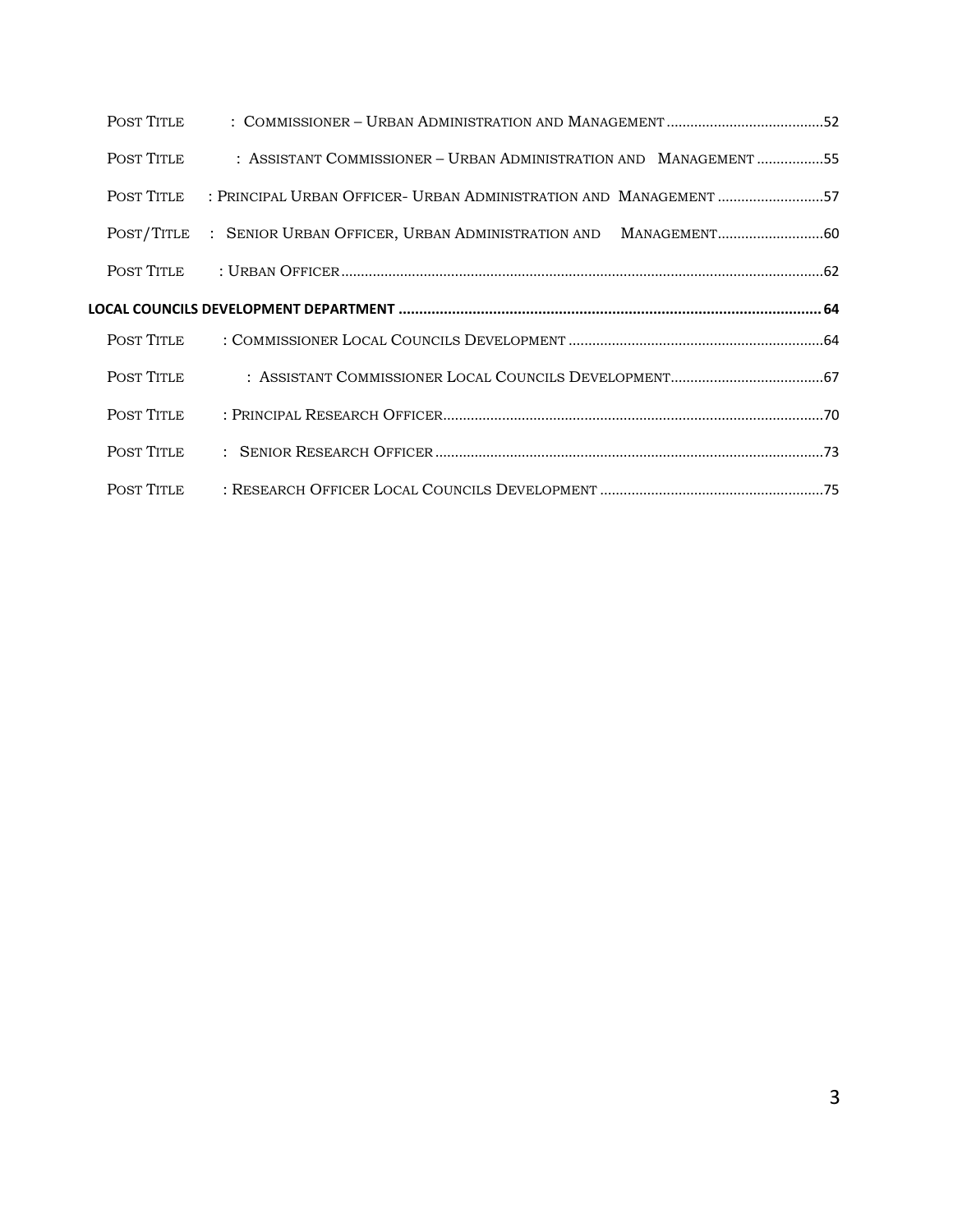| POST TITLE |                                                                           |  |
|------------|---------------------------------------------------------------------------|--|
| POST TITLE | : ASSISTANT COMMISSIONER - URBAN ADMINISTRATION AND MANAGEMENT 55         |  |
| POST TITLE | : PRINCIPAL URBAN OFFICER- URBAN ADMINISTRATION AND MANAGEMENT 57         |  |
|            | POST/TITLE : SENIOR URBAN OFFICER, URBAN ADMINISTRATION AND MANAGEMENT 60 |  |
|            |                                                                           |  |
|            |                                                                           |  |
| POST TITLE |                                                                           |  |
| POST TITLE |                                                                           |  |
| POST TITLE |                                                                           |  |
| POST TITLE |                                                                           |  |
| POST TITLE |                                                                           |  |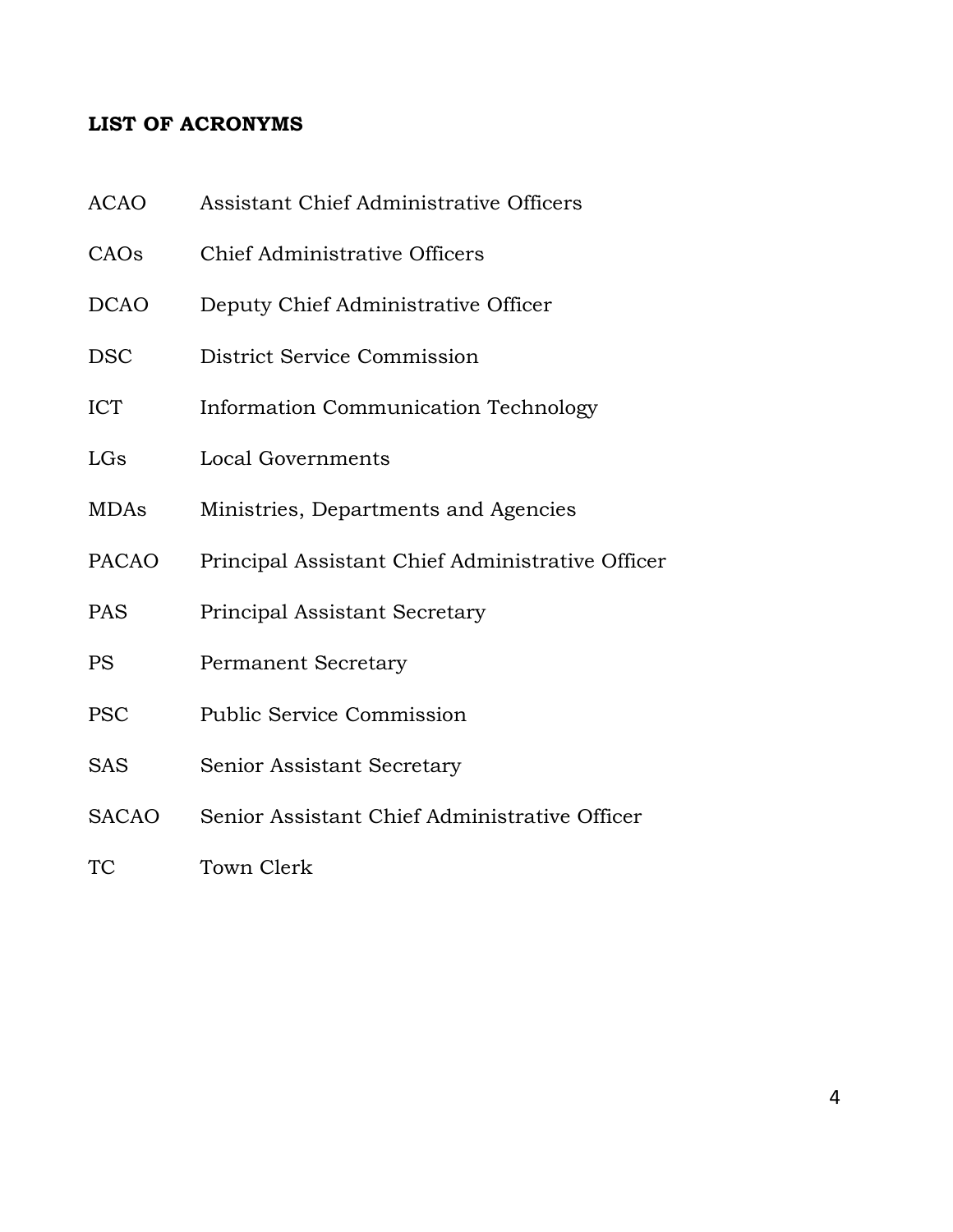#### <span id="page-3-0"></span>**LIST OF ACRONYMS**

- ACAO Assistant Chief Administrative Officers
- CAOs Chief Administrative Officers
- DCAO Deputy Chief Administrative Officer
- DSC District Service Commission
- ICT Information Communication Technology
- LGs Local Governments
- MDAs Ministries, Departments and Agencies
- PACAO Principal Assistant Chief Administrative Officer
- PAS Principal Assistant Secretary
- PS Permanent Secretary
- PSC Public Service Commission
- SAS Senior Assistant Secretary
- SACAO Senior Assistant Chief Administrative Officer
- TC Town Clerk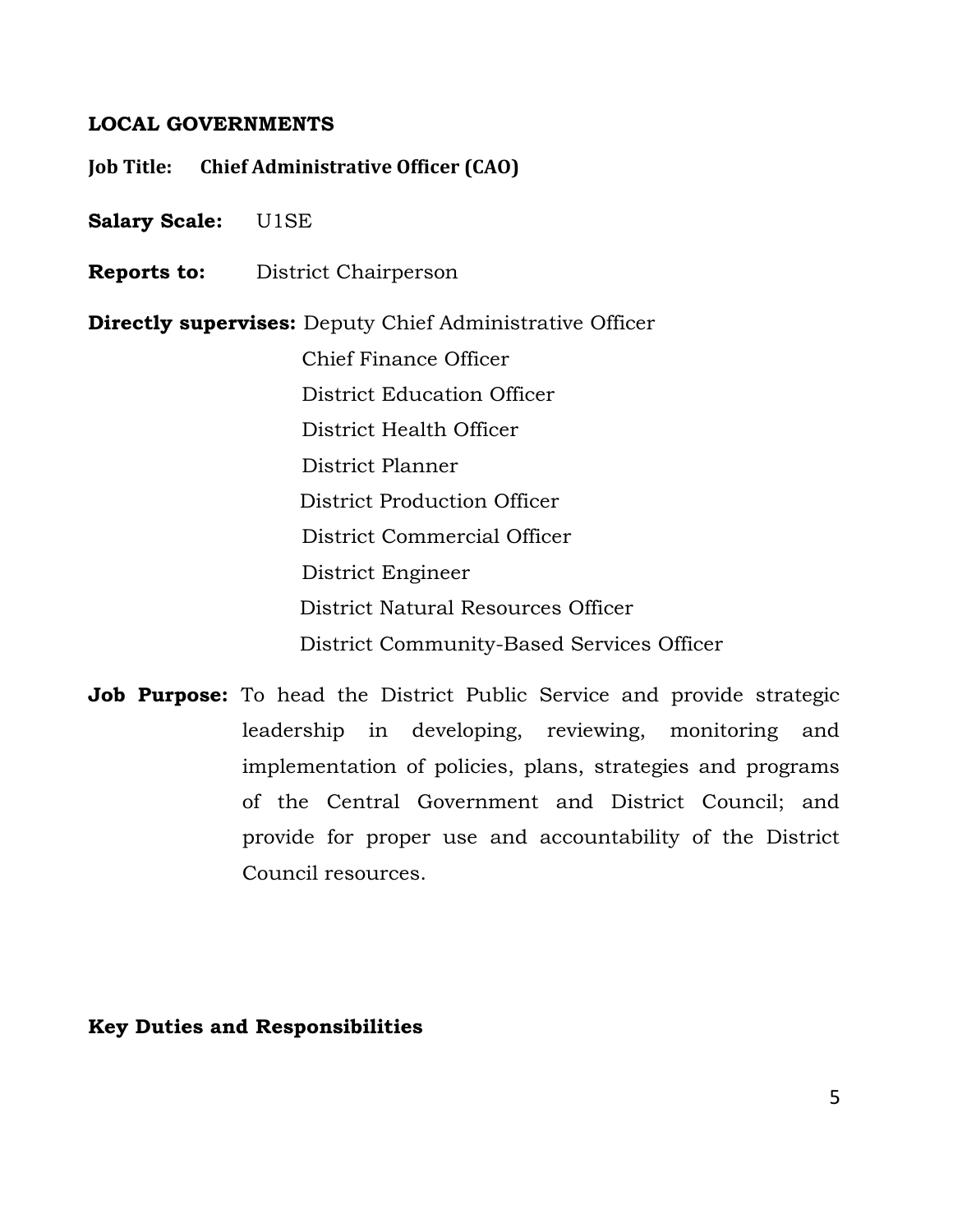#### <span id="page-4-0"></span>**LOCAL GOVERNMENTS**

<span id="page-4-1"></span>**Job Title: Chief Administrative Officer (CAO)** 

**Salary Scale:** U1SE

**Reports to:** District Chairperson

**Directly supervises:** Deputy Chief Administrative Officer

 Chief Finance Officer District Education Officer District Health Officer District Planner District Production Officer District Commercial Officer District Engineer District Natural Resources Officer District Community-Based Services Officer

**Job Purpose:** To head the District Public Service and provide strategic leadership in developing, reviewing, monitoring and implementation of policies, plans, strategies and programs of the Central Government and District Council; and provide for proper use and accountability of the District Council resources.

**Key Duties and Responsibilities**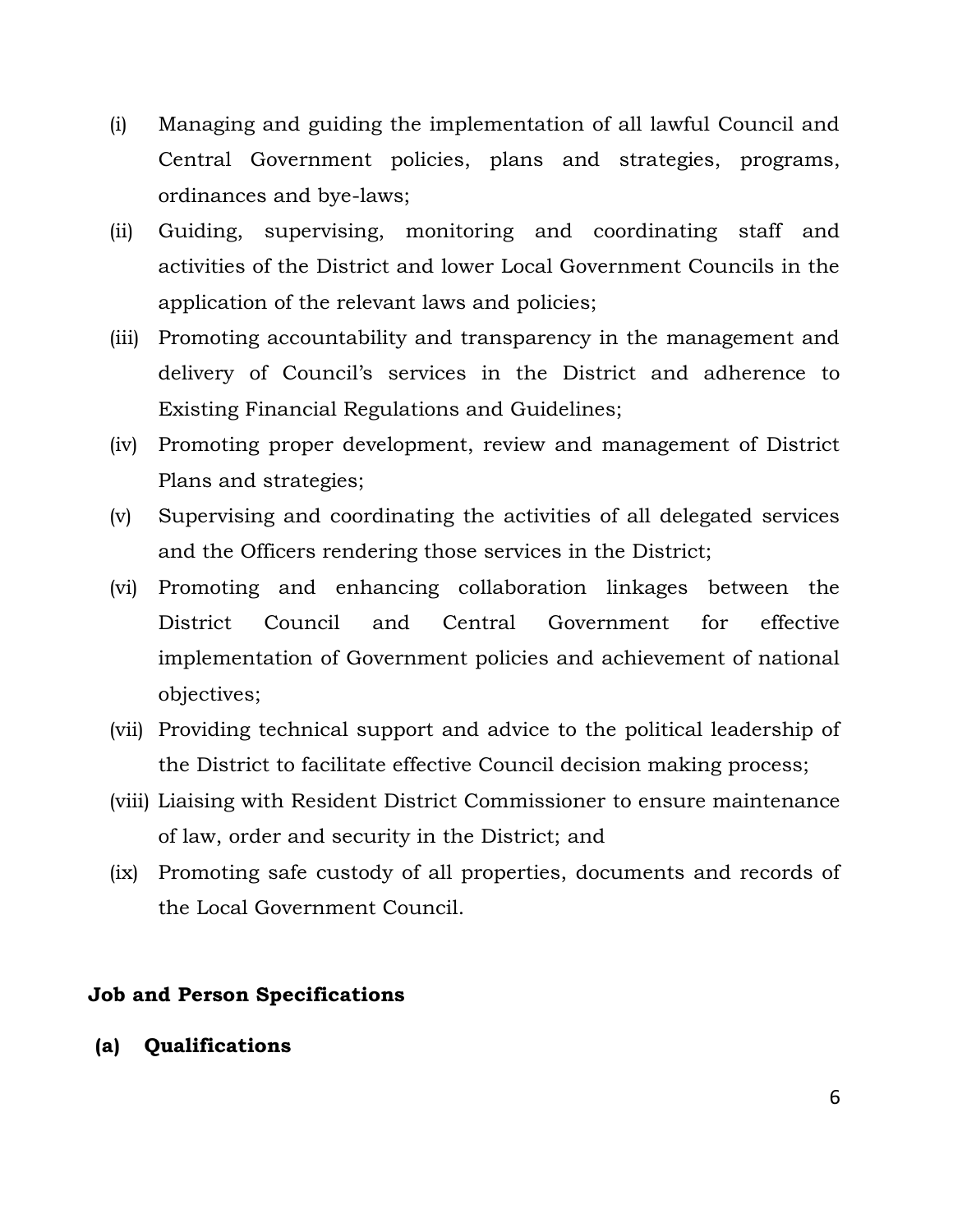- (i) Managing and guiding the implementation of all lawful Council and Central Government policies, plans and strategies, programs, ordinances and bye-laws;
- (ii) Guiding, supervising, monitoring and coordinating staff and activities of the District and lower Local Government Councils in the application of the relevant laws and policies;
- (iii) Promoting accountability and transparency in the management and delivery of Council's services in the District and adherence to Existing Financial Regulations and Guidelines;
- (iv) Promoting proper development, review and management of District Plans and strategies;
- (v) Supervising and coordinating the activities of all delegated services and the Officers rendering those services in the District;
- (vi) Promoting and enhancing collaboration linkages between the District Council and Central Government for effective implementation of Government policies and achievement of national objectives;
- (vii) Providing technical support and advice to the political leadership of the District to facilitate effective Council decision making process;
- (viii) Liaising with Resident District Commissioner to ensure maintenance of law, order and security in the District; and
- (ix) Promoting safe custody of all properties, documents and records of the Local Government Council.

#### **Job and Person Specifications**

**(a) Qualifications**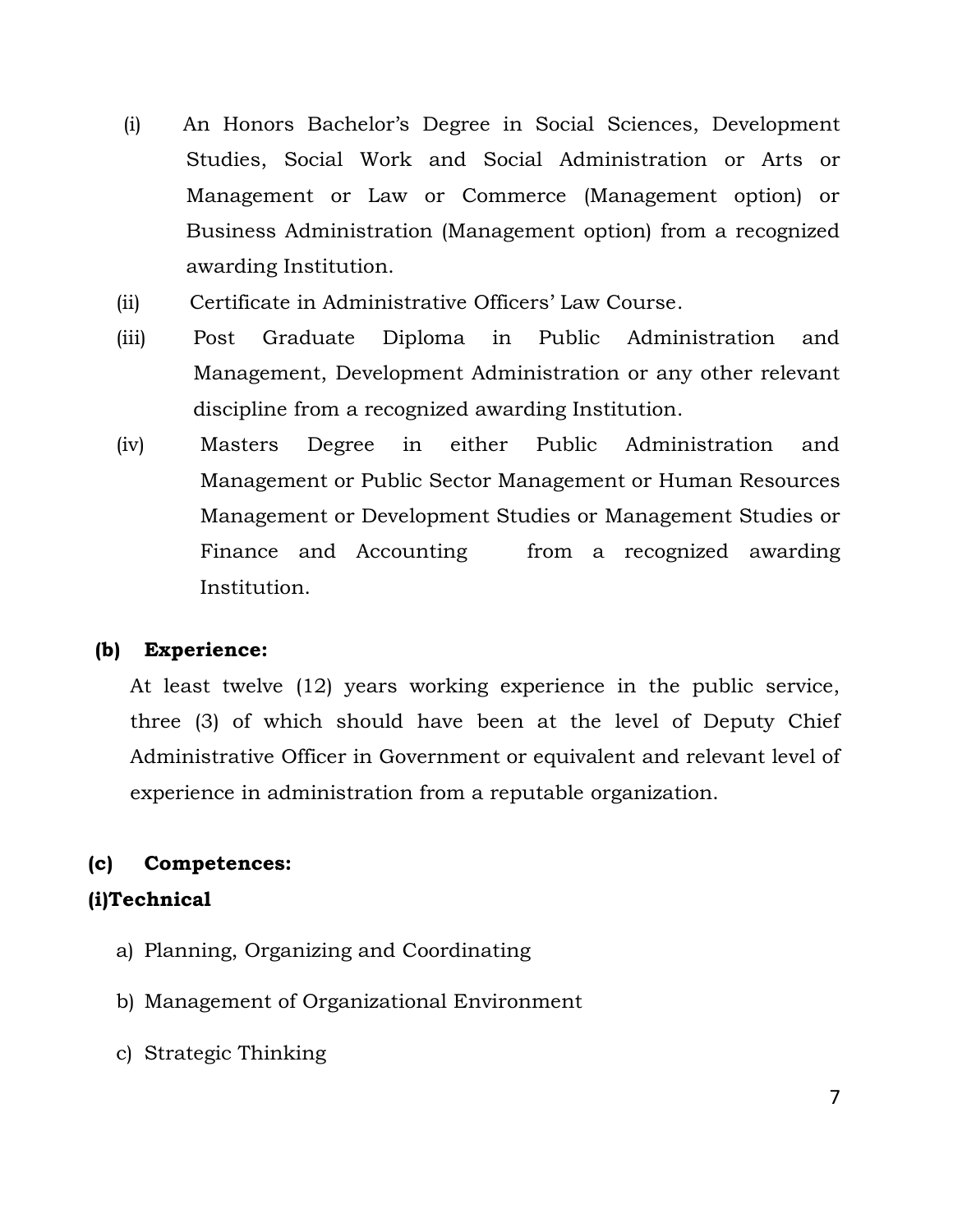- (i) An Honors Bachelor's Degree in Social Sciences, Development Studies, Social Work and Social Administration or Arts or Management or Law or Commerce (Management option) or Business Administration (Management option) from a recognized awarding Institution.
- (ii) Certificate in Administrative Officers' Law Course.
- (iii) Post Graduate Diploma in Public Administration and Management, Development Administration or any other relevant discipline from a recognized awarding Institution.
- (iv) Masters Degree in either Public Administration and Management or Public Sector Management or Human Resources Management or Development Studies or Management Studies or Finance and Accounting from a recognized awarding Institution.

# **(b) Experience:**

At least twelve (12) years working experience in the public service, three (3) of which should have been at the level of Deputy Chief Administrative Officer in Government or equivalent and relevant level of experience in administration from a reputable organization.

# **(c) Competences:**

# **(i)Technical**

- a) Planning, Organizing and Coordinating
- b) Management of Organizational Environment
- c) Strategic Thinking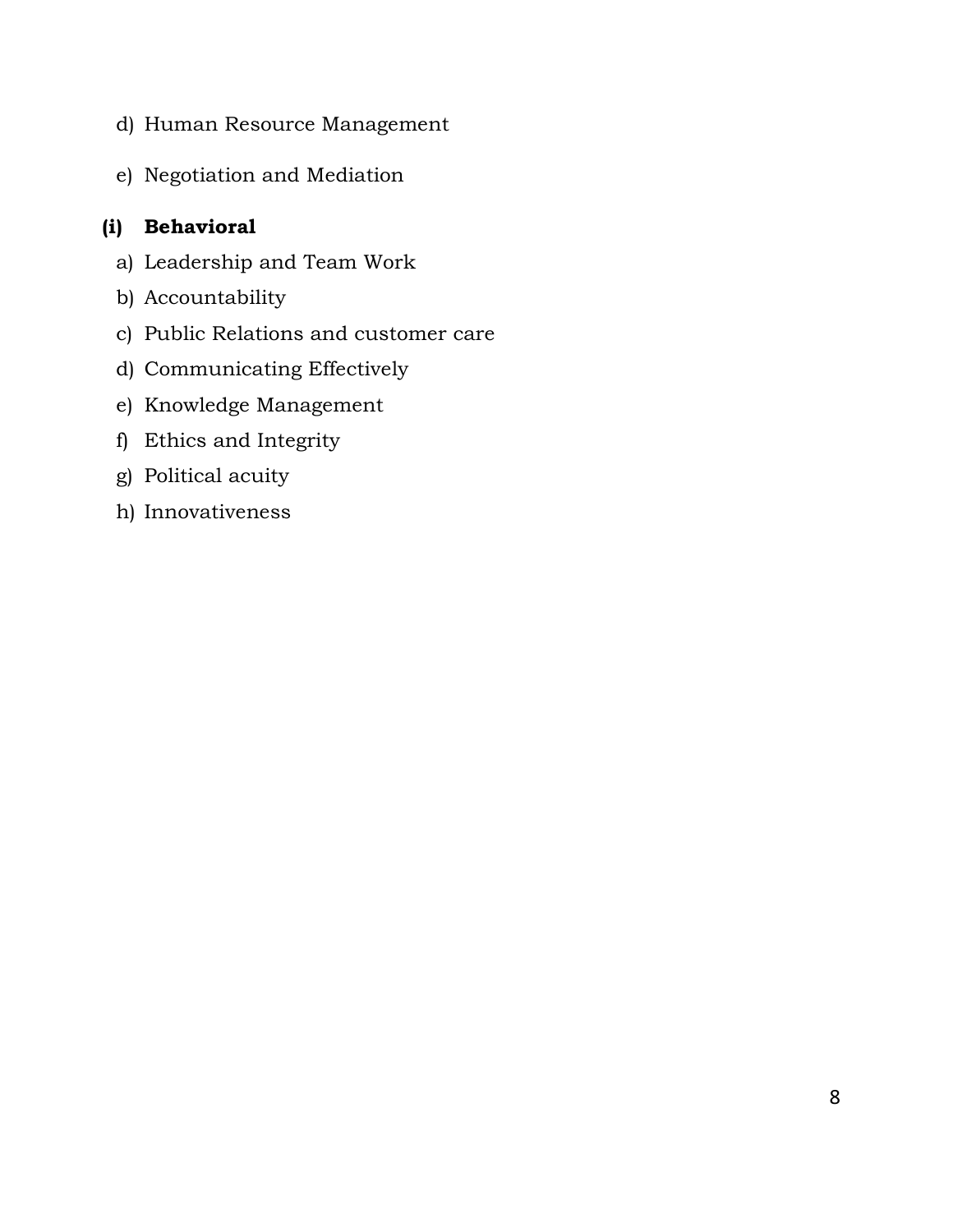- d) Human Resource Management
- e) Negotiation and Mediation

# **(i) Behavioral**

- a) Leadership and Team Work
- b) Accountability
- c) Public Relations and customer care
- d) Communicating Effectively
- e) Knowledge Management
- f) Ethics and Integrity
- g) Political acuity
- h) Innovativeness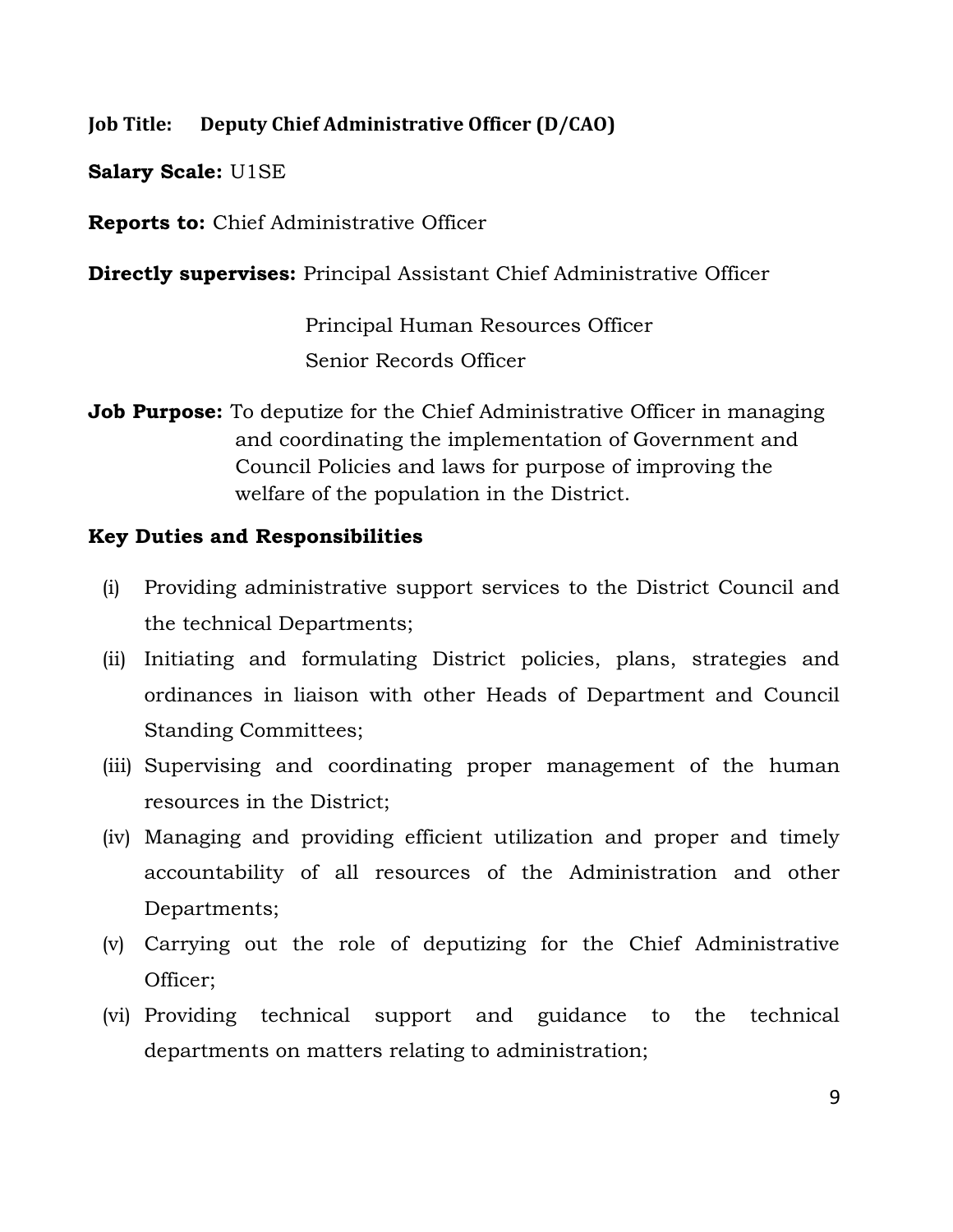<span id="page-8-0"></span>**Job Title: Deputy Chief Administrative Officer (D/CAO)**

**Salary Scale:** U1SE

**Reports to:** Chief Administrative Officer

**Directly supervises:** Principal Assistant Chief Administrative Officer

Principal Human Resources Officer Senior Records Officer

**Job Purpose:** To deputize for the Chief Administrative Officer in managing and coordinating the implementation of Government and Council Policies and laws for purpose of improving the welfare of the population in the District.

# **Key Duties and Responsibilities**

- (i) Providing administrative support services to the District Council and the technical Departments;
- (ii) Initiating and formulating District policies, plans, strategies and ordinances in liaison with other Heads of Department and Council Standing Committees;
- (iii) Supervising and coordinating proper management of the human resources in the District;
- (iv) Managing and providing efficient utilization and proper and timely accountability of all resources of the Administration and other Departments;
- (v) Carrying out the role of deputizing for the Chief Administrative Officer;
- (vi) Providing technical support and guidance to the technical departments on matters relating to administration;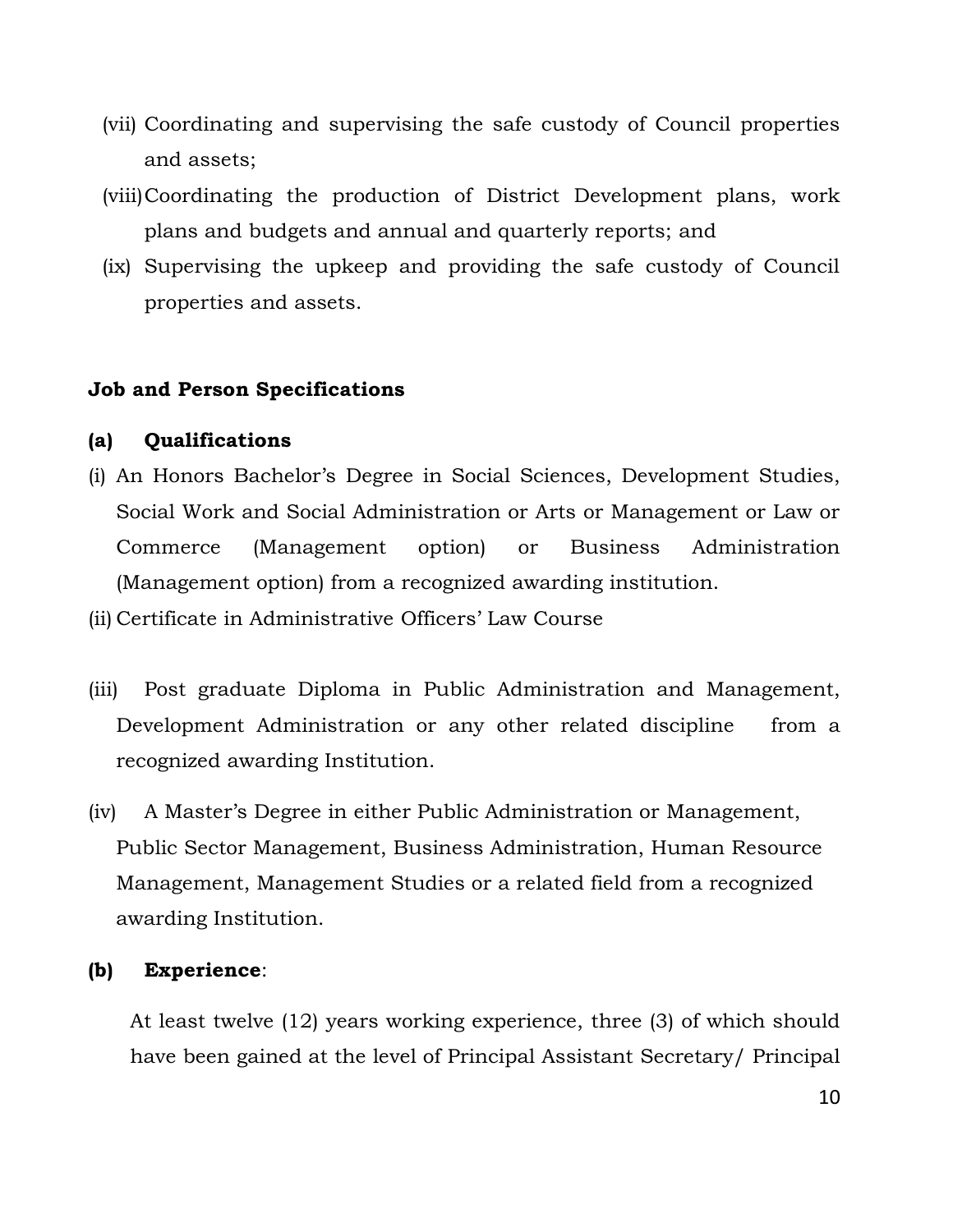- (vii) Coordinating and supervising the safe custody of Council properties and assets;
- (viii)Coordinating the production of District Development plans, work plans and budgets and annual and quarterly reports; and
- (ix) Supervising the upkeep and providing the safe custody of Council properties and assets.

#### **Job and Person Specifications**

#### **(a) Qualifications**

- (i) An Honors Bachelor's Degree in Social Sciences, Development Studies, Social Work and Social Administration or Arts or Management or Law or Commerce (Management option) or Business Administration (Management option) from a recognized awarding institution.
- (ii) Certificate in Administrative Officers' Law Course
- (iii) Post graduate Diploma in Public Administration and Management, Development Administration or any other related discipline from a recognized awarding Institution.
- (iv) A Master's Degree in either Public Administration or Management, Public Sector Management, Business Administration, Human Resource Management, Management Studies or a related field from a recognized awarding Institution.

#### **(b) Experience**:

At least twelve (12) years working experience, three (3) of which should have been gained at the level of Principal Assistant Secretary/ Principal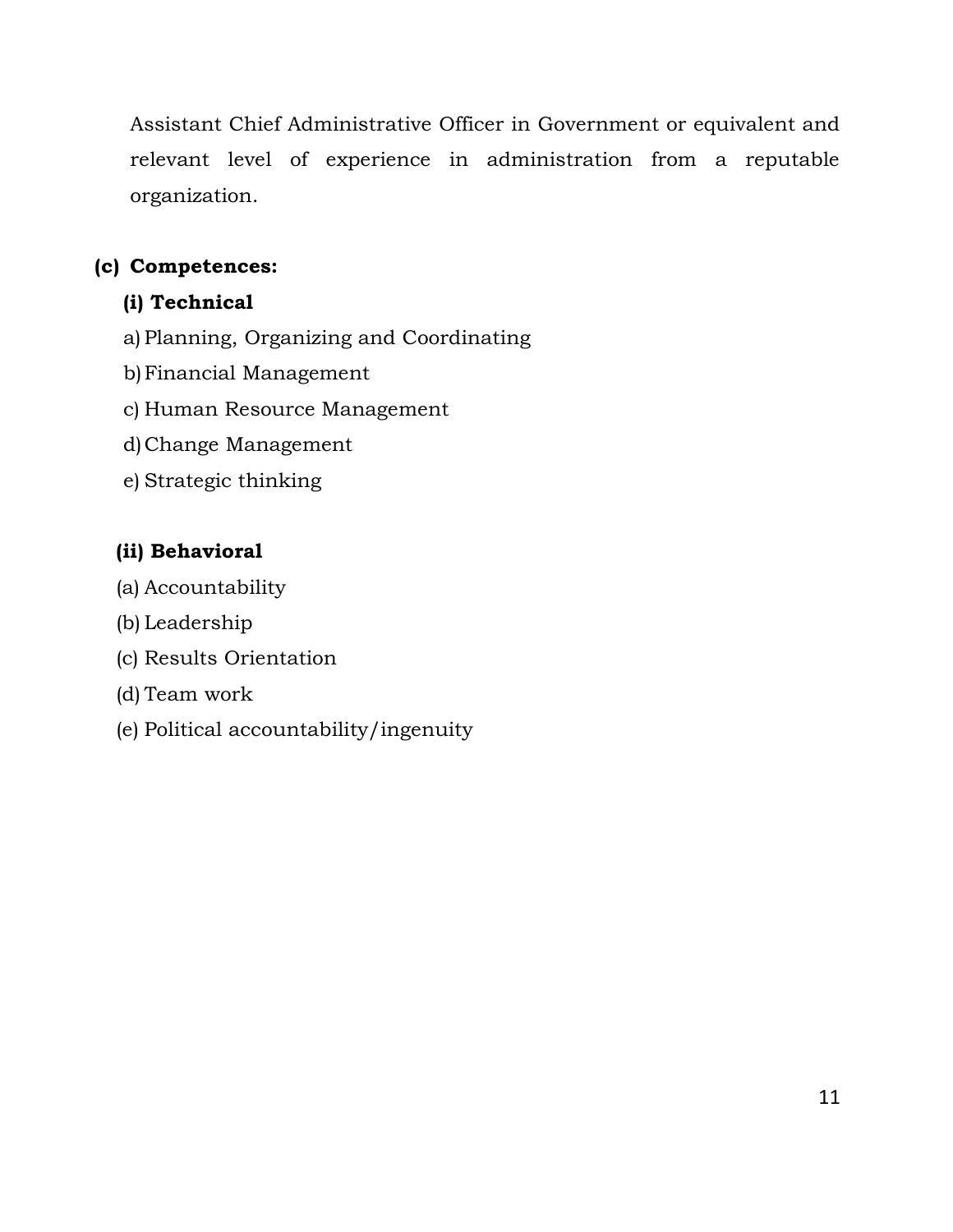Assistant Chief Administrative Officer in Government or equivalent and relevant level of experience in administration from a reputable organization.

# **(c) Competences:**

# **(i) Technical**

- a)Planning, Organizing and Coordinating
- b)Financial Management
- c) Human Resource Management
- d)Change Management
- e) Strategic thinking

# **(ii) Behavioral**

- (a) Accountability
- (b) Leadership
- (c) Results Orientation
- (d) Team work
- (e) Political accountability/ingenuity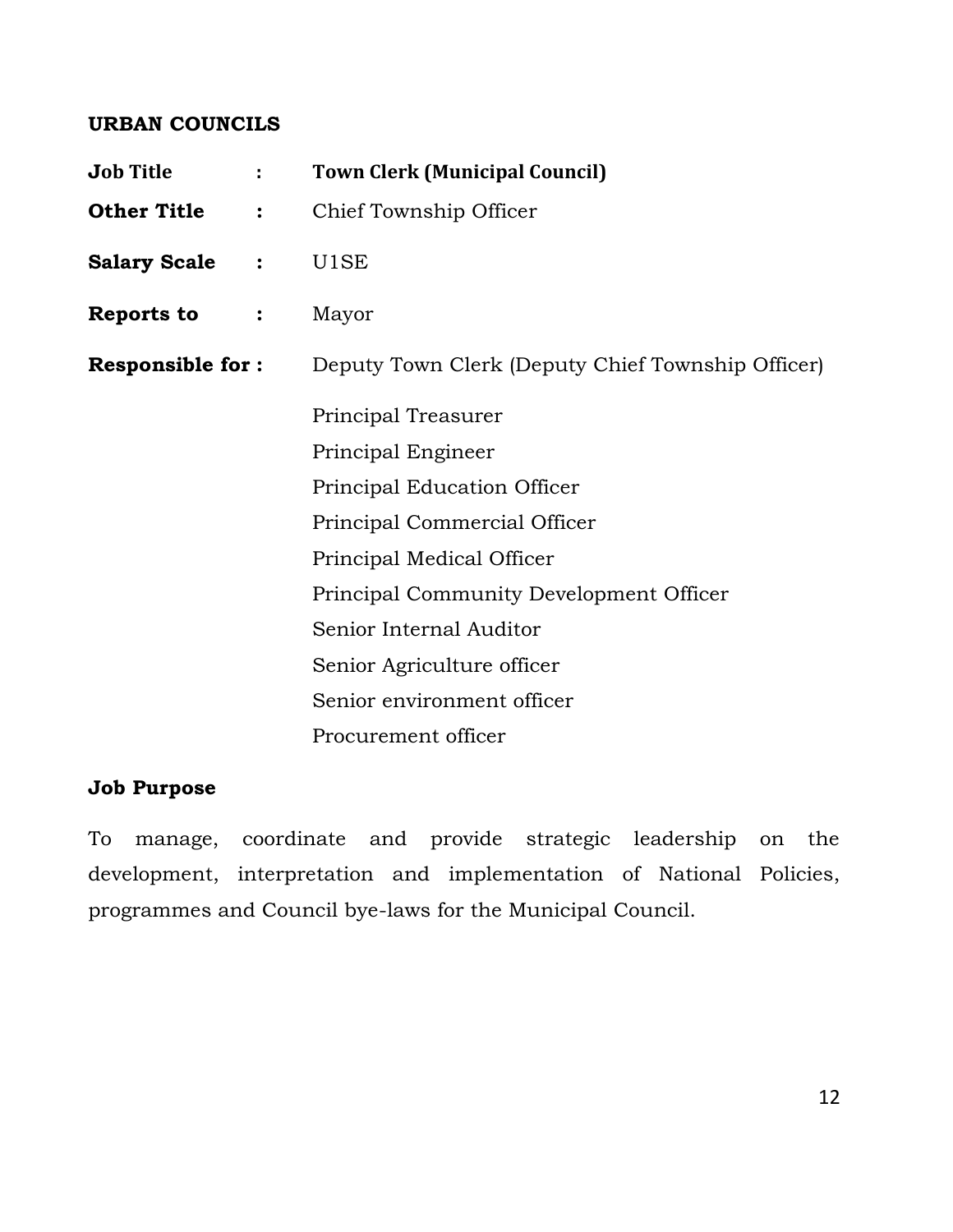# <span id="page-11-0"></span>**URBAN COUNCILS**

| <b>Job Title</b><br>÷.                      | <b>Town Clerk (Municipal Council)</b>             |
|---------------------------------------------|---------------------------------------------------|
| <b>Other Title</b><br>$\ddot{\bullet}$      | Chief Township Officer                            |
| <b>Salary Scale</b><br>$\ddot{\phantom{1}}$ | U1SE                                              |
| Reports to :                                | Mayor                                             |
| <b>Responsible for:</b>                     | Deputy Town Clerk (Deputy Chief Township Officer) |
|                                             | Principal Treasurer                               |
|                                             | Principal Engineer                                |
|                                             | Principal Education Officer                       |
|                                             | Principal Commercial Officer                      |
|                                             | Principal Medical Officer                         |
|                                             | <b>Principal Community Development Officer</b>    |
|                                             | Senior Internal Auditor                           |
|                                             | Senior Agriculture officer                        |
|                                             | Senior environment officer                        |
|                                             | Procurement officer                               |

#### **Job Purpose**

To manage, coordinate and provide strategic leadership on the development, interpretation and implementation of National Policies, programmes and Council bye-laws for the Municipal Council.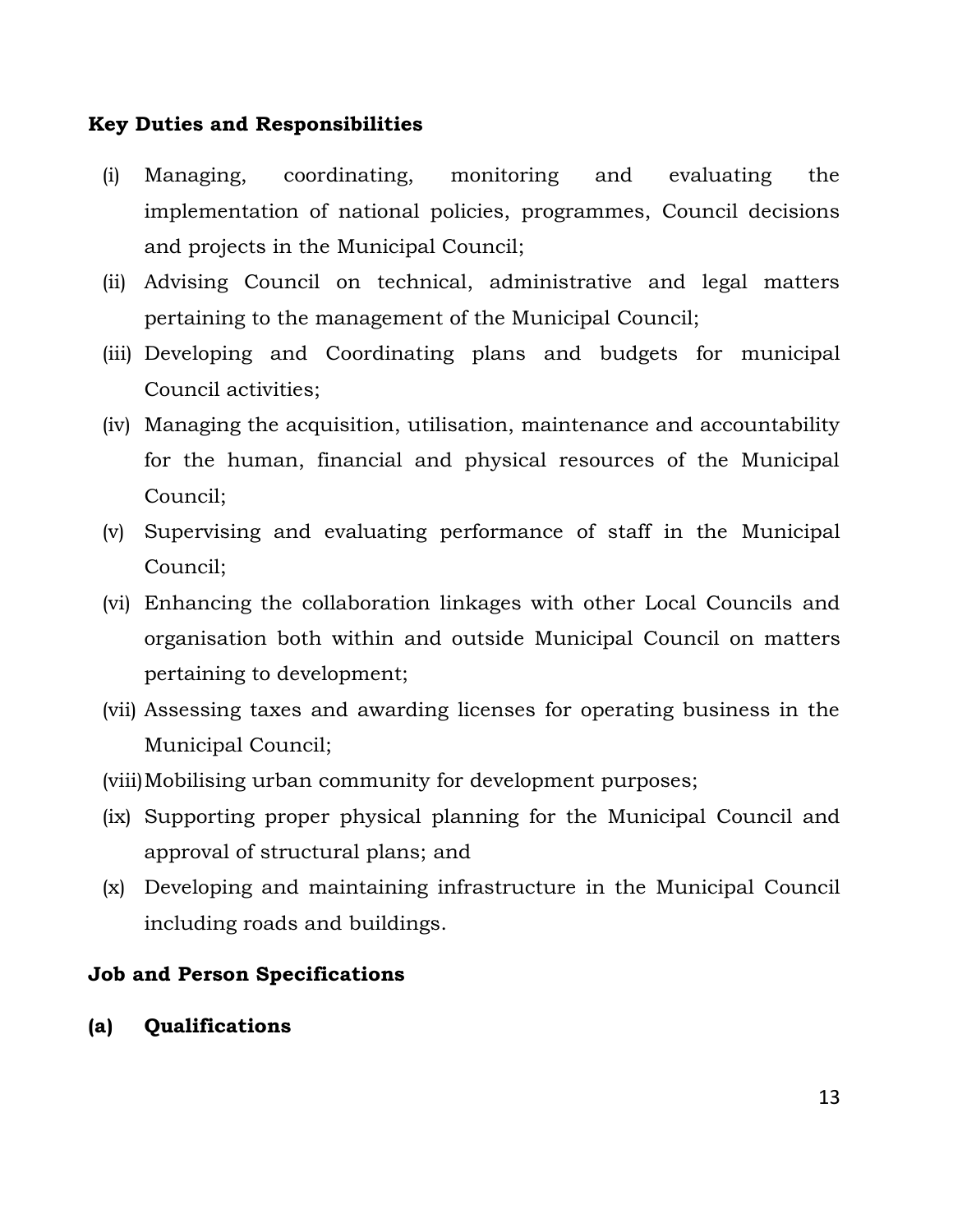#### **Key Duties and Responsibilities**

- (i) Managing, coordinating, monitoring and evaluating the implementation of national policies, programmes, Council decisions and projects in the Municipal Council;
- (ii) Advising Council on technical, administrative and legal matters pertaining to the management of the Municipal Council;
- (iii) Developing and Coordinating plans and budgets for municipal Council activities;
- (iv) Managing the acquisition, utilisation, maintenance and accountability for the human, financial and physical resources of the Municipal Council;
- (v) Supervising and evaluating performance of staff in the Municipal Council;
- (vi) Enhancing the collaboration linkages with other Local Councils and organisation both within and outside Municipal Council on matters pertaining to development;
- (vii) Assessing taxes and awarding licenses for operating business in the Municipal Council;
- (viii)Mobilising urban community for development purposes;
- (ix) Supporting proper physical planning for the Municipal Council and approval of structural plans; and
- (x) Developing and maintaining infrastructure in the Municipal Council including roads and buildings.

#### **Job and Person Specifications**

**(a) Qualifications**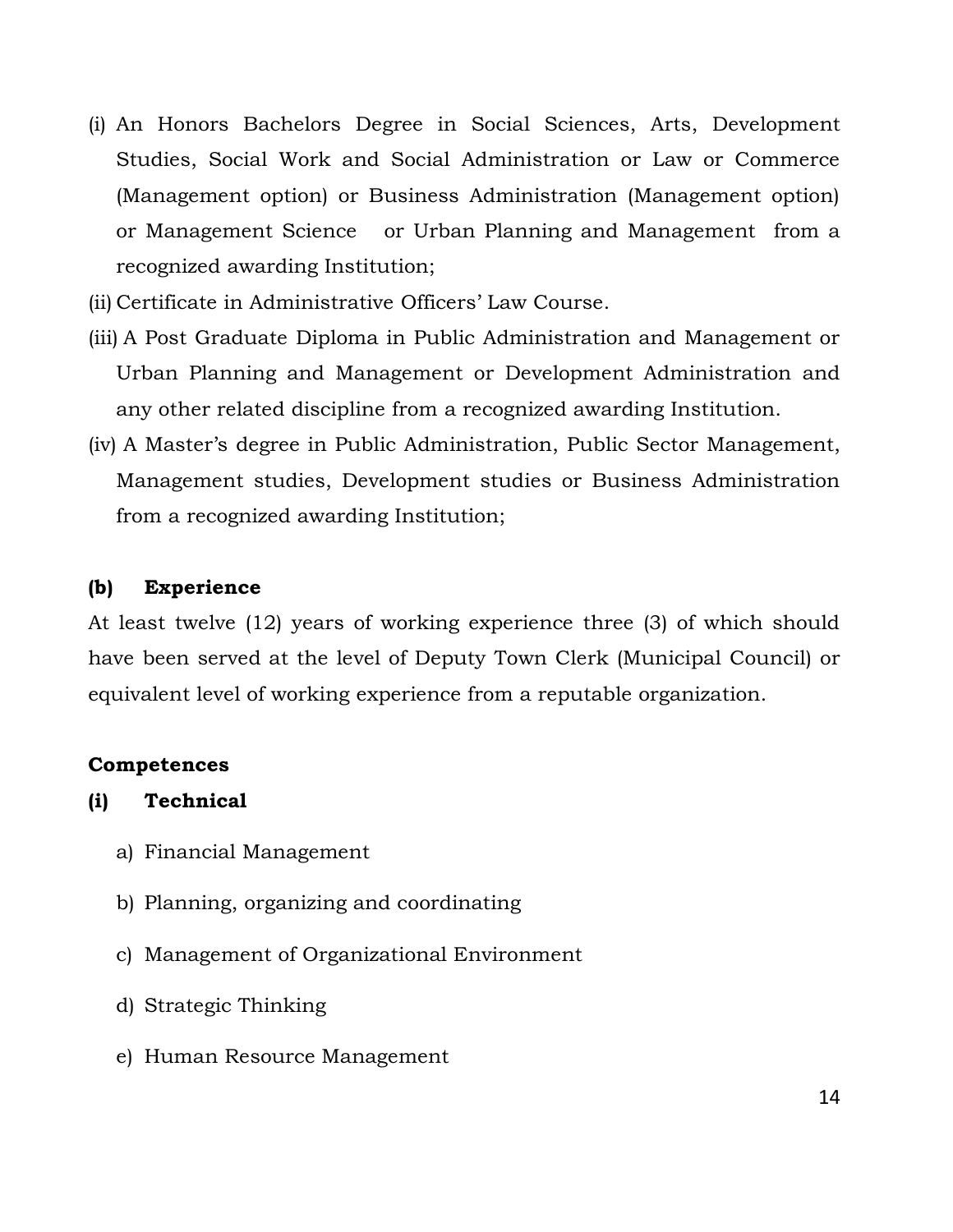- (i) An Honors Bachelors Degree in Social Sciences, Arts, Development Studies, Social Work and Social Administration or Law or Commerce (Management option) or Business Administration (Management option) or Management Science or Urban Planning and Management from a recognized awarding Institution;
- (ii) Certificate in Administrative Officers' Law Course.
- (iii) A Post Graduate Diploma in Public Administration and Management or Urban Planning and Management or Development Administration and any other related discipline from a recognized awarding Institution.
- (iv) A Master's degree in Public Administration, Public Sector Management, Management studies, Development studies or Business Administration from a recognized awarding Institution;

### **(b) Experience**

At least twelve (12) years of working experience three (3) of which should have been served at the level of Deputy Town Clerk (Municipal Council) or equivalent level of working experience from a reputable organization.

# **Competences**

#### **(i) Technical**

- a) Financial Management
- b) Planning, organizing and coordinating
- c) Management of Organizational Environment
- d) Strategic Thinking
- e) Human Resource Management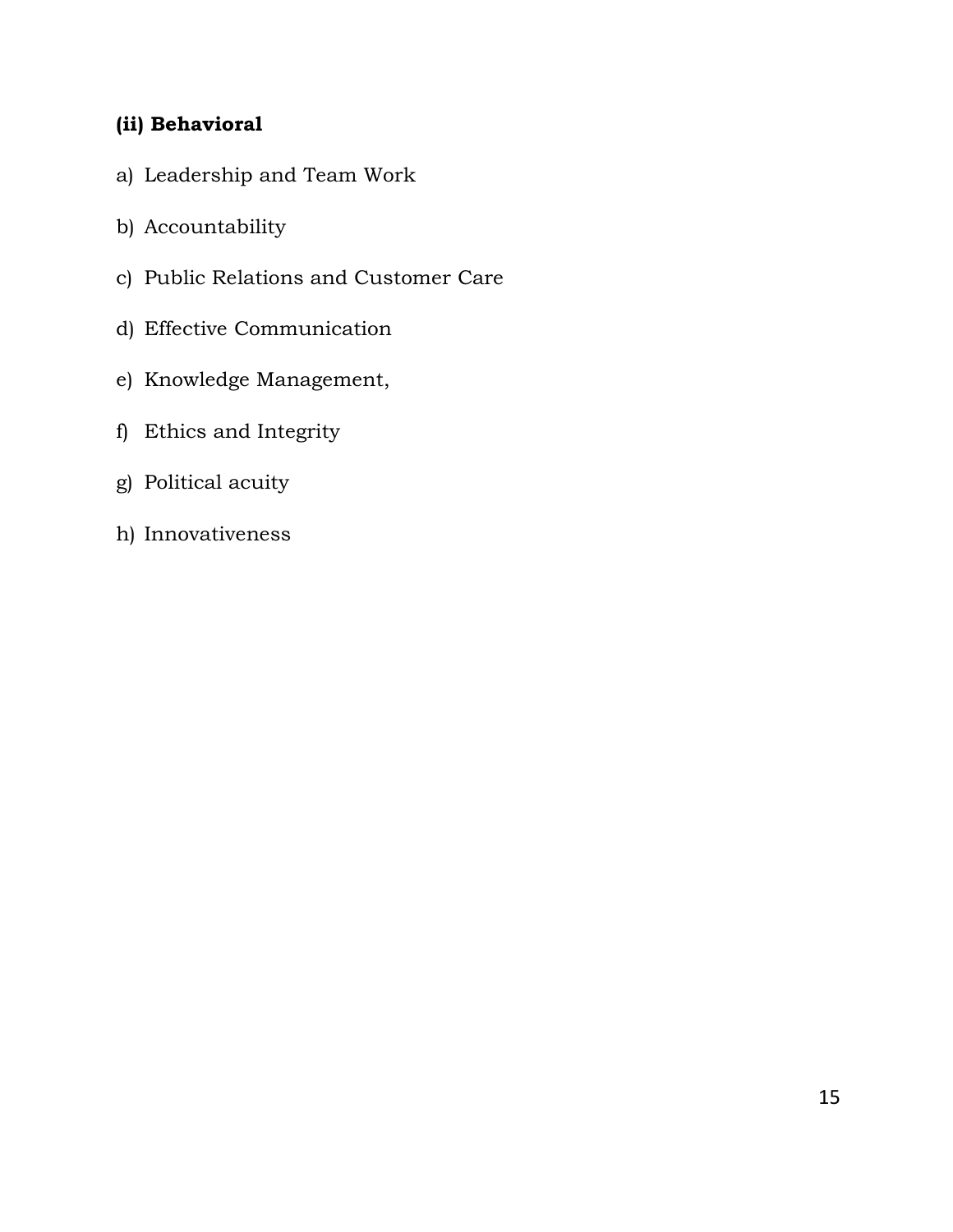# **(ii) Behavioral**

- a) Leadership and Team Work
- b) Accountability
- c) Public Relations and Customer Care
- d) Effective Communication
- e) Knowledge Management,
- f) Ethics and Integrity
- g) Political acuity
- h) Innovativeness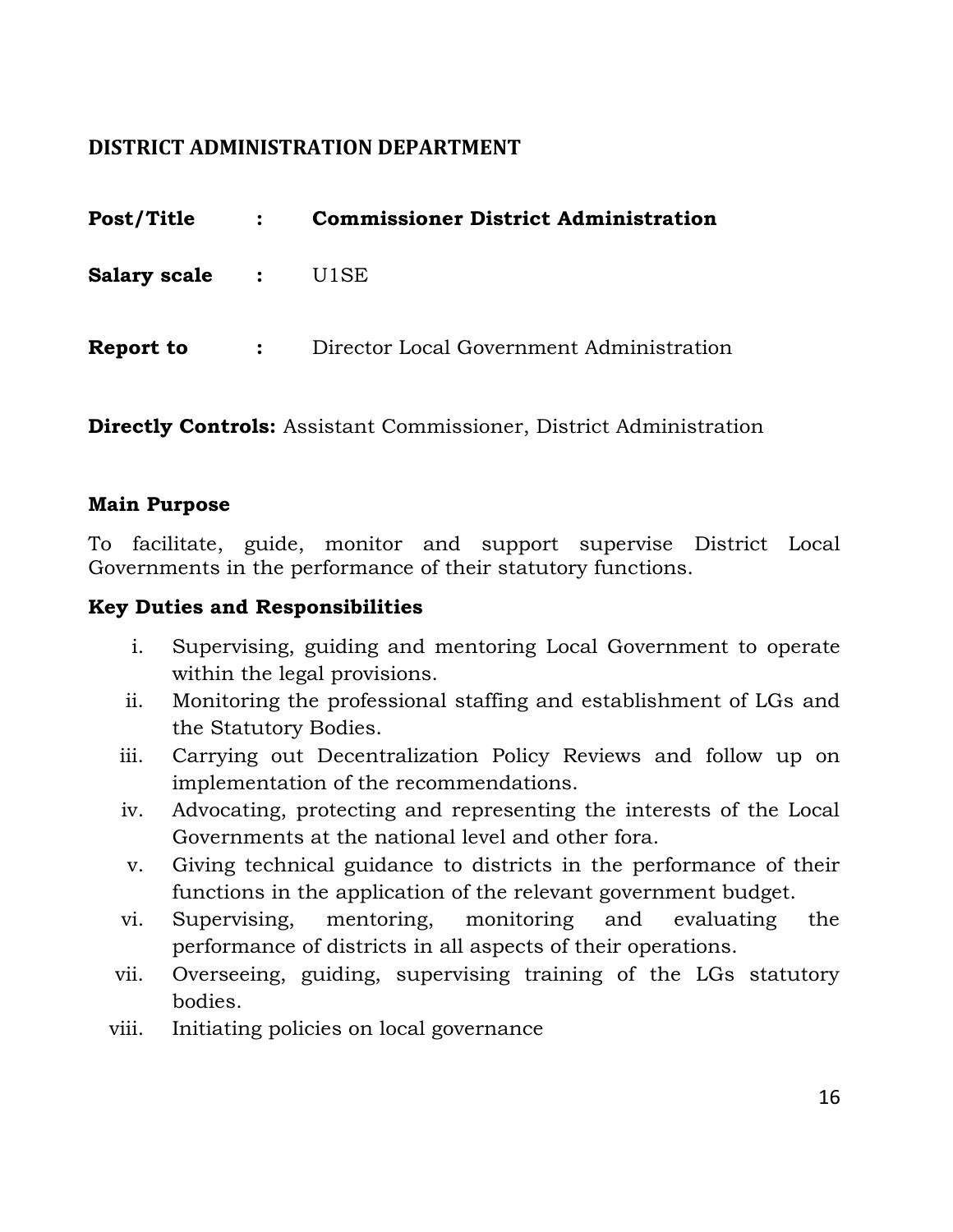# <span id="page-15-0"></span>**DISTRICT ADMINISTRATION DEPARTMENT**

<span id="page-15-1"></span>

| Post/Title                 | $\mathbb{R}^2$ | <b>Commissioner District Administration</b>                 |
|----------------------------|----------------|-------------------------------------------------------------|
| <b>Salary scale : UISE</b> |                |                                                             |
|                            |                | <b>Report to :</b> Director Local Government Administration |

**Directly Controls:** Assistant Commissioner, District Administration

### **Main Purpose**

To facilitate, guide, monitor and support supervise District Local Governments in the performance of their statutory functions.

### **Key Duties and Responsibilities**

- i. Supervising, guiding and mentoring Local Government to operate within the legal provisions.
- ii. Monitoring the professional staffing and establishment of LGs and the Statutory Bodies.
- iii. Carrying out Decentralization Policy Reviews and follow up on implementation of the recommendations.
- iv. Advocating, protecting and representing the interests of the Local Governments at the national level and other fora.
- v. Giving technical guidance to districts in the performance of their functions in the application of the relevant government budget.
- vi. Supervising, mentoring, monitoring and evaluating the performance of districts in all aspects of their operations.
- vii. Overseeing, guiding, supervising training of the LGs statutory bodies.
- viii. Initiating policies on local governance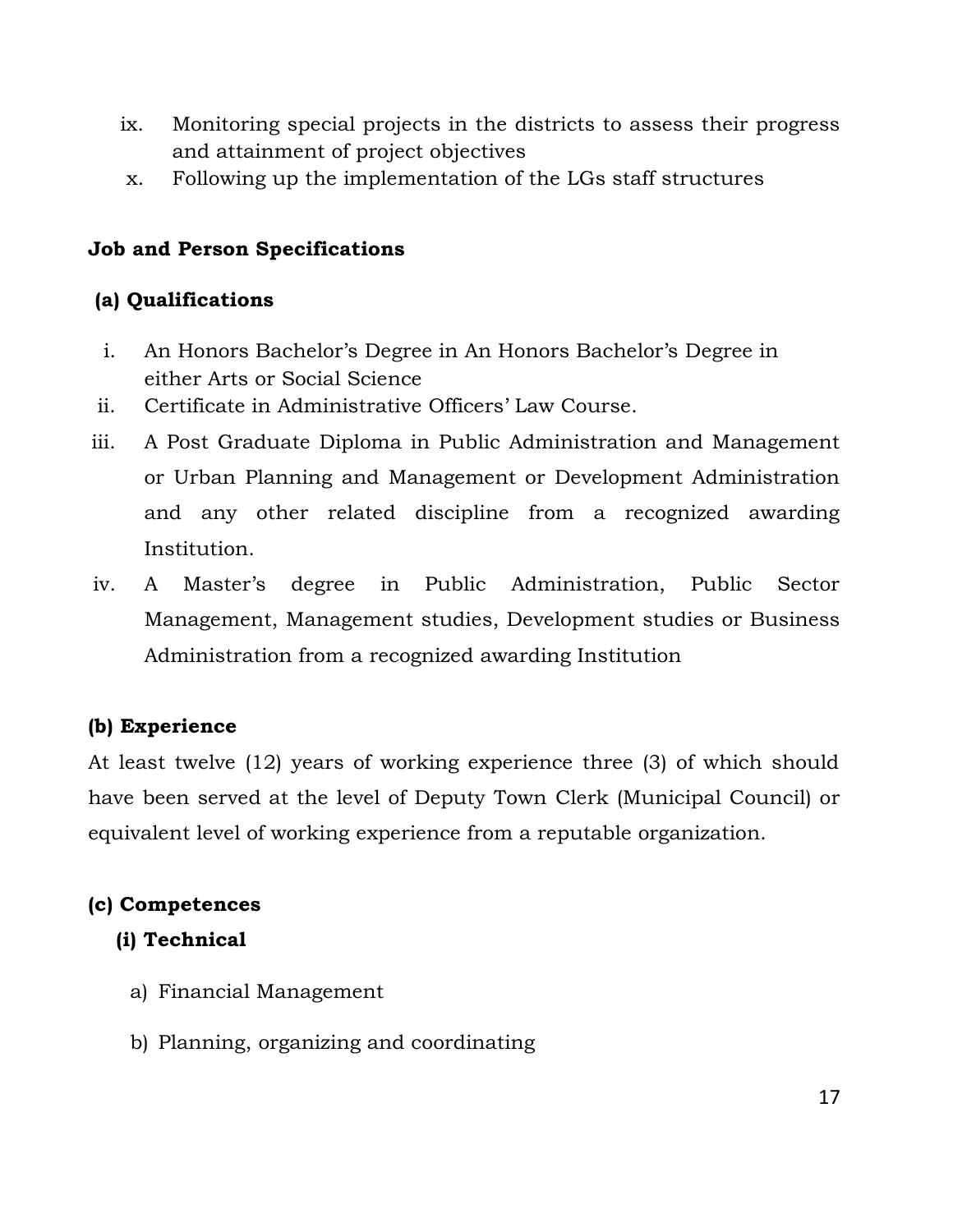- ix. Monitoring special projects in the districts to assess their progress and attainment of project objectives
- x. Following up the implementation of the LGs staff structures

# **Job and Person Specifications**

### **(a) Qualifications**

- i. An Honors Bachelor's Degree in An Honors Bachelor's Degree in either Arts or Social Science
- ii. Certificate in Administrative Officers' Law Course.
- iii. A Post Graduate Diploma in Public Administration and Management or Urban Planning and Management or Development Administration and any other related discipline from a recognized awarding Institution.
- iv. A Master's degree in Public Administration, Public Sector Management, Management studies, Development studies or Business Administration from a recognized awarding Institution

# **(b) Experience**

At least twelve (12) years of working experience three (3) of which should have been served at the level of Deputy Town Clerk (Municipal Council) or equivalent level of working experience from a reputable organization.

# **(c) Competences**

# **(i) Technical**

- a) Financial Management
- b) Planning, organizing and coordinating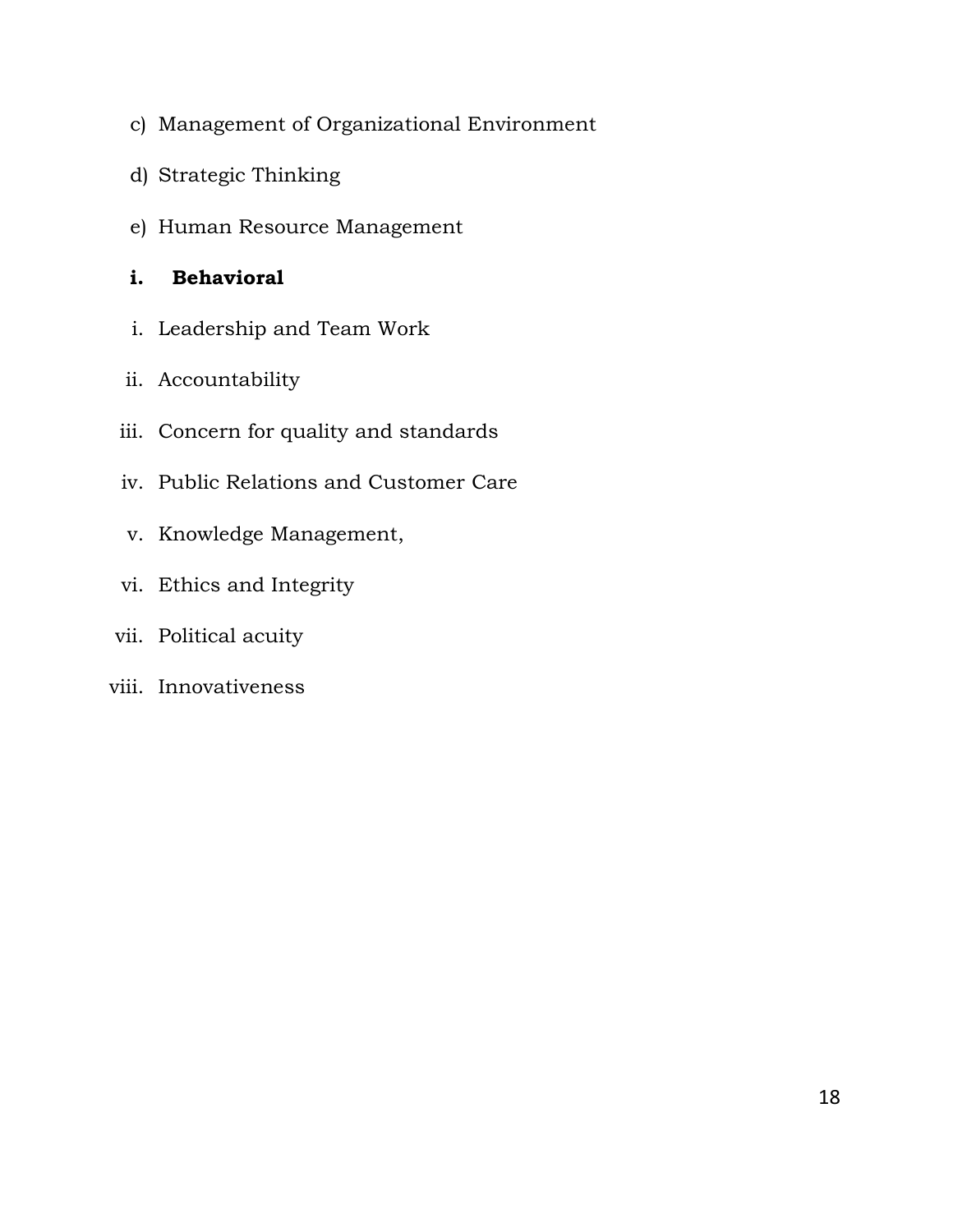- c) Management of Organizational Environment
- d) Strategic Thinking
- e) Human Resource Management

# **i. Behavioral**

- i. Leadership and Team Work
- ii. Accountability
- iii. Concern for quality and standards
- iv. Public Relations and Customer Care
- v. Knowledge Management,
- vi. Ethics and Integrity
- vii. Political acuity
- viii. Innovativeness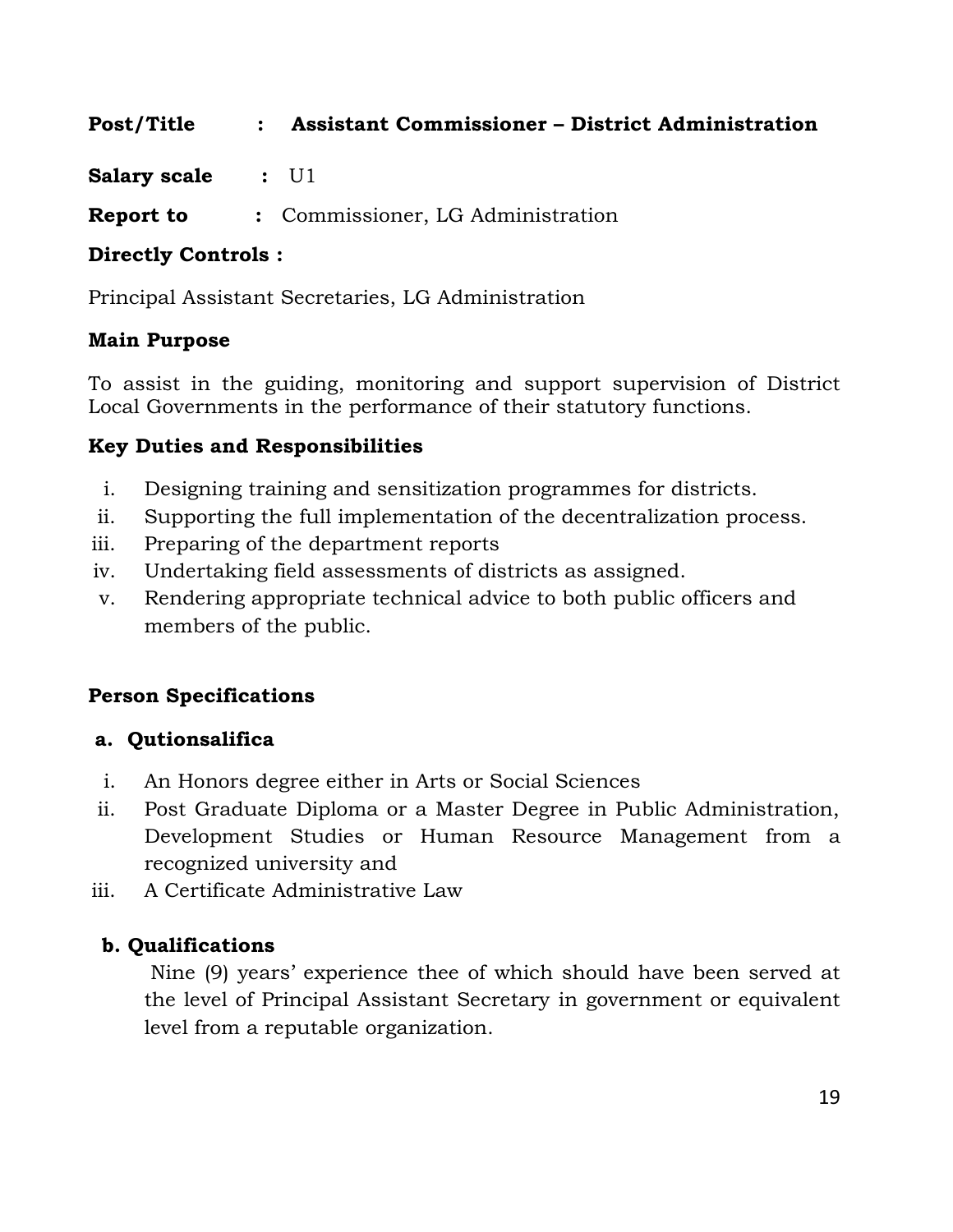#### <span id="page-18-0"></span>**Post/Title : Assistant Commissioner – District Administration**

**Salary scale :** U1

**Report to :** Commissioner, LG Administration

#### **Directly Controls :**

Principal Assistant Secretaries, LG Administration

#### **Main Purpose**

To assist in the guiding, monitoring and support supervision of District Local Governments in the performance of their statutory functions.

### **Key Duties and Responsibilities**

- i. Designing training and sensitization programmes for districts.
- ii. Supporting the full implementation of the decentralization process.
- iii. Preparing of the department reports
- iv. Undertaking field assessments of districts as assigned.
- v. Rendering appropriate technical advice to both public officers and members of the public.

#### **Person Specifications**

#### **a. Qutionsalifica**

- i. An Honors degree either in Arts or Social Sciences
- ii. Post Graduate Diploma or a Master Degree in Public Administration, Development Studies or Human Resource Management from a recognized university and
- iii. A Certificate Administrative Law

#### **b. Qualifications**

Nine (9) years' experience thee of which should have been served at the level of Principal Assistant Secretary in government or equivalent level from a reputable organization.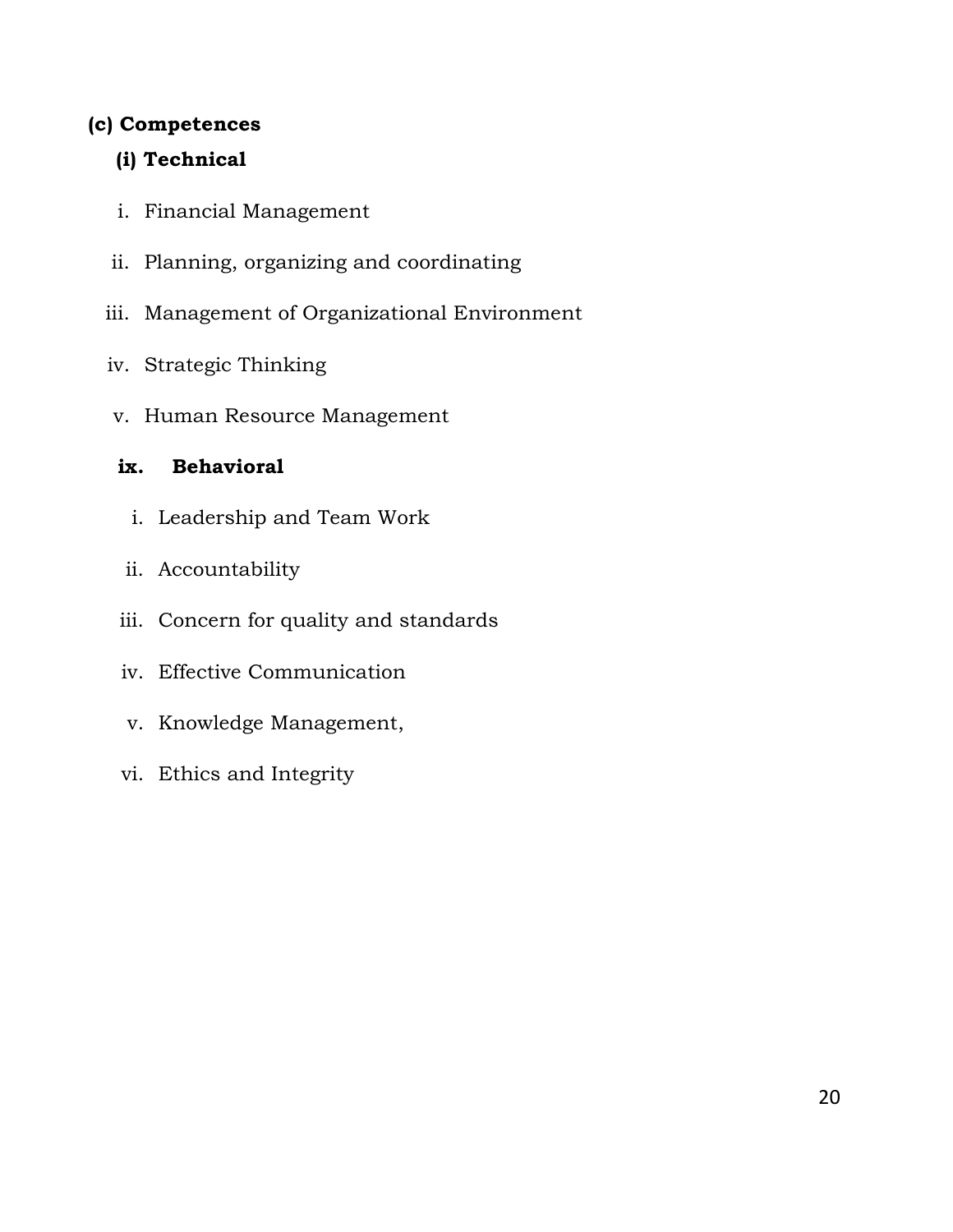### **(c) Competences**

# **(i) Technical**

- i. Financial Management
- ii. Planning, organizing and coordinating
- iii. Management of Organizational Environment
- iv. Strategic Thinking
- v. Human Resource Management

#### **ix. Behavioral**

- i. Leadership and Team Work
- ii. Accountability
- iii. Concern for quality and standards
- iv. Effective Communication
- v. Knowledge Management,
- vi. Ethics and Integrity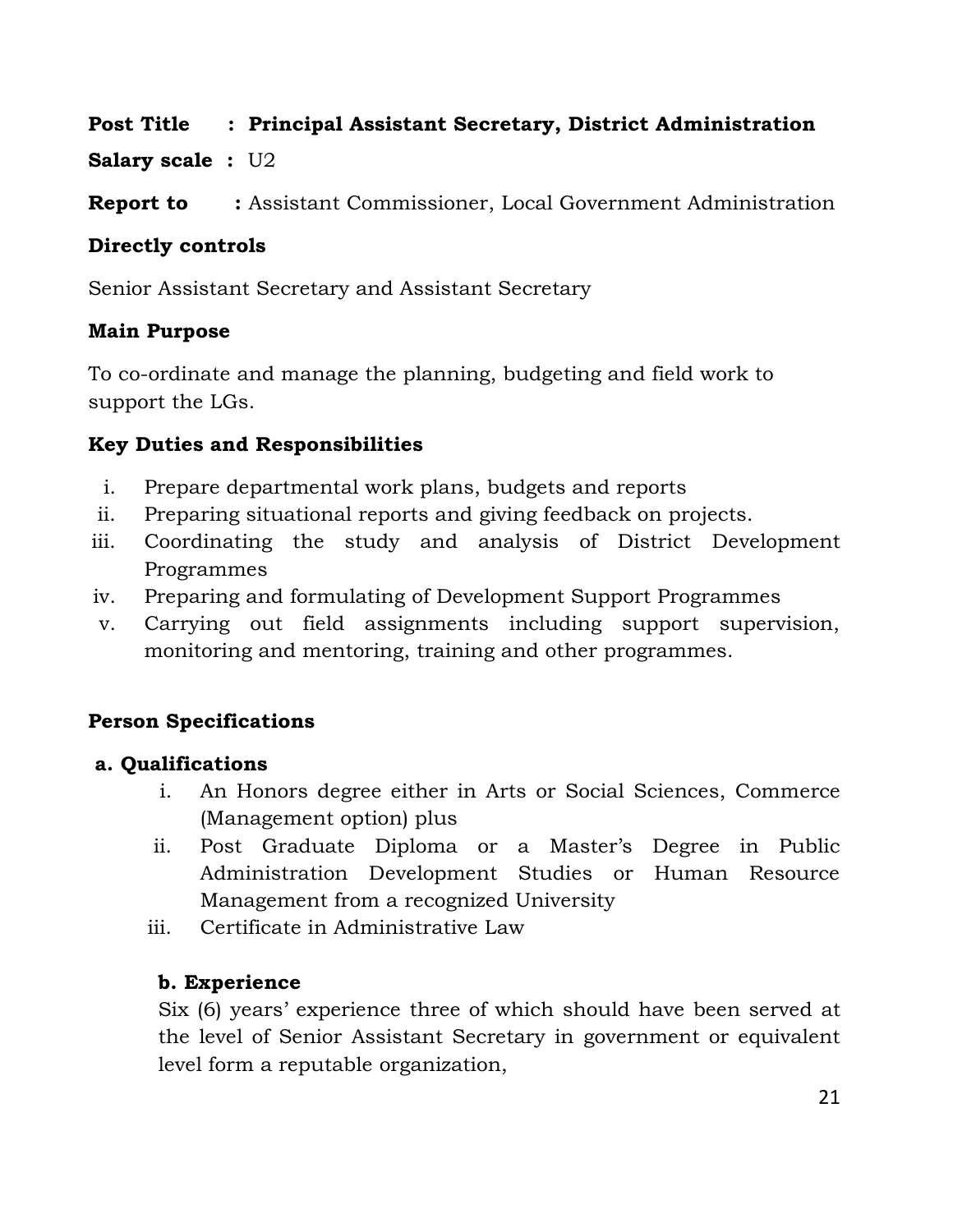### <span id="page-20-0"></span>**Post Title : Principal Assistant Secretary, District Administration**

**Salary scale :** U2

**Report to** : Assistant Commissioner, Local Government Administration

# **Directly controls**

Senior Assistant Secretary and Assistant Secretary

# **Main Purpose**

To co-ordinate and manage the planning, budgeting and field work to support the LGs.

# **Key Duties and Responsibilities**

- i. Prepare departmental work plans, budgets and reports
- ii. Preparing situational reports and giving feedback on projects.
- iii. Coordinating the study and analysis of District Development Programmes
- iv. Preparing and formulating of Development Support Programmes
- v. Carrying out field assignments including support supervision, monitoring and mentoring, training and other programmes.

# **Person Specifications**

# **a. Qualifications**

- i. An Honors degree either in Arts or Social Sciences, Commerce (Management option) plus
- ii. Post Graduate Diploma or a Master's Degree in Public Administration Development Studies or Human Resource Management from a recognized University
- iii. Certificate in Administrative Law

# **b. Experience**

Six (6) years' experience three of which should have been served at the level of Senior Assistant Secretary in government or equivalent level form a reputable organization,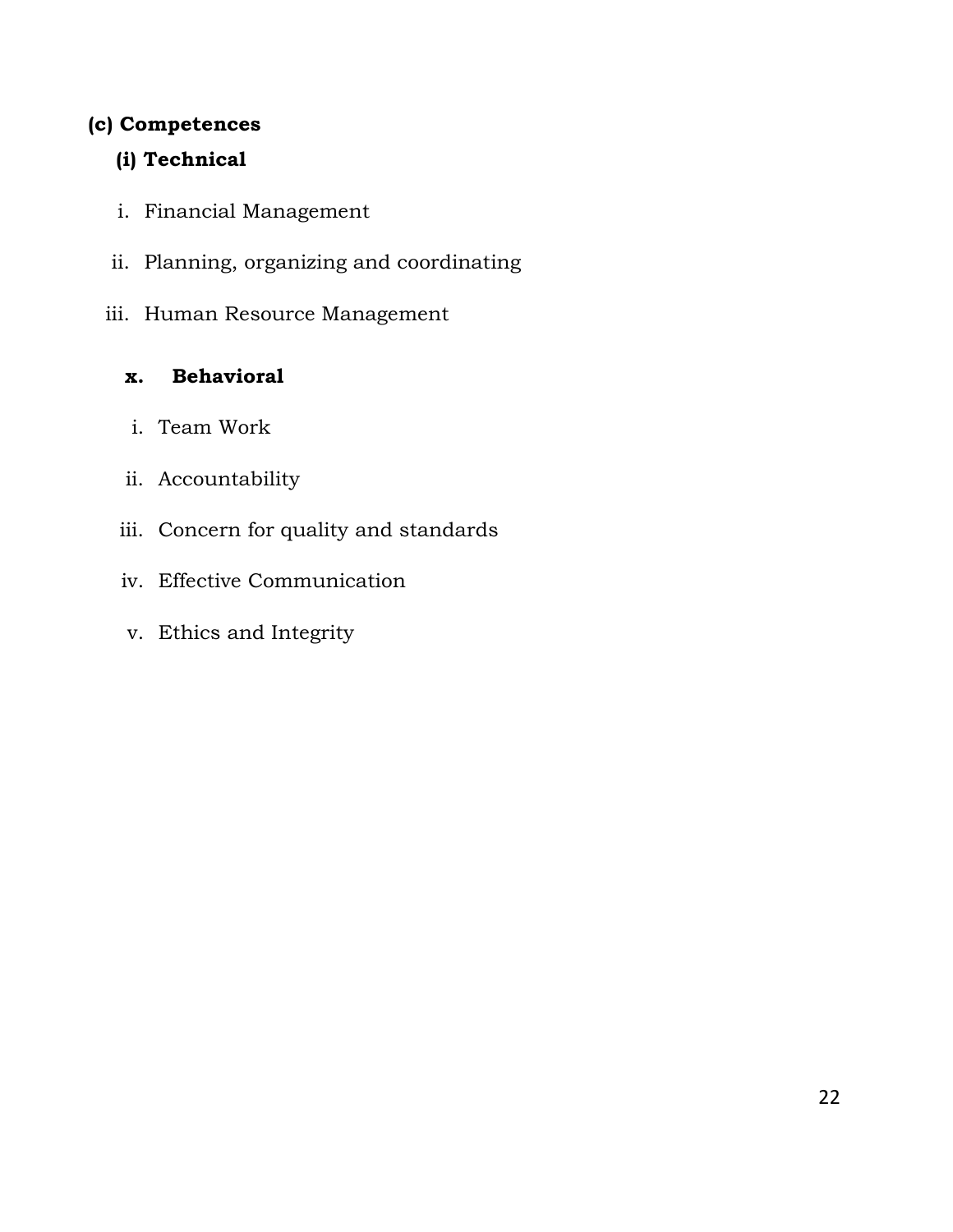### **(c) Competences**

# **(i) Technical**

- i. Financial Management
- ii. Planning, organizing and coordinating
- iii. Human Resource Management

#### **x. Behavioral**

- i. Team Work
- ii. Accountability
- iii. Concern for quality and standards
- iv. Effective Communication
- v. Ethics and Integrity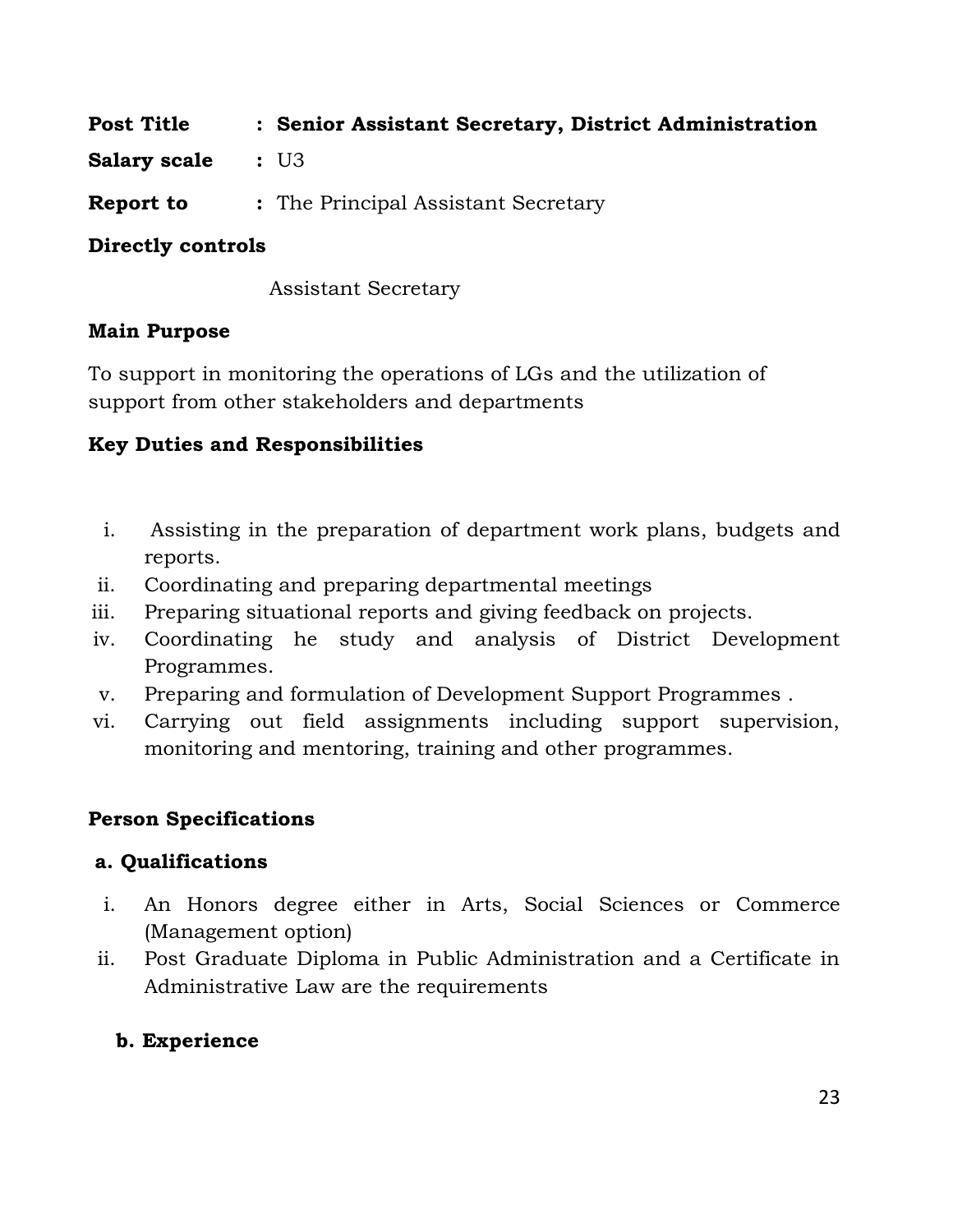<span id="page-22-0"></span>

| <b>Post Title</b>   | : Senior Assistant Secretary, District Administration |
|---------------------|-------------------------------------------------------|
| <b>Salary scale</b> | : U3                                                  |
| Report to           | : The Principal Assistant Secretary                   |

#### **Directly controls**

Assistant Secretary

### **Main Purpose**

To support in monitoring the operations of LGs and the utilization of support from other stakeholders and departments

### **Key Duties and Responsibilities**

- i. Assisting in the preparation of department work plans, budgets and reports.
- ii. Coordinating and preparing departmental meetings
- iii. Preparing situational reports and giving feedback on projects.
- iv. Coordinating he study and analysis of District Development Programmes.
- v. Preparing and formulation of Development Support Programmes .
- vi. Carrying out field assignments including support supervision, monitoring and mentoring, training and other programmes.

# **Person Specifications**

#### **a. Qualifications**

- i. An Honors degree either in Arts, Social Sciences or Commerce (Management option)
- ii. Post Graduate Diploma in Public Administration and a Certificate in Administrative Law are the requirements

#### **b. Experience**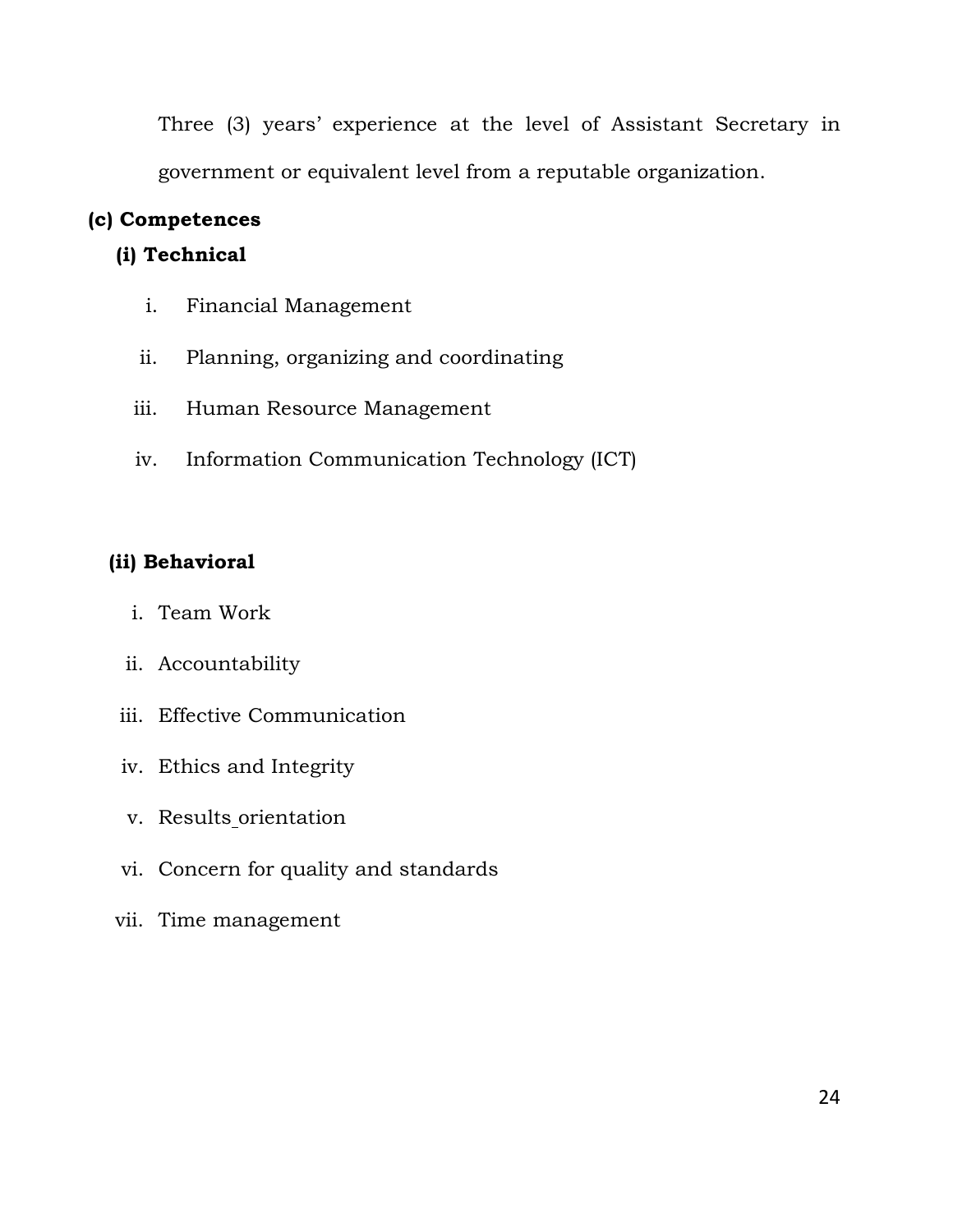Three (3) years' experience at the level of Assistant Secretary in government or equivalent level from a reputable organization.

### **(c) Competences**

# **(i) Technical**

- i. Financial Management
- ii. Planning, organizing and coordinating
- iii. Human Resource Management
- iv. Information Communication Technology (ICT)

# **(ii) Behavioral**

- i. Team Work
- ii. Accountability
- iii. Effective Communication
- iv. Ethics and Integrity
- v. Results orientation
- vi. Concern for quality and standards
- <span id="page-23-0"></span>vii. Time management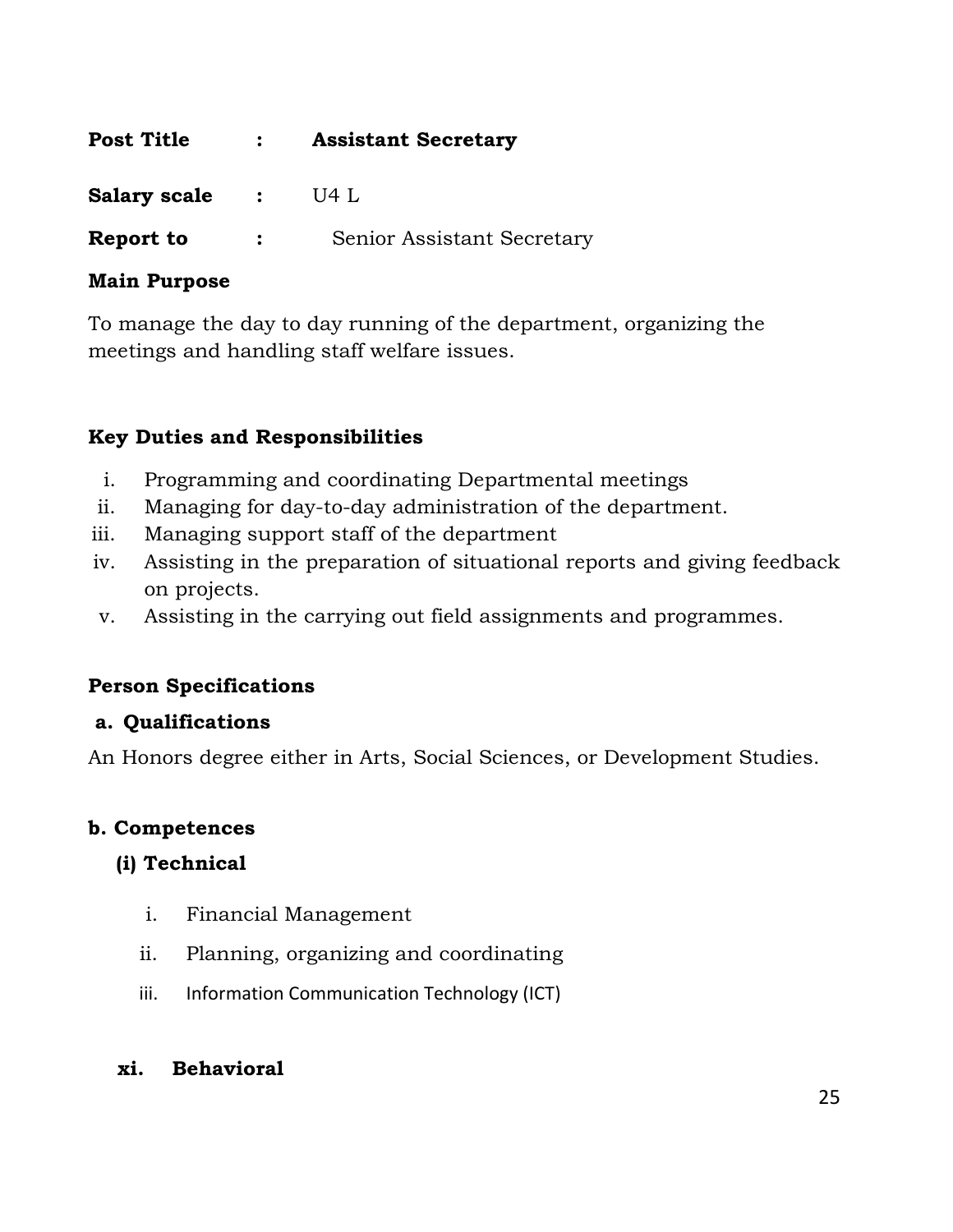| <b>Post Title</b> | $\mathbf{L}$                | <b>Assistant Secretary</b> |
|-------------------|-----------------------------|----------------------------|
| Salary scale :    |                             | U4 L                       |
| Report to         | $\mathbf{r}$ , $\mathbf{r}$ | Senior Assistant Secretary |

### **Main Purpose**

To manage the day to day running of the department, organizing the meetings and handling staff welfare issues.

# **Key Duties and Responsibilities**

- i. Programming and coordinating Departmental meetings
- ii. Managing for day-to-day administration of the department.
- iii. Managing support staff of the department
- iv. Assisting in the preparation of situational reports and giving feedback on projects.
- v. Assisting in the carrying out field assignments and programmes.

# **Person Specifications**

# **a. Qualifications**

An Honors degree either in Arts, Social Sciences, or Development Studies.

# **b. Competences**

# **(i) Technical**

- i. Financial Management
- ii. Planning, organizing and coordinating
- iii. Information Communication Technology (ICT)

#### **xi. Behavioral**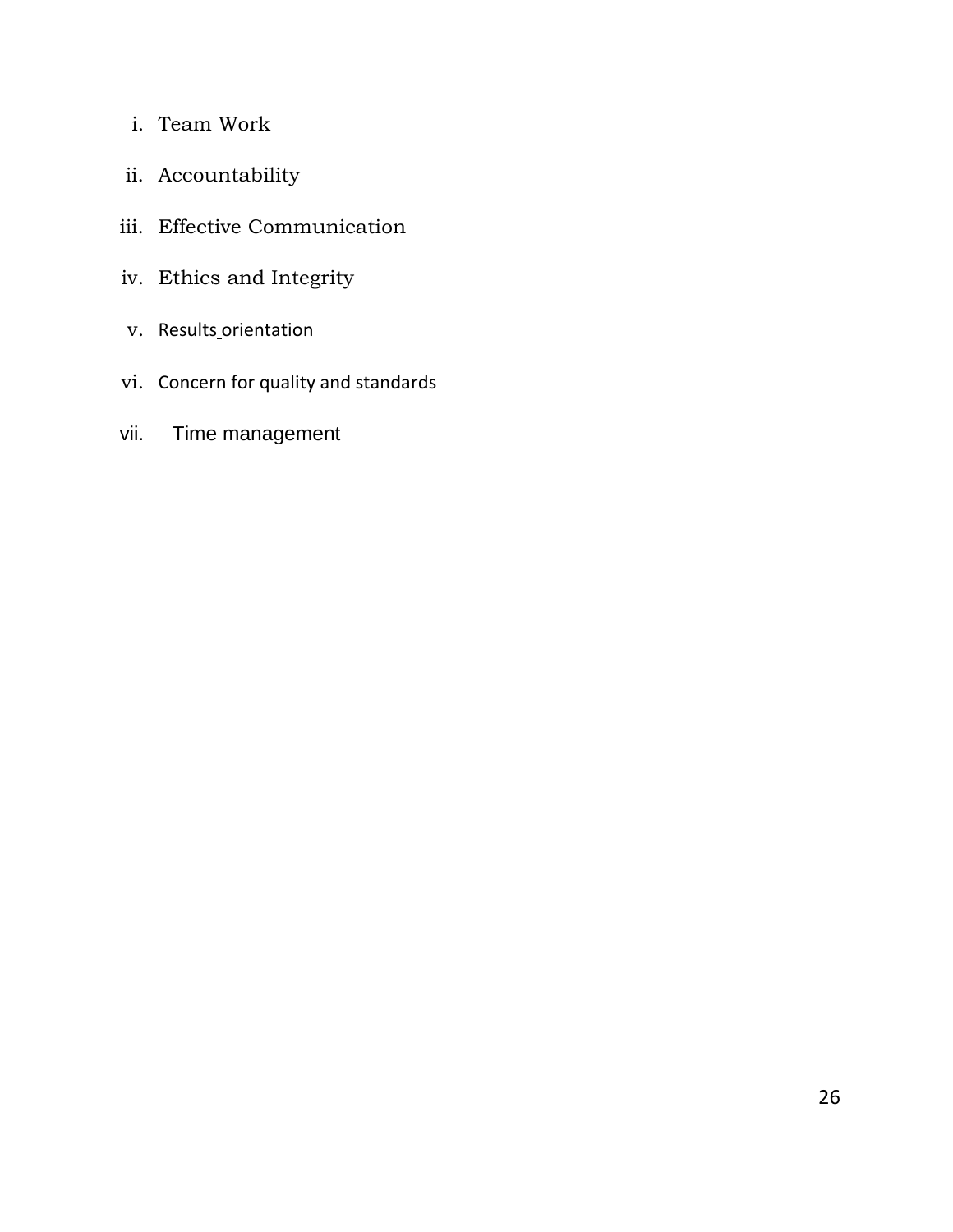- i. Team Work
- ii. Accountability
- iii. Effective Communication
- iv. Ethics and Integrity
- v. Results orientation
- vi. Concern for quality and standards
- vii. Time management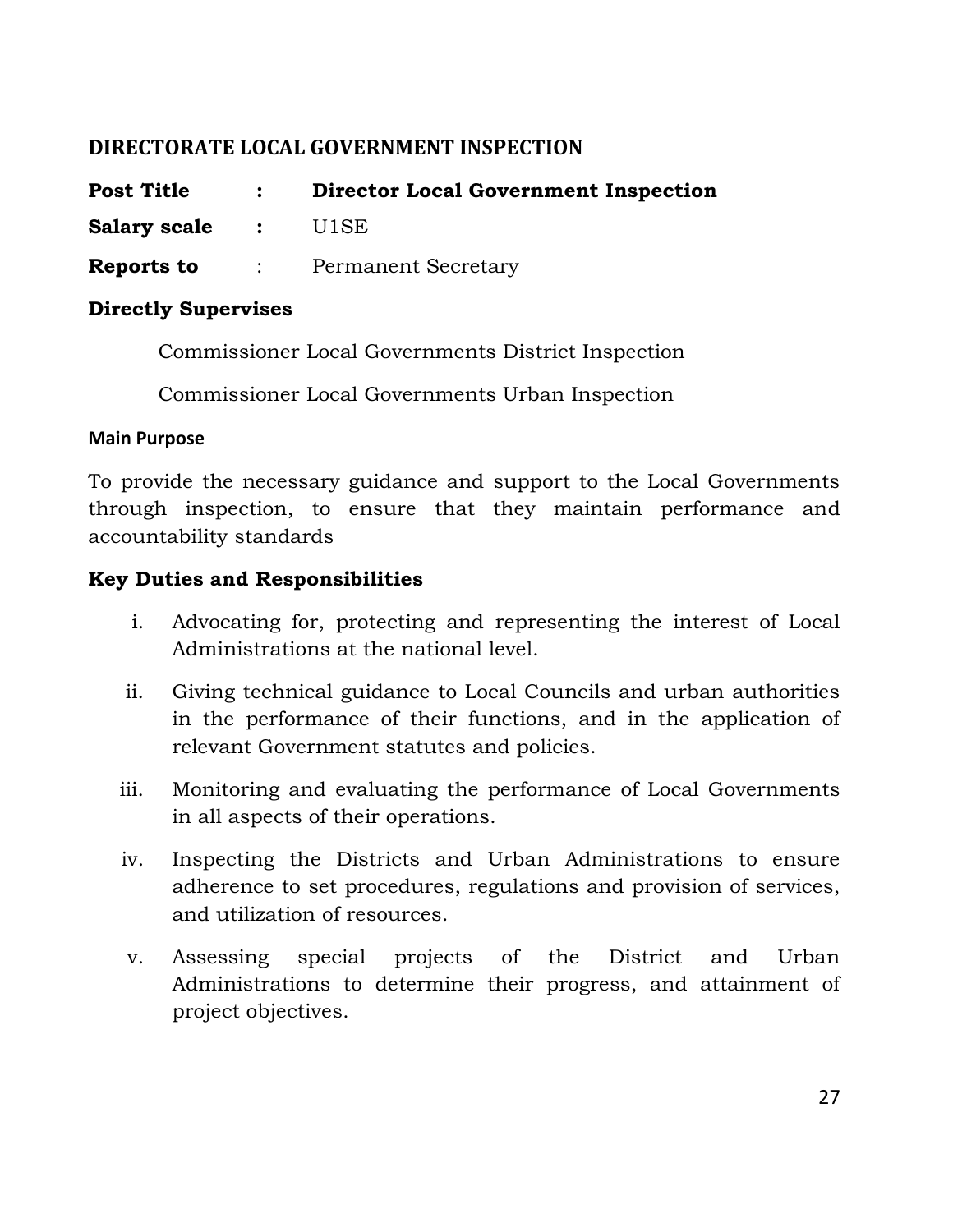# <span id="page-26-0"></span>**DIRECTORATE LOCAL GOVERNMENT INSPECTION**

<span id="page-26-1"></span>

| <b>Post Title</b>          | : Director Local Government Inspection |
|----------------------------|----------------------------------------|
| <b>Salary scale : UISE</b> |                                        |
| <b>Reports to</b>          | : Permanent Secretary                  |

#### **Directly Supervises**

Commissioner Local Governments District Inspection

Commissioner Local Governments Urban Inspection

#### **Main Purpose**

To provide the necessary guidance and support to the Local Governments through inspection, to ensure that they maintain performance and accountability standards

#### **Key Duties and Responsibilities**

- i. Advocating for, protecting and representing the interest of Local Administrations at the national level.
- ii. Giving technical guidance to Local Councils and urban authorities in the performance of their functions, and in the application of relevant Government statutes and policies.
- iii. Monitoring and evaluating the performance of Local Governments in all aspects of their operations.
- iv. Inspecting the Districts and Urban Administrations to ensure adherence to set procedures, regulations and provision of services, and utilization of resources.
- v. Assessing special projects of the District and Urban Administrations to determine their progress, and attainment of project objectives.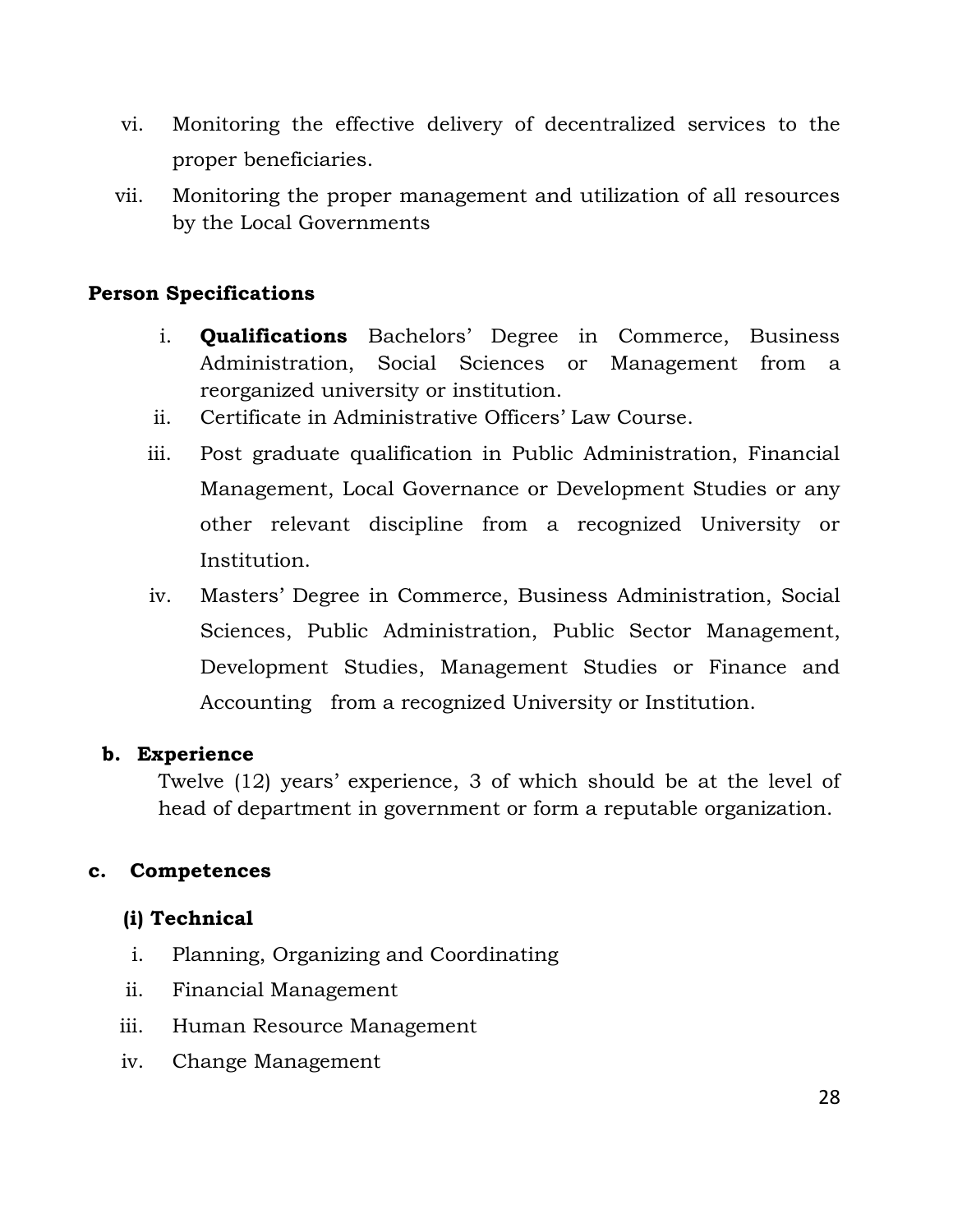- vi. Monitoring the effective delivery of decentralized services to the proper beneficiaries.
- vii. Monitoring the proper management and utilization of all resources by the Local Governments

#### **Person Specifications**

- i. **Qualifications** Bachelors' Degree in Commerce, Business Administration, Social Sciences or Management from a reorganized university or institution.
- ii. Certificate in Administrative Officers' Law Course.
- iii. Post graduate qualification in Public Administration, Financial Management, Local Governance or Development Studies or any other relevant discipline from a recognized University or Institution.
- iv. Masters' Degree in Commerce, Business Administration, Social Sciences, Public Administration, Public Sector Management, Development Studies, Management Studies or Finance and Accounting from a recognized University or Institution.

#### **b. Experience**

Twelve (12) years' experience, 3 of which should be at the level of head of department in government or form a reputable organization.

# **c. Competences**

#### **(i) Technical**

- i. Planning, Organizing and Coordinating
- ii. Financial Management
- iii. Human Resource Management
- iv. Change Management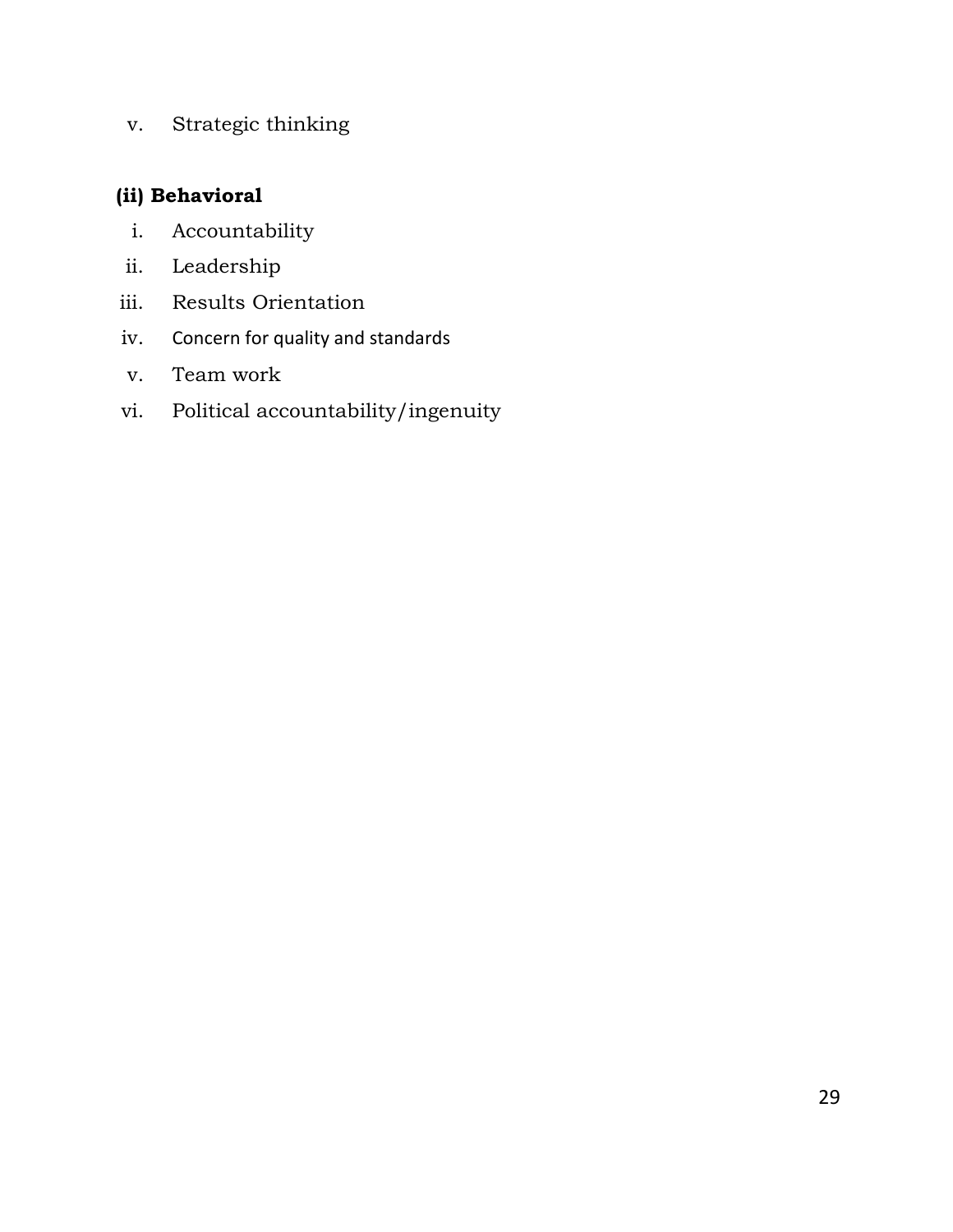v. Strategic thinking

# **(ii) Behavioral**

- i. Accountability
- ii. Leadership
- iii. Results Orientation
- iv. Concern for quality and standards
- v. Team work
- <span id="page-28-0"></span>vi. Political accountability/ingenuity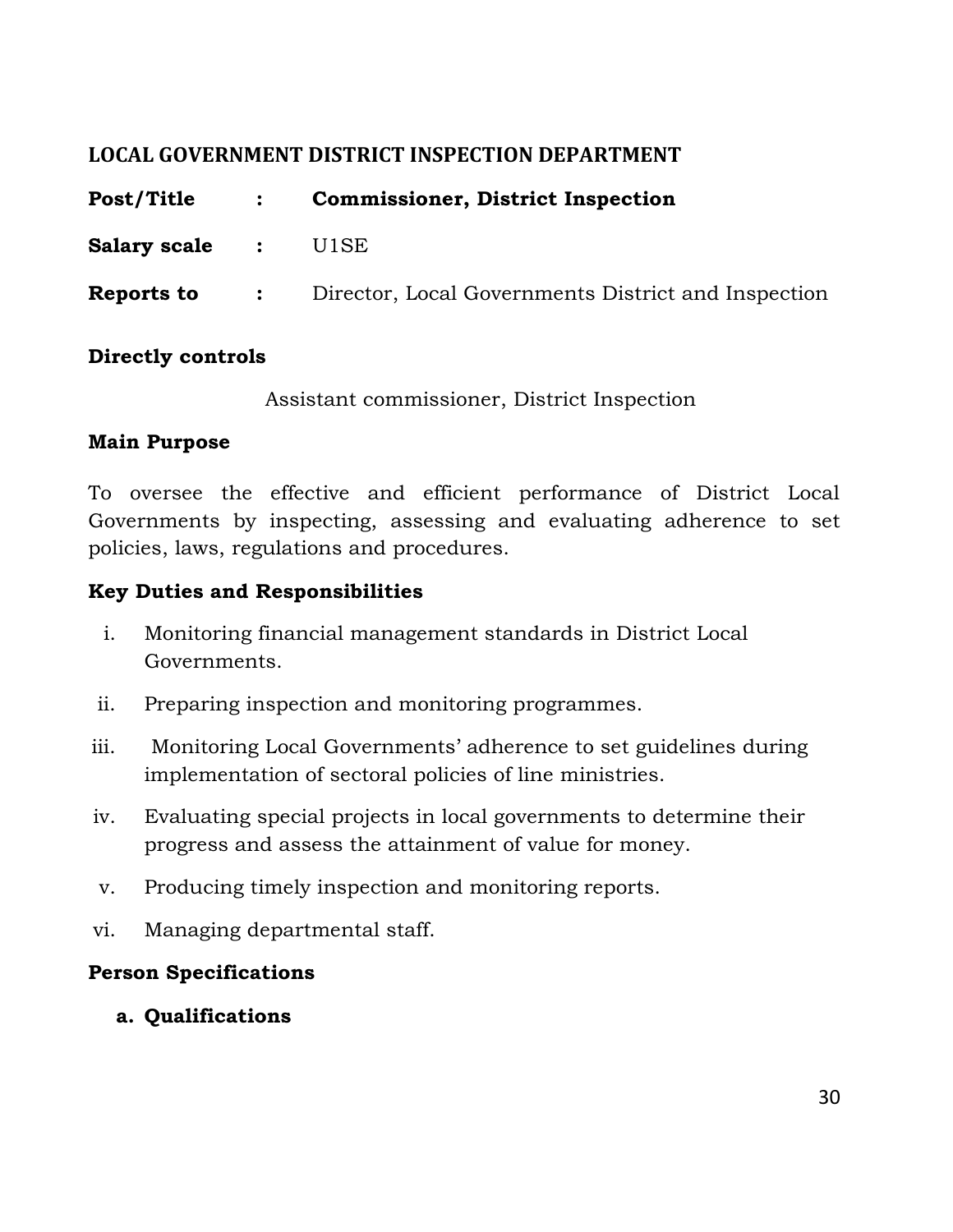# **LOCAL GOVERNMENT DISTRICT INSPECTION DEPARTMENT**

<span id="page-29-0"></span>

|                            | Post/Title : Commissioner, District Inspection                          |
|----------------------------|-------------------------------------------------------------------------|
| <b>Salary scale : UISE</b> |                                                                         |
|                            | <b>Reports to :</b> Director, Local Governments District and Inspection |

### **Directly controls**

Assistant commissioner, District Inspection

### **Main Purpose**

To oversee the effective and efficient performance of District Local Governments by inspecting, assessing and evaluating adherence to set policies, laws, regulations and procedures.

# **Key Duties and Responsibilities**

- i. Monitoring financial management standards in District Local Governments.
- ii. Preparing inspection and monitoring programmes.
- iii. Monitoring Local Governments' adherence to set guidelines during implementation of sectoral policies of line ministries.
- iv. Evaluating special projects in local governments to determine their progress and assess the attainment of value for money.
- v. Producing timely inspection and monitoring reports.
- vi. Managing departmental staff.

# **Person Specifications**

**a. Qualifications**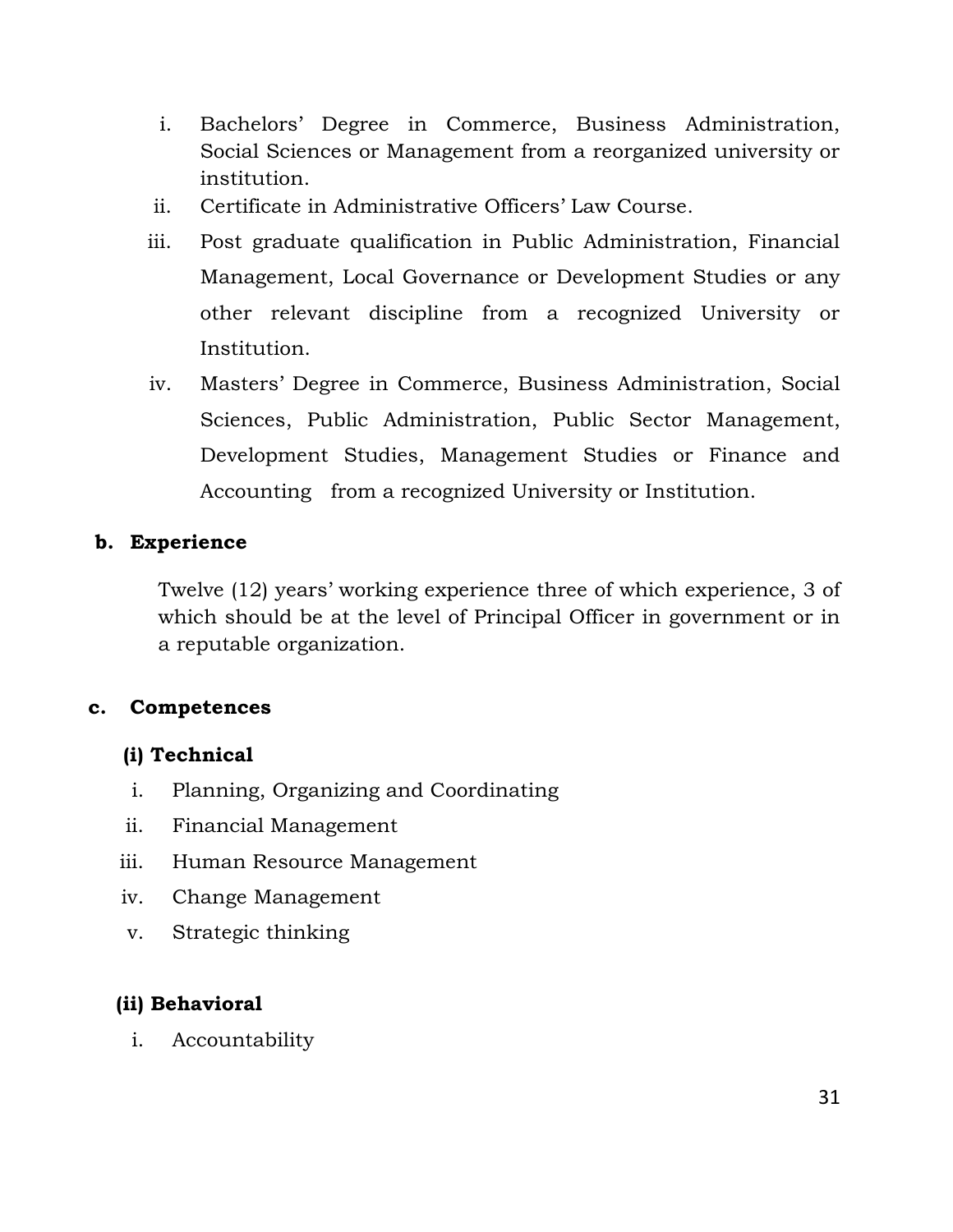- i. Bachelors' Degree in Commerce, Business Administration, Social Sciences or Management from a reorganized university or institution.
- ii. Certificate in Administrative Officers' Law Course.
- iii. Post graduate qualification in Public Administration, Financial Management, Local Governance or Development Studies or any other relevant discipline from a recognized University or Institution.
- iv. Masters' Degree in Commerce, Business Administration, Social Sciences, Public Administration, Public Sector Management, Development Studies, Management Studies or Finance and Accounting from a recognized University or Institution.

#### **b. Experience**

Twelve (12) years' working experience three of which experience, 3 of which should be at the level of Principal Officer in government or in a reputable organization.

#### **c. Competences**

#### **(i) Technical**

- i. Planning, Organizing and Coordinating
- ii. Financial Management
- iii. Human Resource Management
- iv. Change Management
- v. Strategic thinking

# **(ii) Behavioral**

i. Accountability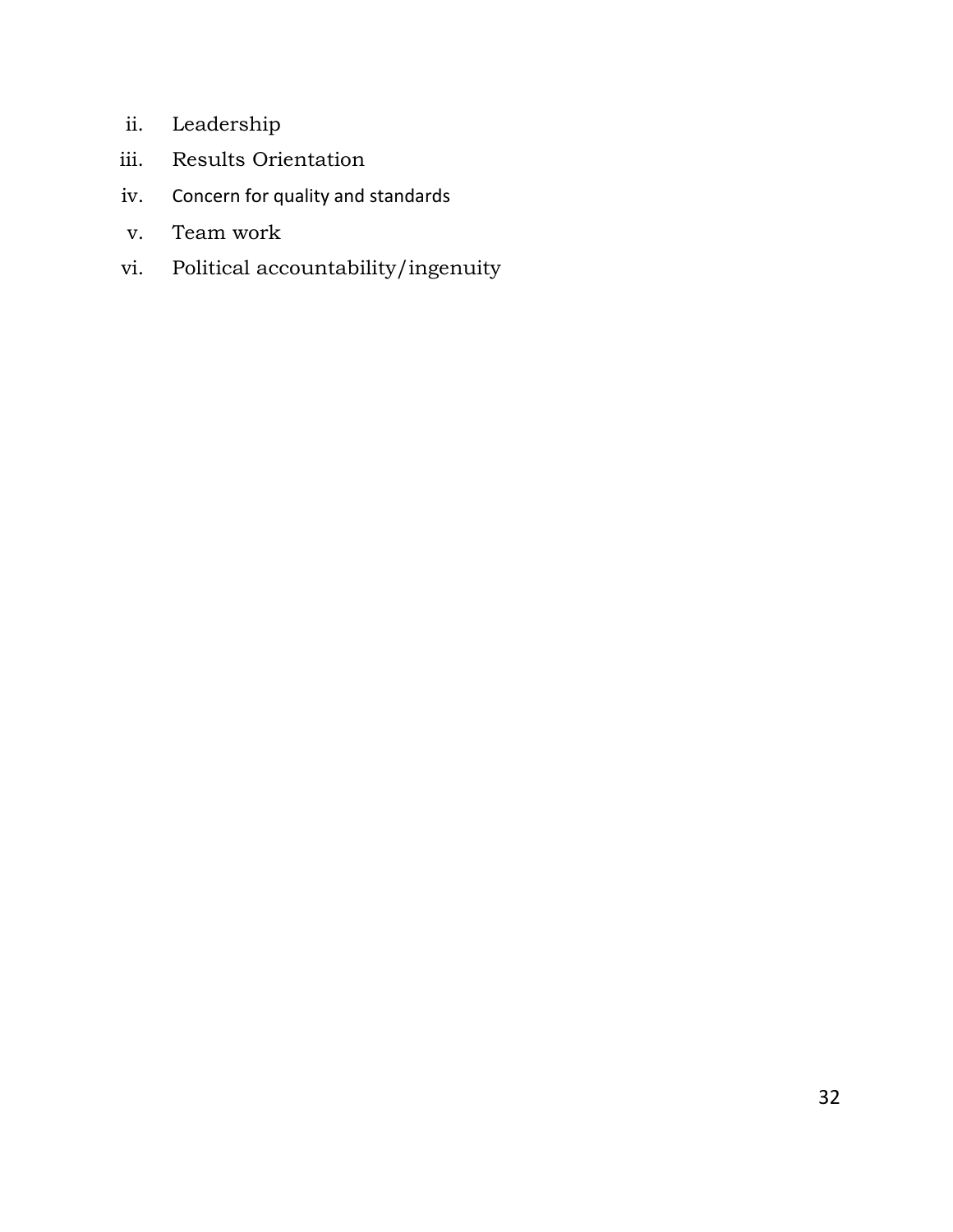- ii. Leadership
- iii. Results Orientation
- iv. Concern for quality and standards
- v. Team work
- vi. Political accountability/ingenuity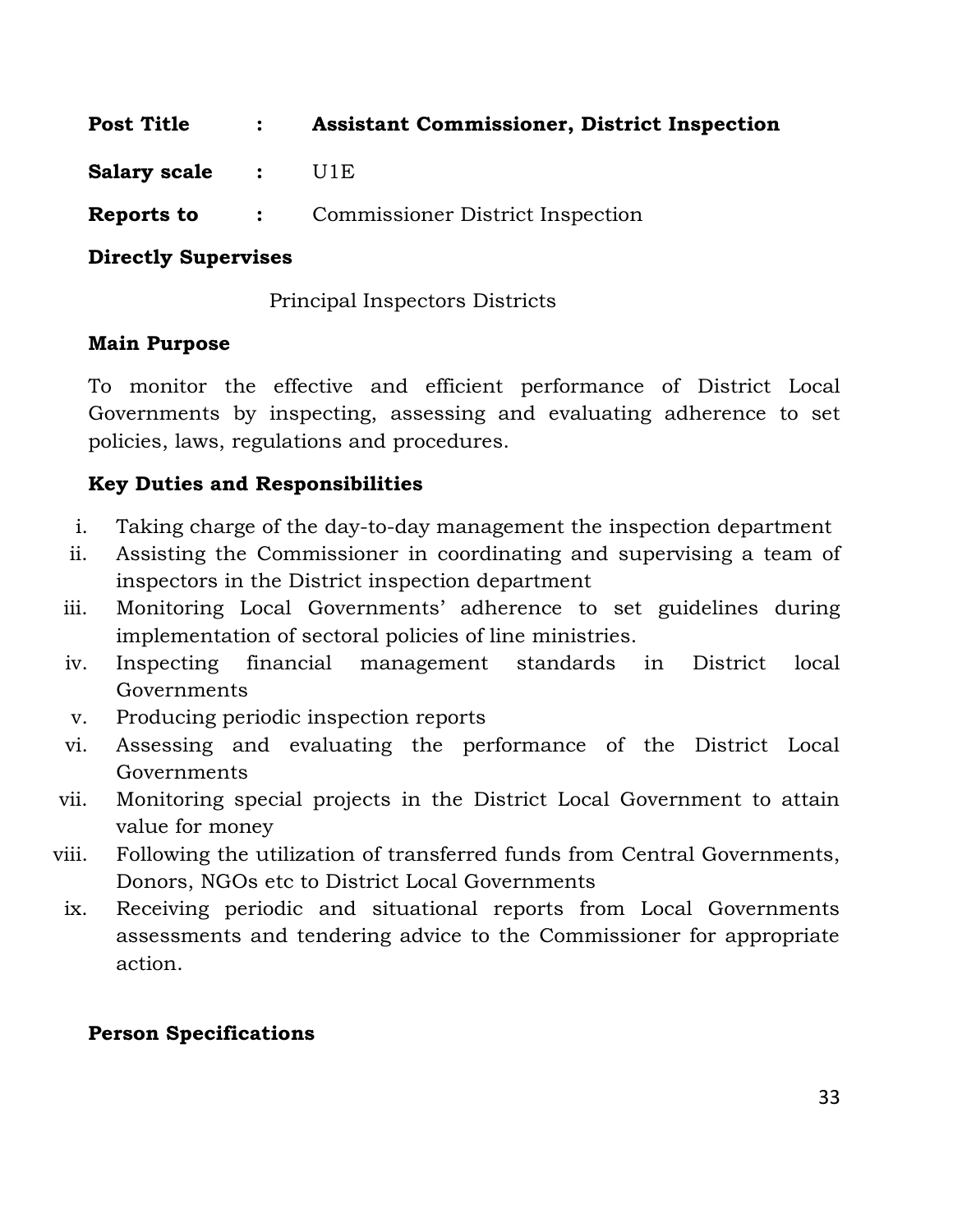<span id="page-32-0"></span>

| <b>Post Title</b>         | $\mathbf{r}$ | <b>Assistant Commissioner, District Inspection</b>   |
|---------------------------|--------------|------------------------------------------------------|
| <b>Salary scale : UIE</b> |              |                                                      |
|                           |              | <b>Reports to :</b> Commissioner District Inspection |

#### **Directly Supervises**

Principal Inspectors Districts

# **Main Purpose**

To monitor the effective and efficient performance of District Local Governments by inspecting, assessing and evaluating adherence to set policies, laws, regulations and procedures.

# **Key Duties and Responsibilities**

- i. Taking charge of the day-to-day management the inspection department
- ii. Assisting the Commissioner in coordinating and supervising a team of inspectors in the District inspection department
- iii. Monitoring Local Governments' adherence to set guidelines during implementation of sectoral policies of line ministries.
- iv. Inspecting financial management standards in District local Governments
- v. Producing periodic inspection reports
- vi. Assessing and evaluating the performance of the District Local Governments
- vii. Monitoring special projects in the District Local Government to attain value for money
- viii. Following the utilization of transferred funds from Central Governments, Donors, NGOs etc to District Local Governments
	- ix. Receiving periodic and situational reports from Local Governments assessments and tendering advice to the Commissioner for appropriate action.

# **Person Specifications**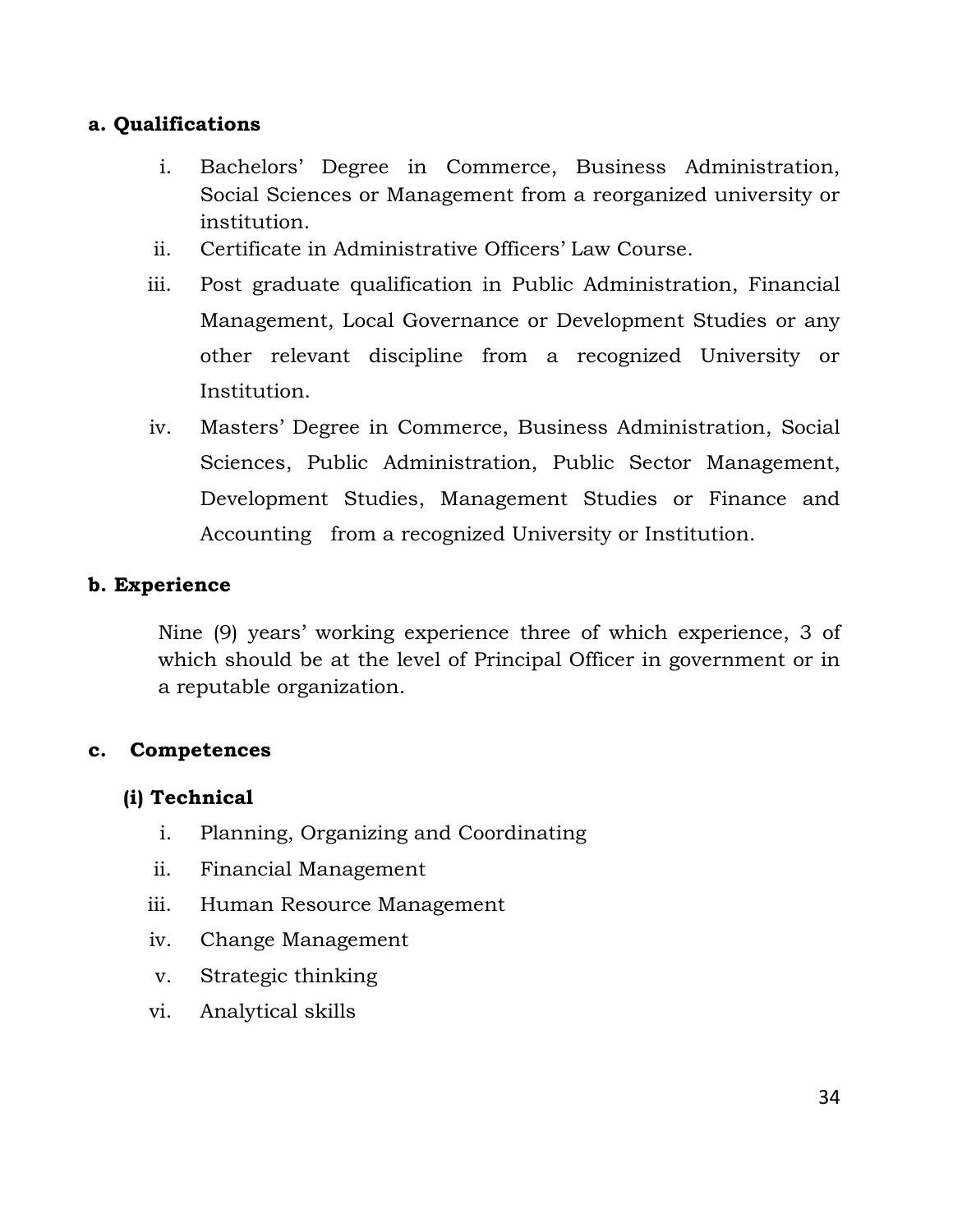#### **a. Qualifications**

- i. Bachelors' Degree in Commerce, Business Administration, Social Sciences or Management from a reorganized university or institution.
- ii. Certificate in Administrative Officers' Law Course.
- iii. Post graduate qualification in Public Administration, Financial Management, Local Governance or Development Studies or any other relevant discipline from a recognized University or Institution.
- iv. Masters' Degree in Commerce, Business Administration, Social Sciences, Public Administration, Public Sector Management, Development Studies, Management Studies or Finance and Accounting from a recognized University or Institution.

#### **b. Experience**

Nine (9) years' working experience three of which experience, 3 of which should be at the level of Principal Officer in government or in a reputable organization.

#### **c. Competences**

#### **(i) Technical**

- i. Planning, Organizing and Coordinating
- ii. Financial Management
- iii. Human Resource Management
- iv. Change Management
- v. Strategic thinking
- vi. Analytical skills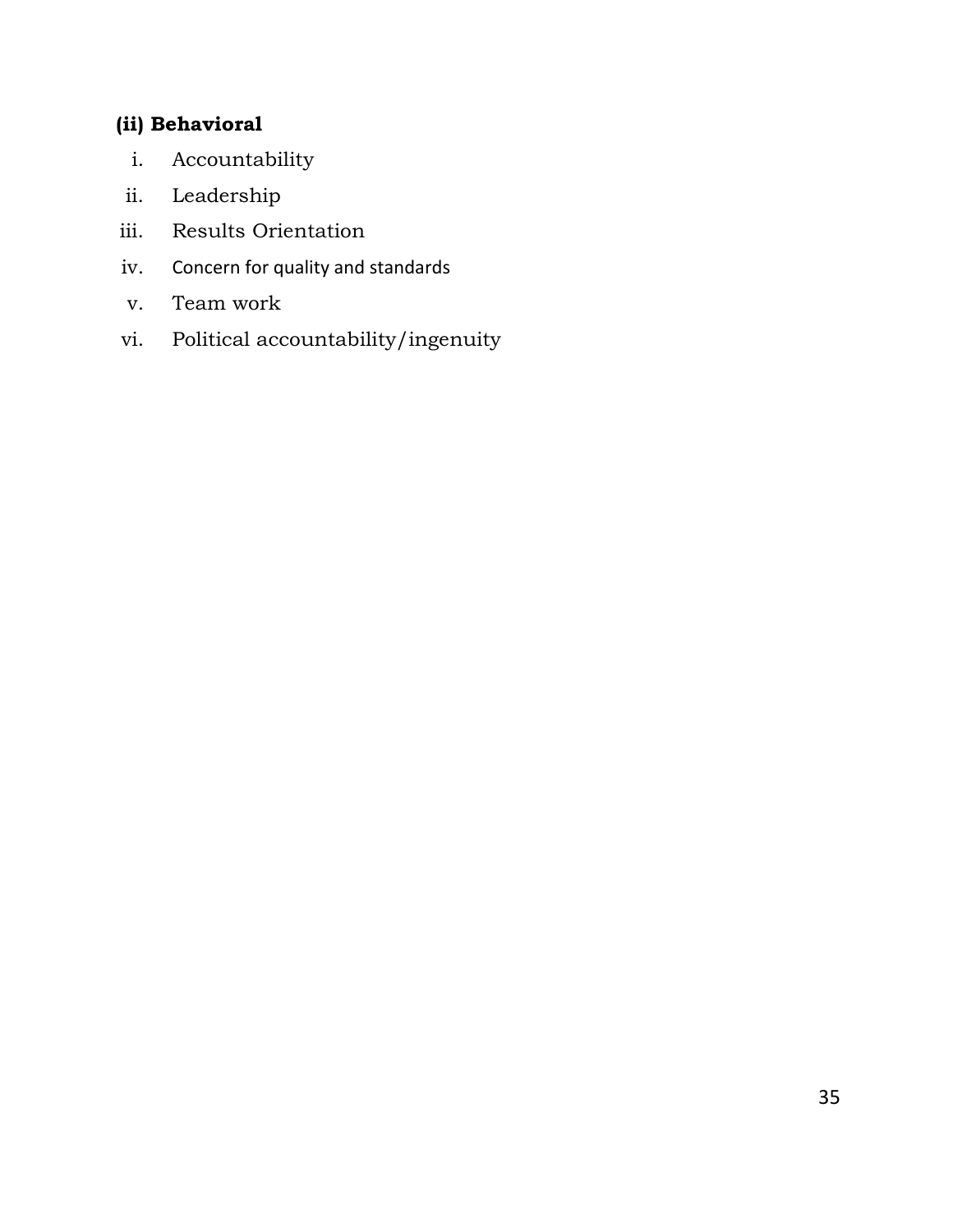# **(ii) Behavioral**

- i. Accountability
- ii. Leadership
- iii. Results Orientation
- iv. Concern for quality and standards
- v. Team work
- vi. Political accountability/ingenuity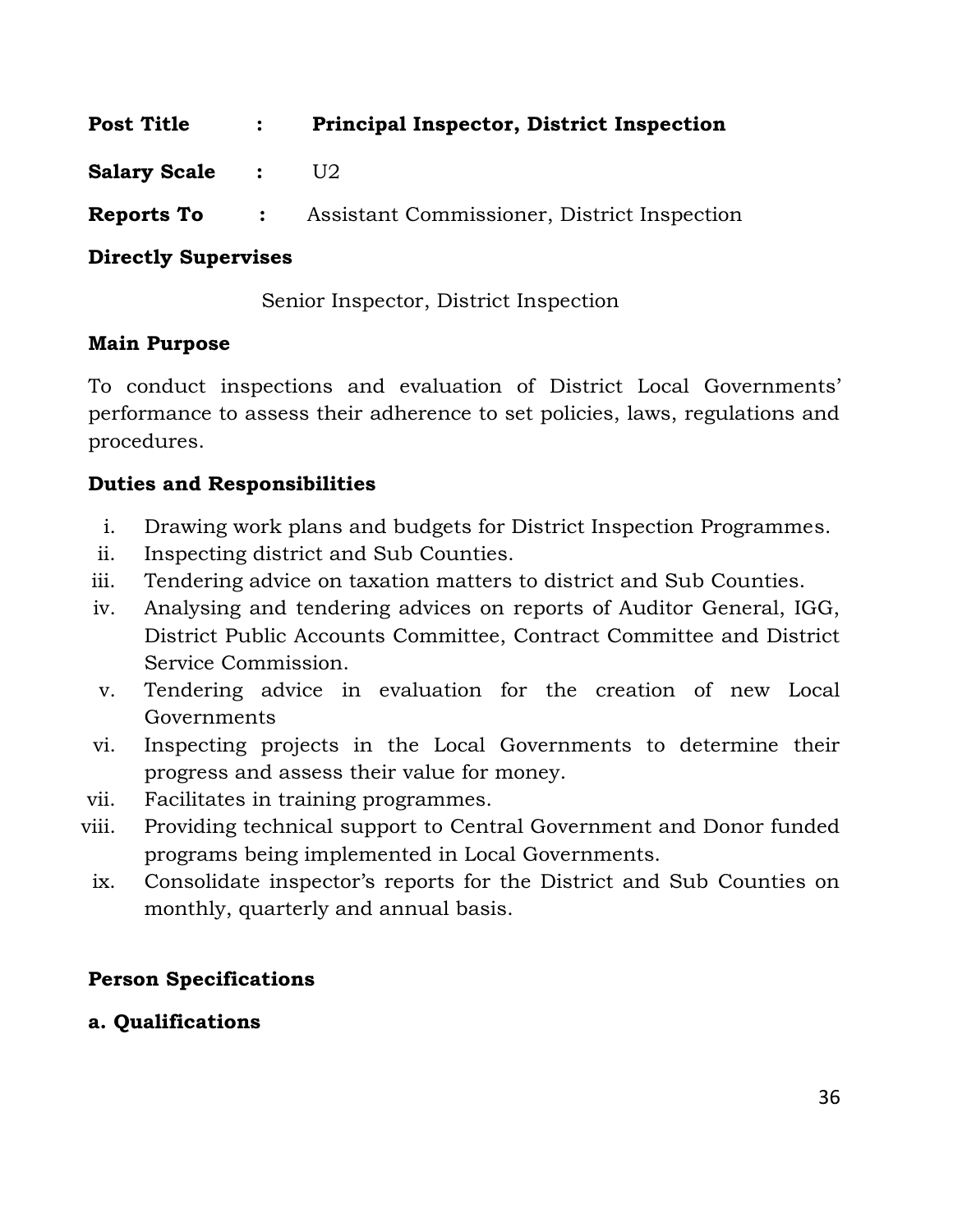<span id="page-35-0"></span>

| <b>Post Title</b>     | $\sim 1000$ km s $^{-1}$ | <b>Principal Inspector, District Inspection</b> |
|-----------------------|--------------------------|-------------------------------------------------|
| <b>Salary Scale :</b> |                          | - U2                                            |
| Reports To            |                          | : Assistant Commissioner, District Inspection   |

# **Directly Supervises**

Senior Inspector, District Inspection

### **Main Purpose**

To conduct inspections and evaluation of District Local Governments' performance to assess their adherence to set policies, laws, regulations and procedures.

# **Duties and Responsibilities**

- i. Drawing work plans and budgets for District Inspection Programmes.
- ii. Inspecting district and Sub Counties.
- iii. Tendering advice on taxation matters to district and Sub Counties.
- iv. Analysing and tendering advices on reports of Auditor General, IGG, District Public Accounts Committee, Contract Committee and District Service Commission.
- v. Tendering advice in evaluation for the creation of new Local Governments
- vi. Inspecting projects in the Local Governments to determine their progress and assess their value for money.
- vii. Facilitates in training programmes.
- viii. Providing technical support to Central Government and Donor funded programs being implemented in Local Governments.
- ix. Consolidate inspector's reports for the District and Sub Counties on monthly, quarterly and annual basis.

# **Person Specifications**

**a. Qualifications**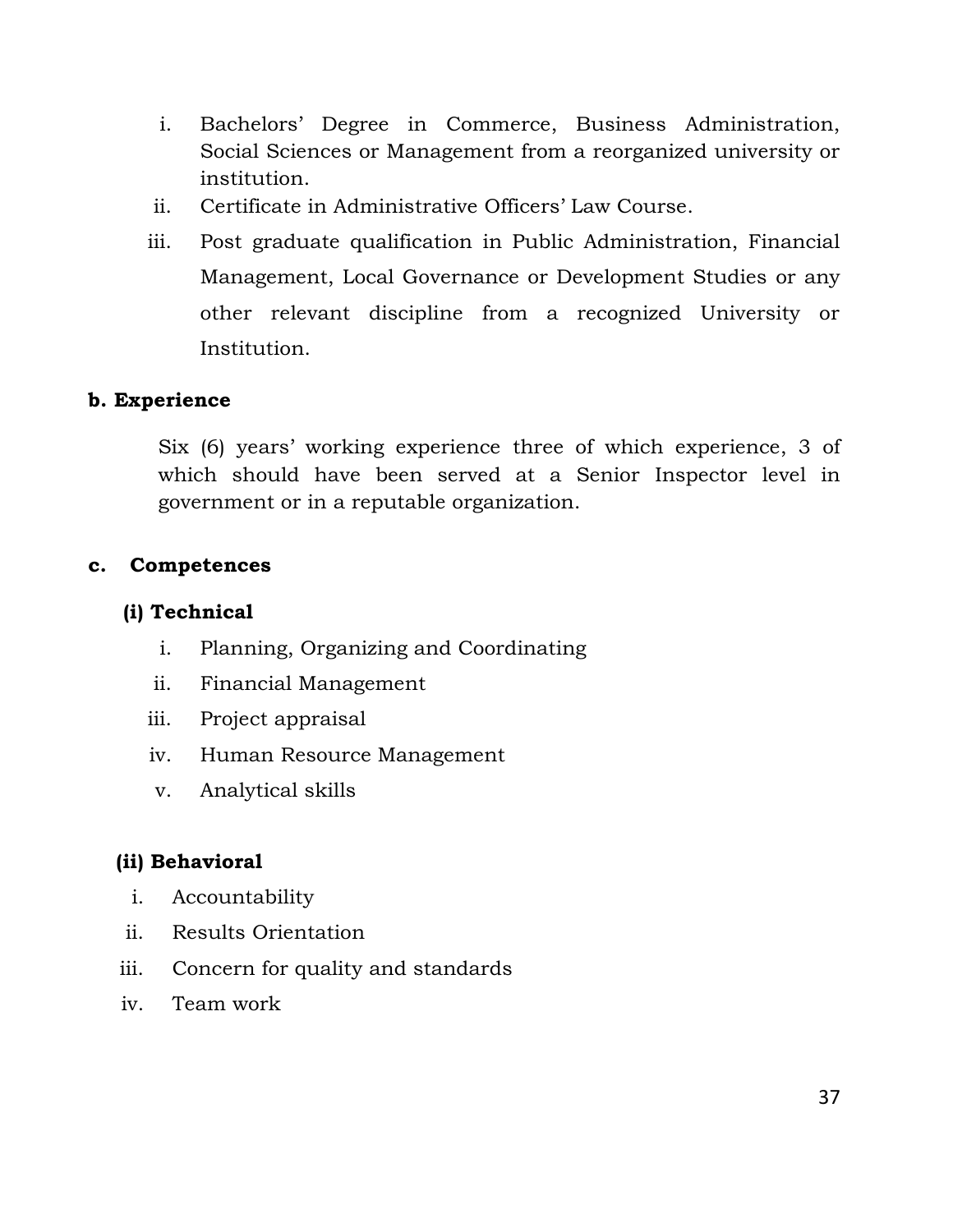- i. Bachelors' Degree in Commerce, Business Administration, Social Sciences or Management from a reorganized university or institution.
- ii. Certificate in Administrative Officers' Law Course.
- iii. Post graduate qualification in Public Administration, Financial Management, Local Governance or Development Studies or any other relevant discipline from a recognized University or Institution.

#### **b. Experience**

Six (6) years' working experience three of which experience, 3 of which should have been served at a Senior Inspector level in government or in a reputable organization.

#### **c. Competences**

#### **(i) Technical**

- i. Planning, Organizing and Coordinating
- ii. Financial Management
- iii. Project appraisal
- iv. Human Resource Management
- v. Analytical skills

- i. Accountability
- ii. Results Orientation
- iii. Concern for quality and standards
- iv. Team work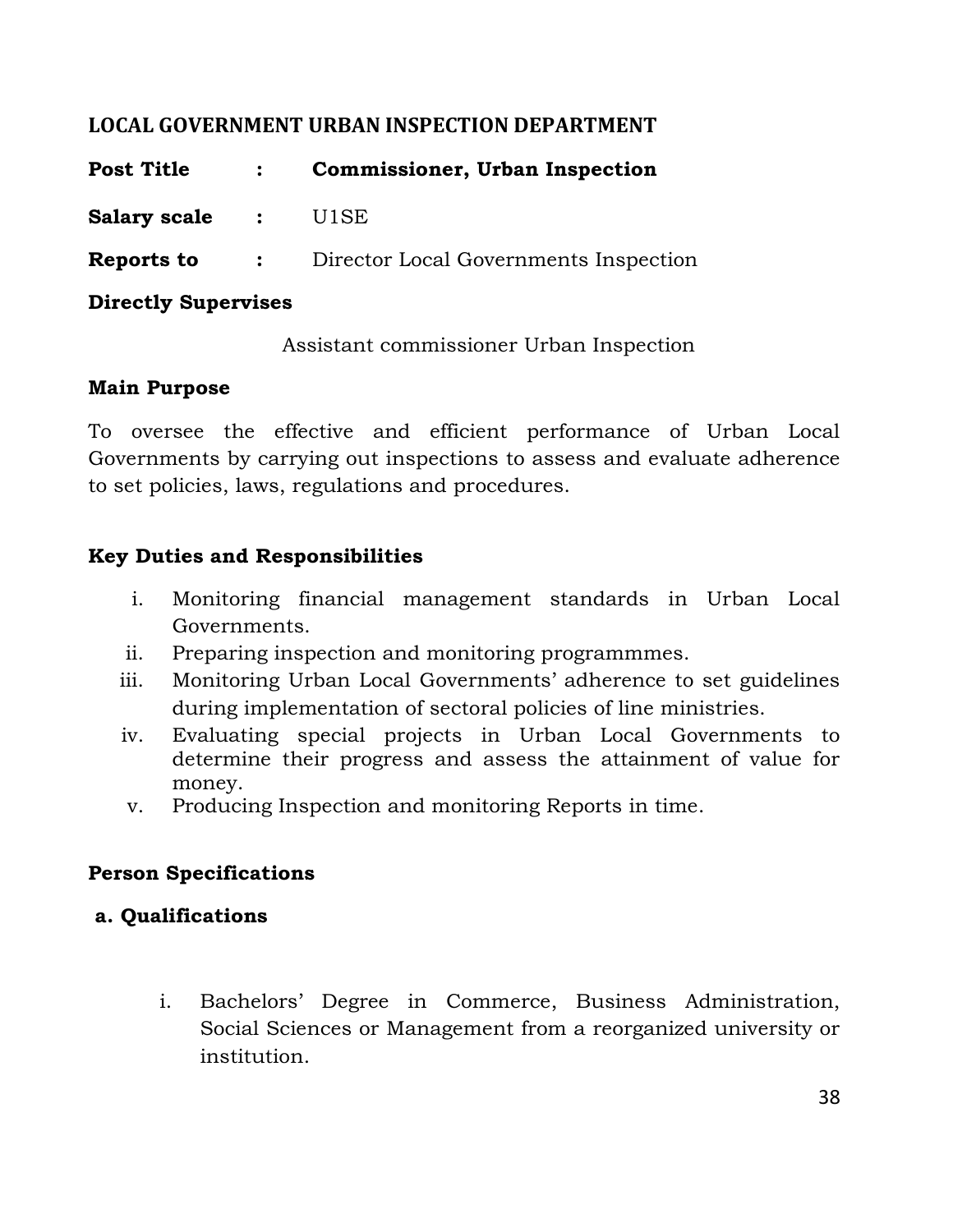## **LOCAL GOVERNMENT URBAN INSPECTION DEPARTMENT**

| <b>Post Title</b>          | $\mathbb{R}^n$ | <b>Commissioner, Urban Inspection</b>                     |
|----------------------------|----------------|-----------------------------------------------------------|
| <b>Salary scale : UISE</b> |                |                                                           |
|                            |                | <b>Reports to :</b> Director Local Governments Inspection |
| <b>Directly Supervises</b> |                |                                                           |

Assistant commissioner Urban Inspection

## **Main Purpose**

To oversee the effective and efficient performance of Urban Local Governments by carrying out inspections to assess and evaluate adherence to set policies, laws, regulations and procedures.

## **Key Duties and Responsibilities**

- i. Monitoring financial management standards in Urban Local Governments.
- ii. Preparing inspection and monitoring programmmes.
- iii. Monitoring Urban Local Governments' adherence to set guidelines during implementation of sectoral policies of line ministries.
- iv. Evaluating special projects in Urban Local Governments to determine their progress and assess the attainment of value for money.
- v. Producing Inspection and monitoring Reports in time.

## **Person Specifications**

## **a. Qualifications**

i. Bachelors' Degree in Commerce, Business Administration, Social Sciences or Management from a reorganized university or institution.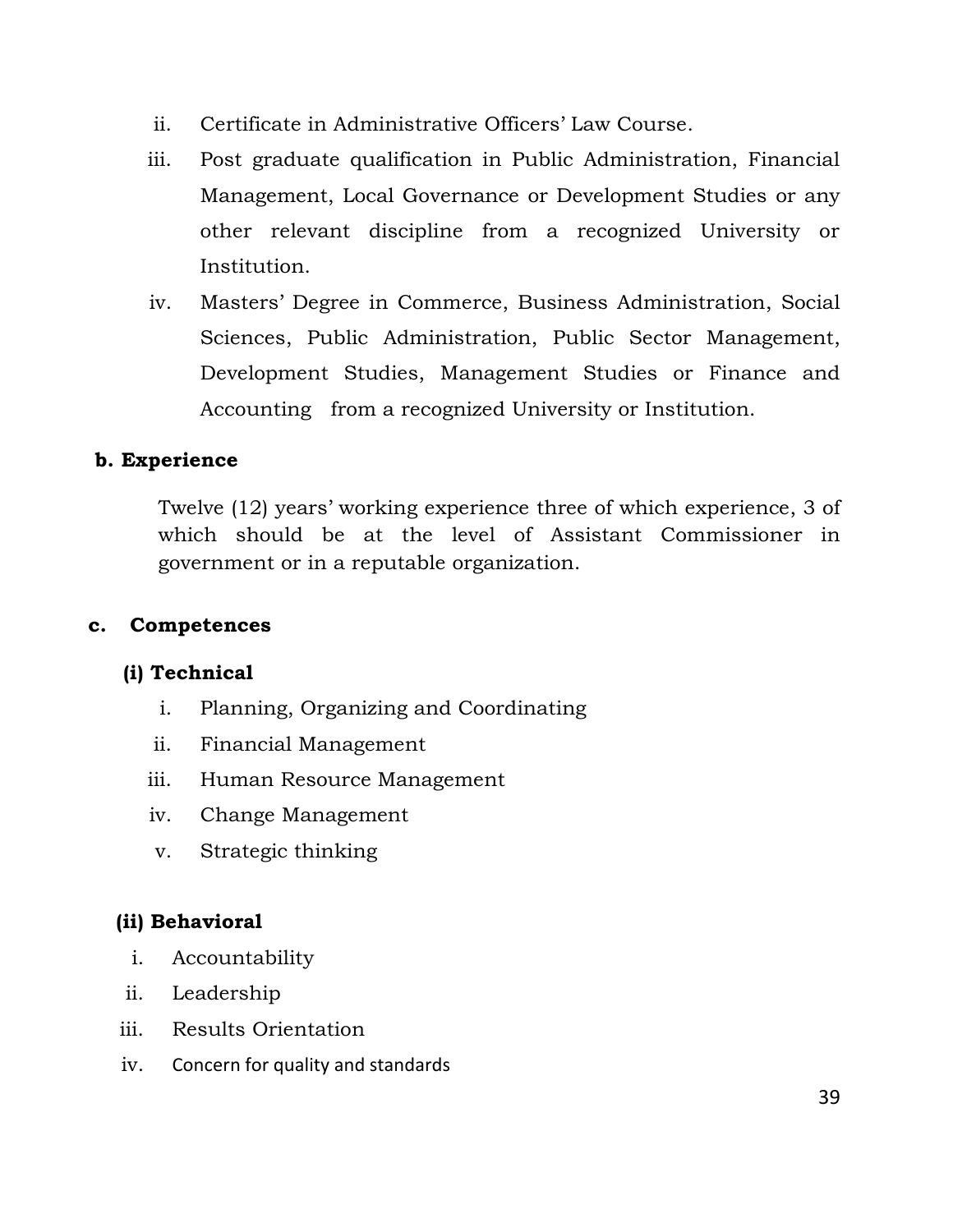- ii. Certificate in Administrative Officers' Law Course.
- iii. Post graduate qualification in Public Administration, Financial Management, Local Governance or Development Studies or any other relevant discipline from a recognized University or Institution.
- iv. Masters' Degree in Commerce, Business Administration, Social Sciences, Public Administration, Public Sector Management, Development Studies, Management Studies or Finance and Accounting from a recognized University or Institution.

## **b. Experience**

Twelve (12) years' working experience three of which experience, 3 of which should be at the level of Assistant Commissioner in government or in a reputable organization.

## **c. Competences**

## **(i) Technical**

- i. Planning, Organizing and Coordinating
- ii. Financial Management
- iii. Human Resource Management
- iv. Change Management
- v. Strategic thinking

- i. Accountability
- ii. Leadership
- iii. Results Orientation
- iv. Concern for quality and standards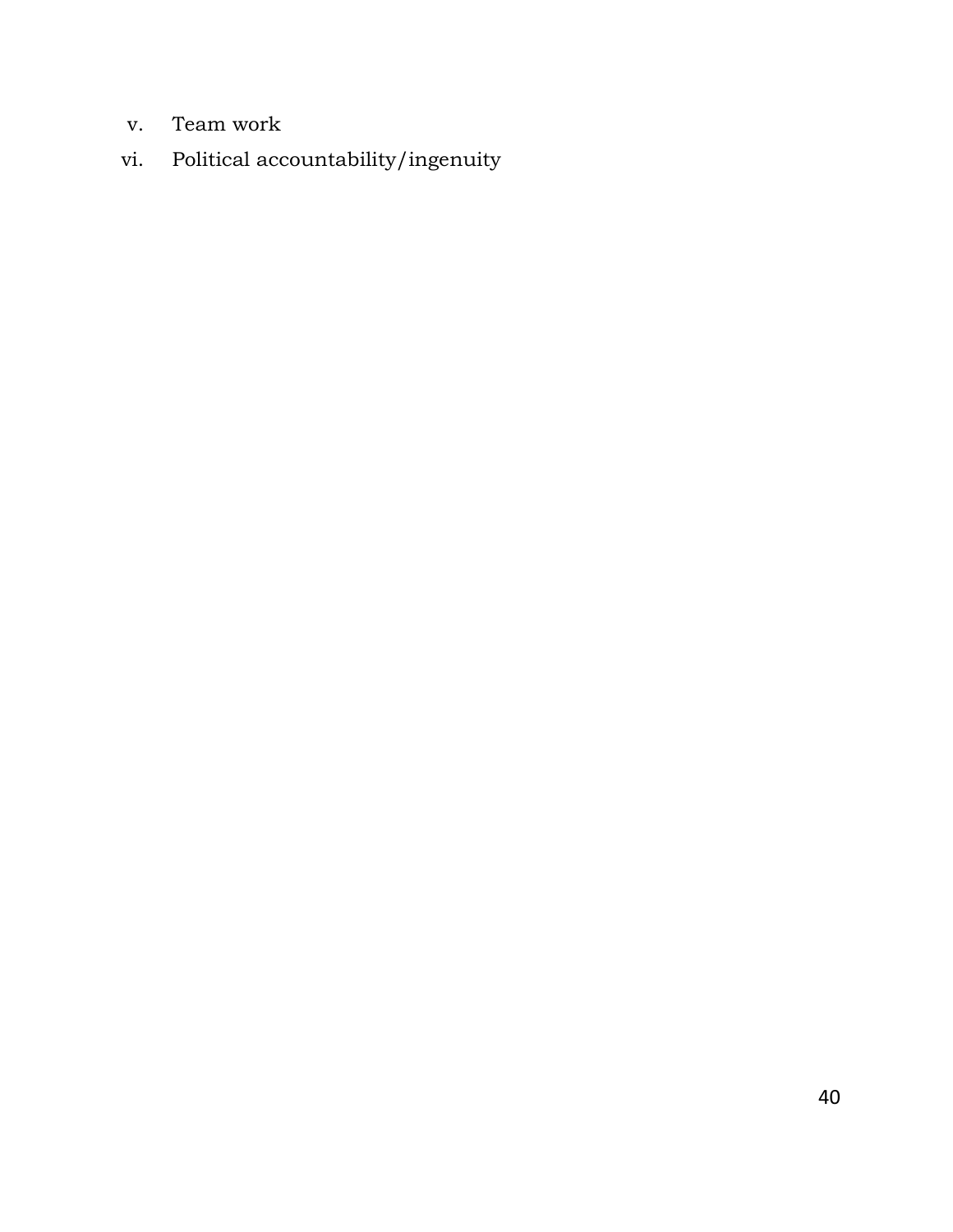- v. Team work
- vi. Political accountability/ingenuity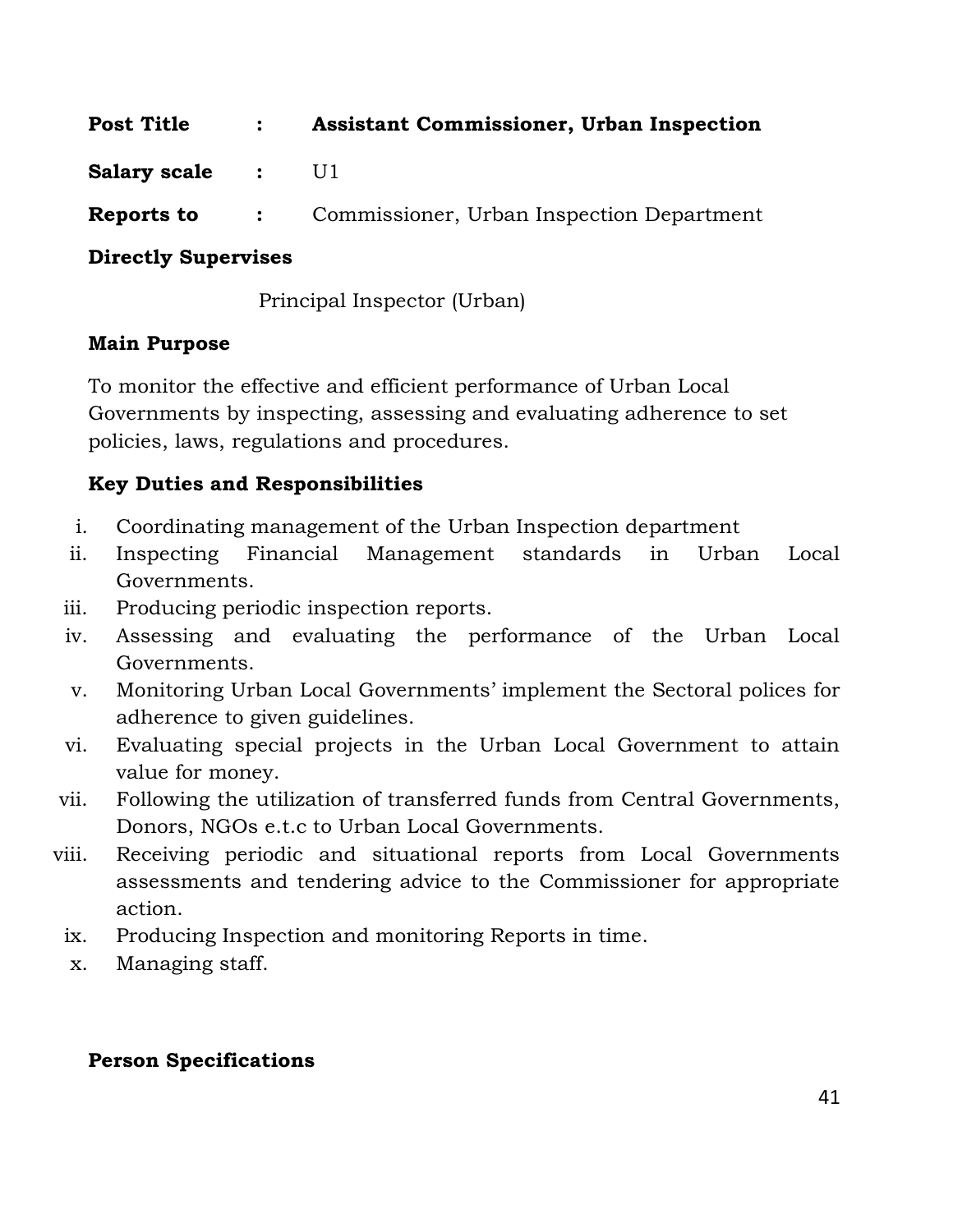| <b>Post Title</b>        | $\mathbf{L}$ | <b>Assistant Commissioner, Urban Inspection</b> |
|--------------------------|--------------|-------------------------------------------------|
| <b>Salary scale : U1</b> |              |                                                 |
| Reports to               |              | : Commissioner, Urban Inspection Department     |

## **Directly Supervises**

Principal Inspector (Urban)

## **Main Purpose**

To monitor the effective and efficient performance of Urban Local Governments by inspecting, assessing and evaluating adherence to set policies, laws, regulations and procedures.

## **Key Duties and Responsibilities**

- i. Coordinating management of the Urban Inspection department
- ii. Inspecting Financial Management standards in Urban Local Governments.
- iii. Producing periodic inspection reports.
- iv. Assessing and evaluating the performance of the Urban Local Governments.
- v. Monitoring Urban Local Governments' implement the Sectoral polices for adherence to given guidelines.
- vi. Evaluating special projects in the Urban Local Government to attain value for money.
- vii. Following the utilization of transferred funds from Central Governments, Donors, NGOs e.t.c to Urban Local Governments.
- viii. Receiving periodic and situational reports from Local Governments assessments and tendering advice to the Commissioner for appropriate action.
	- ix. Producing Inspection and monitoring Reports in time.
	- x. Managing staff.

## **Person Specifications**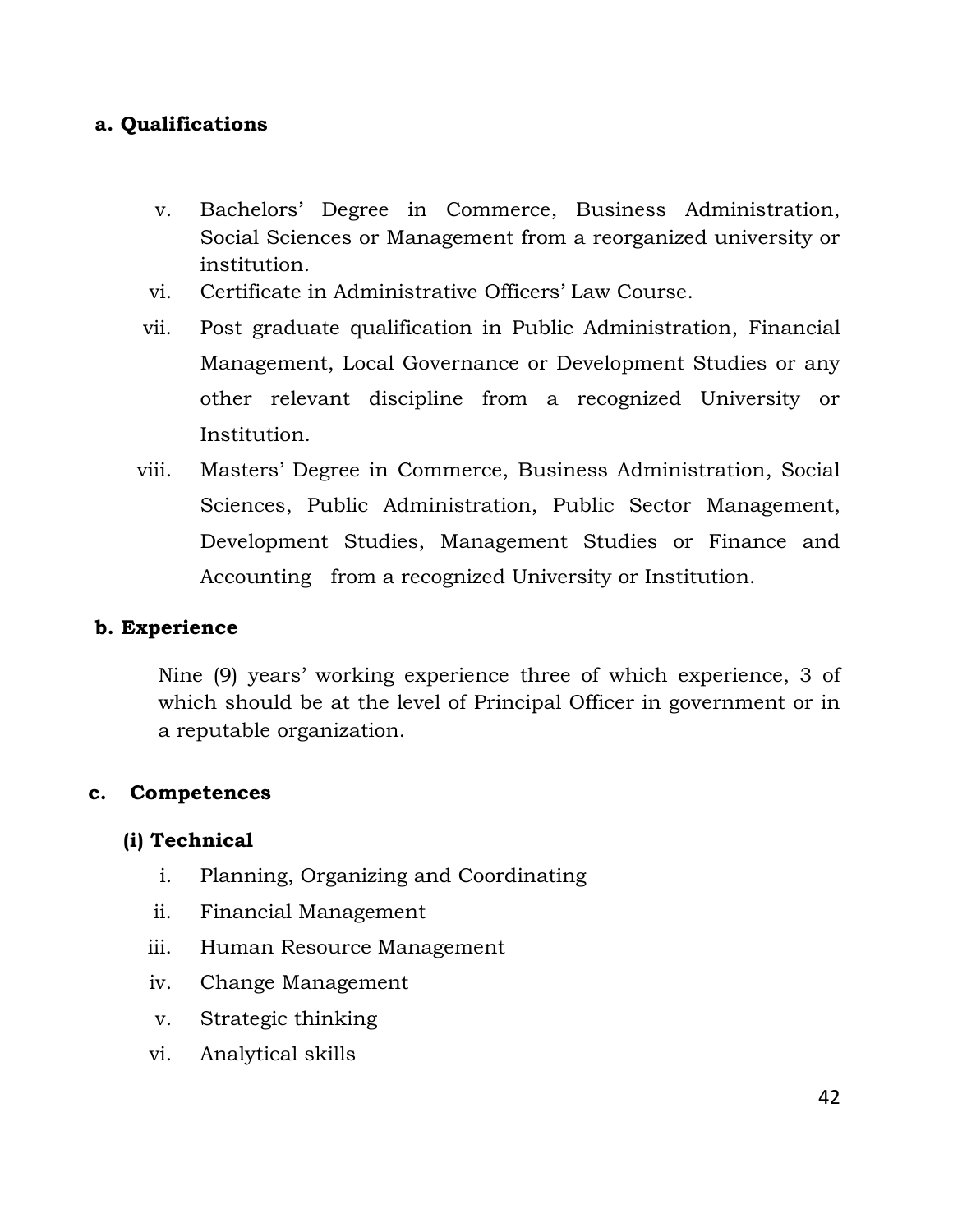## **a. Qualifications**

- v. Bachelors' Degree in Commerce, Business Administration, Social Sciences or Management from a reorganized university or institution.
- vi. Certificate in Administrative Officers' Law Course.
- vii. Post graduate qualification in Public Administration, Financial Management, Local Governance or Development Studies or any other relevant discipline from a recognized University or Institution.
- viii. Masters' Degree in Commerce, Business Administration, Social Sciences, Public Administration, Public Sector Management, Development Studies, Management Studies or Finance and Accounting from a recognized University or Institution.

#### **b. Experience**

Nine (9) years' working experience three of which experience, 3 of which should be at the level of Principal Officer in government or in a reputable organization.

#### **c. Competences**

#### **(i) Technical**

- i. Planning, Organizing and Coordinating
- ii. Financial Management
- iii. Human Resource Management
- iv. Change Management
- v. Strategic thinking
- vi. Analytical skills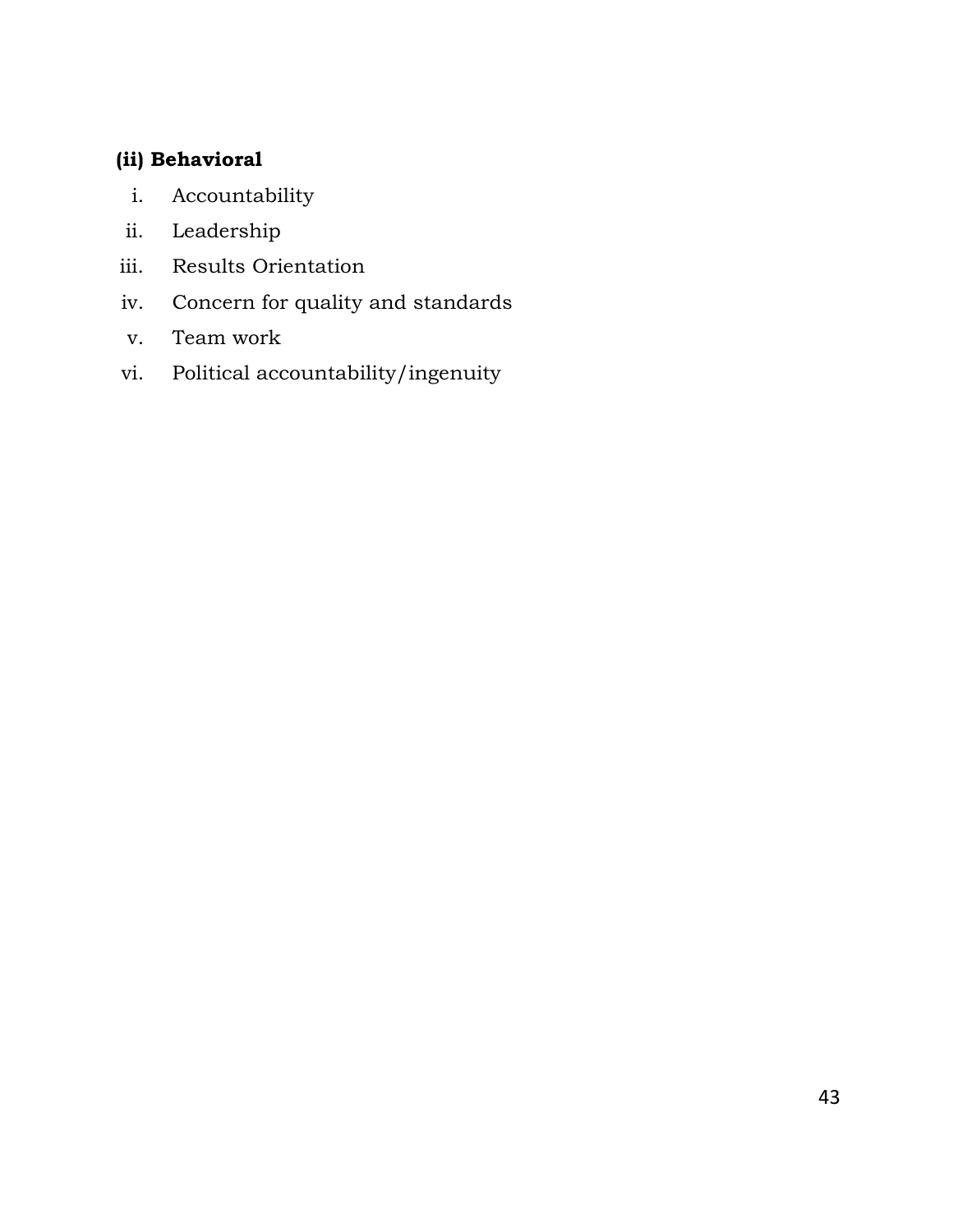- i. Accountability
- ii. Leadership
- iii. Results Orientation
- iv. Concern for quality and standards
- v. Team work
- vi. Political accountability/ingenuity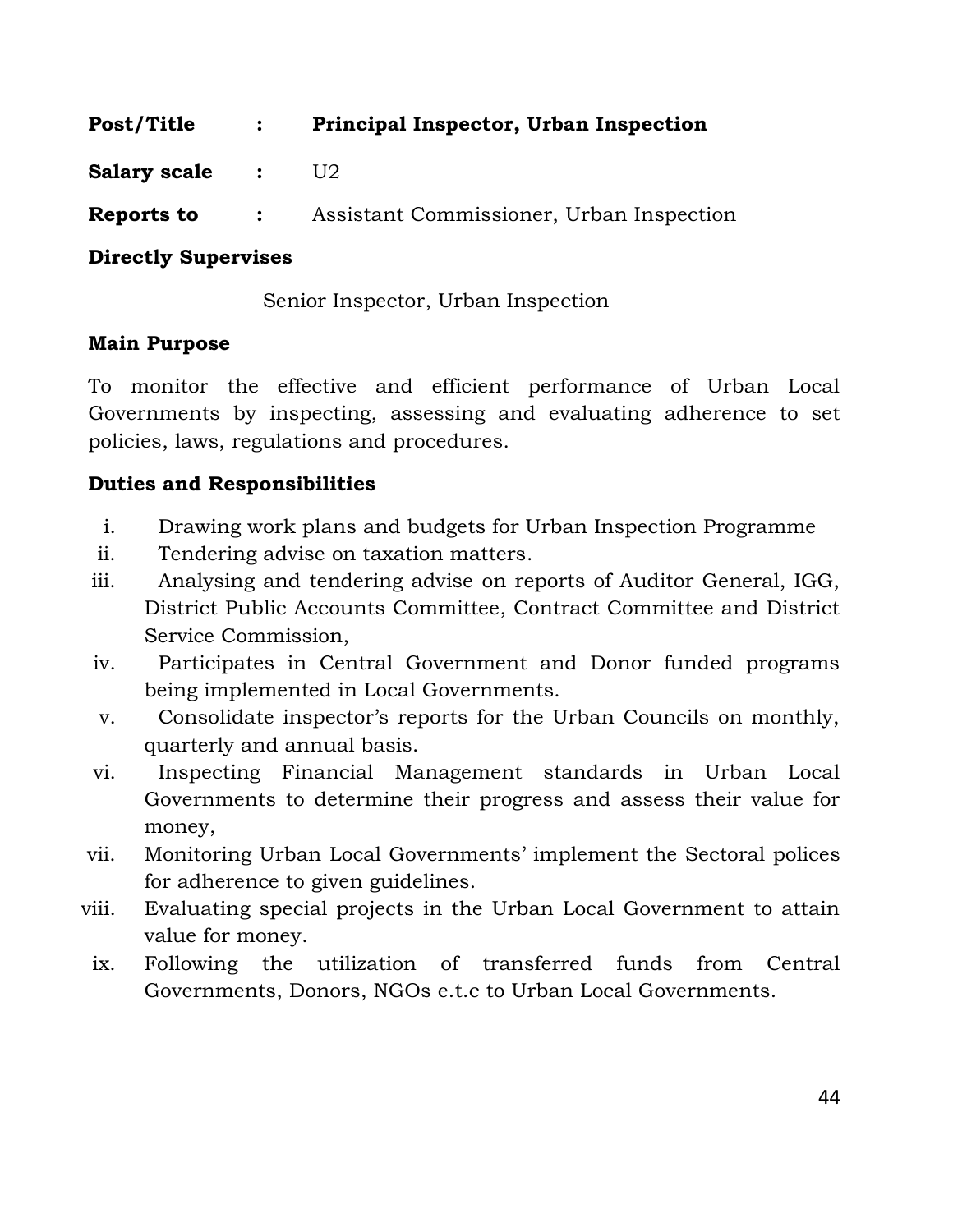| Post/Title            | $\mathbb{R}^n$ . The set of $\mathbb{R}^n$ | <b>Principal Inspector, Urban Inspection</b> |
|-----------------------|--------------------------------------------|----------------------------------------------|
| <b>Salary scale :</b> |                                            | - U 9.                                       |
| Reports to            | $\mathbf{H}$ . The set of $\mathbf{H}$     | Assistant Commissioner, Urban Inspection     |

#### **Directly Supervises**

Senior Inspector, Urban Inspection

## **Main Purpose**

To monitor the effective and efficient performance of Urban Local Governments by inspecting, assessing and evaluating adherence to set policies, laws, regulations and procedures.

## **Duties and Responsibilities**

- i. Drawing work plans and budgets for Urban Inspection Programme
- ii. Tendering advise on taxation matters.
- iii. Analysing and tendering advise on reports of Auditor General, IGG, District Public Accounts Committee, Contract Committee and District Service Commission,
- iv. Participates in Central Government and Donor funded programs being implemented in Local Governments.
- v. Consolidate inspector's reports for the Urban Councils on monthly, quarterly and annual basis.
- vi. Inspecting Financial Management standards in Urban Local Governments to determine their progress and assess their value for money,
- vii. Monitoring Urban Local Governments' implement the Sectoral polices for adherence to given guidelines.
- viii. Evaluating special projects in the Urban Local Government to attain value for money.
- ix. Following the utilization of transferred funds from Central Governments, Donors, NGOs e.t.c to Urban Local Governments.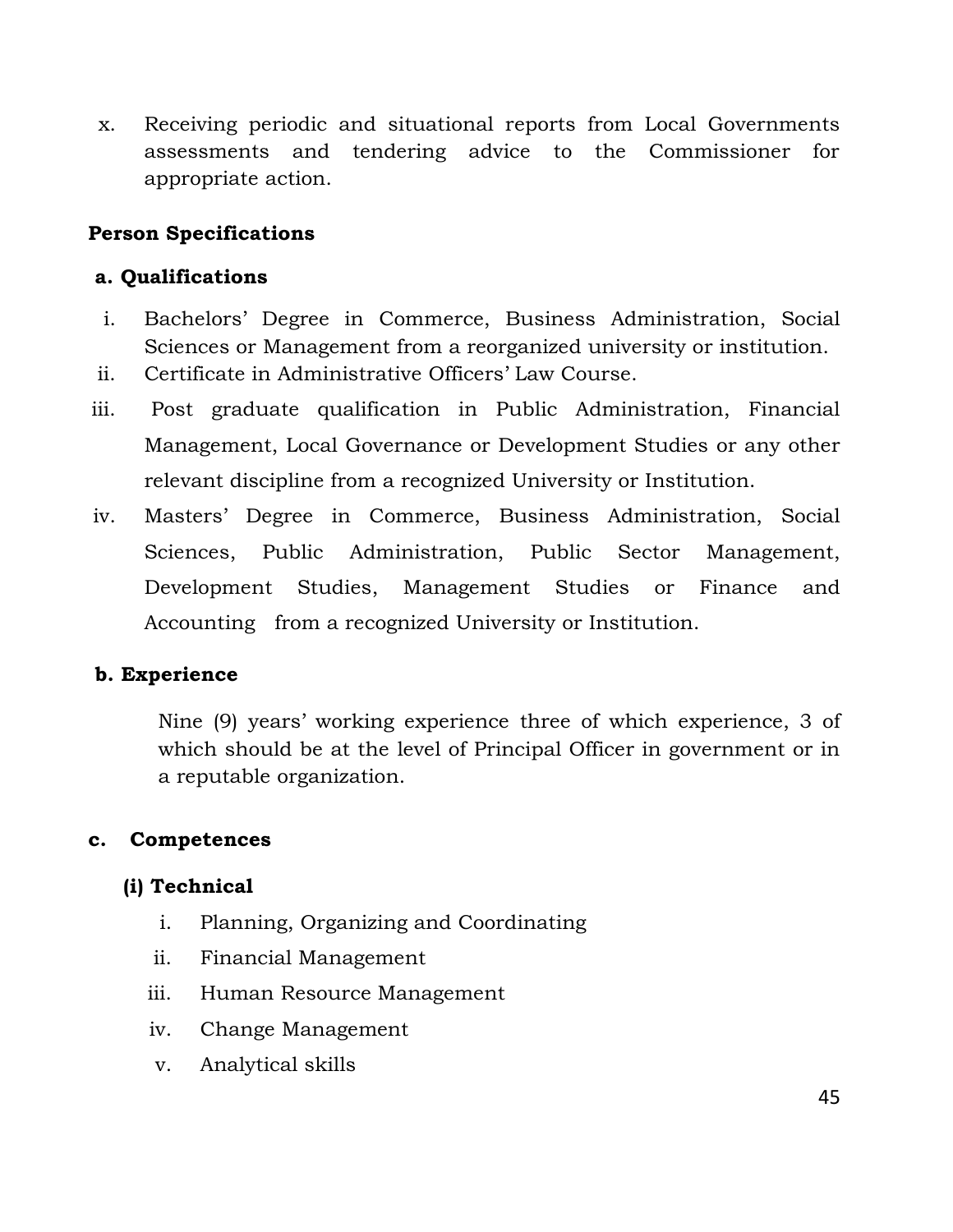x. Receiving periodic and situational reports from Local Governments assessments and tendering advice to the Commissioner for appropriate action.

## **Person Specifications**

## **a. Qualifications**

- i. Bachelors' Degree in Commerce, Business Administration, Social Sciences or Management from a reorganized university or institution.
- ii. Certificate in Administrative Officers' Law Course.
- iii. Post graduate qualification in Public Administration, Financial Management, Local Governance or Development Studies or any other relevant discipline from a recognized University or Institution.
- iv. Masters' Degree in Commerce, Business Administration, Social Sciences, Public Administration, Public Sector Management, Development Studies, Management Studies or Finance and Accounting from a recognized University or Institution.

## **b. Experience**

Nine (9) years' working experience three of which experience, 3 of which should be at the level of Principal Officer in government or in a reputable organization.

## **c. Competences**

## **(i) Technical**

- i. Planning, Organizing and Coordinating
- ii. Financial Management
- iii. Human Resource Management
- iv. Change Management
- v. Analytical skills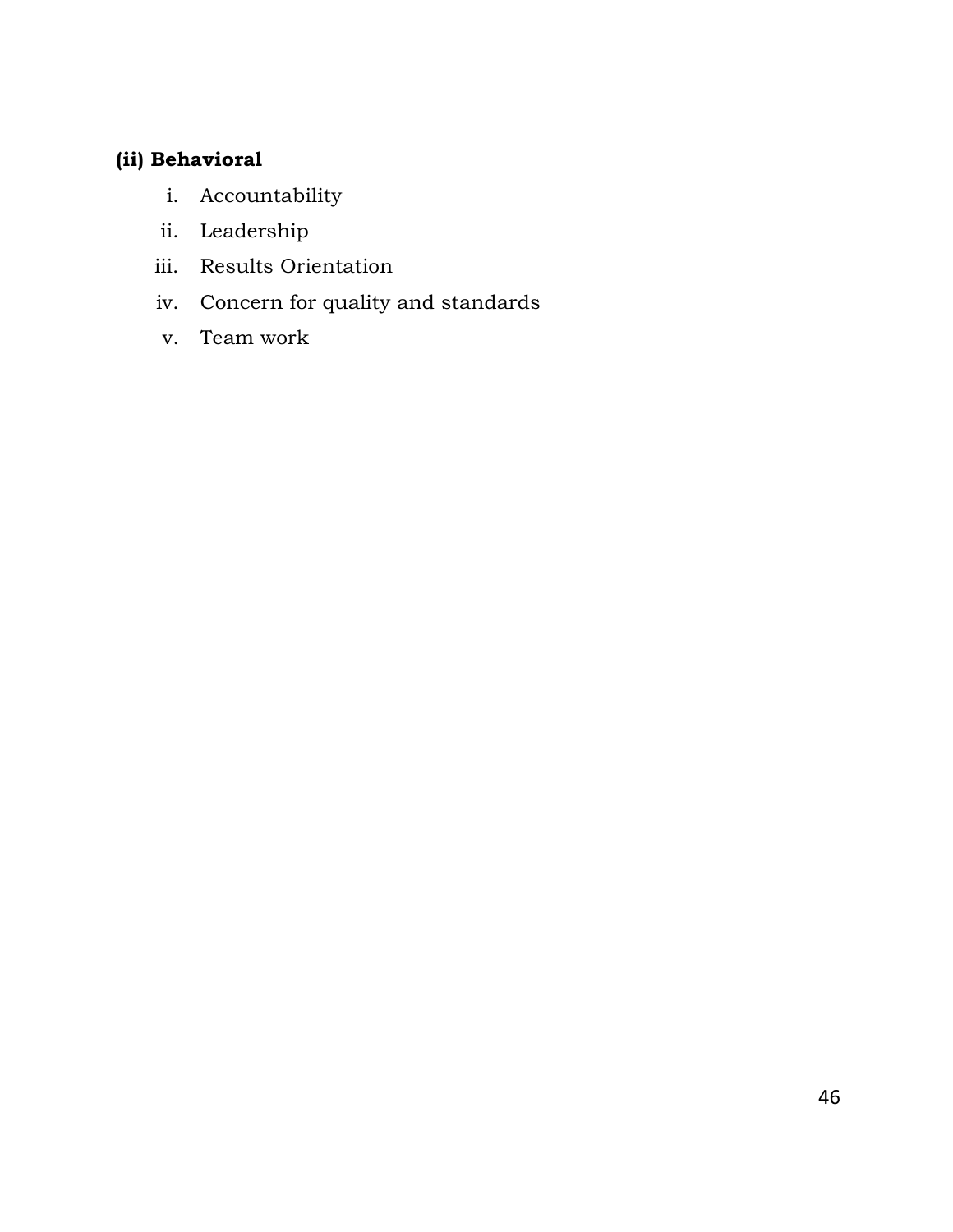- i. Accountability
- ii. Leadership
- iii. Results Orientation
- iv. Concern for quality and standards
- v. Team work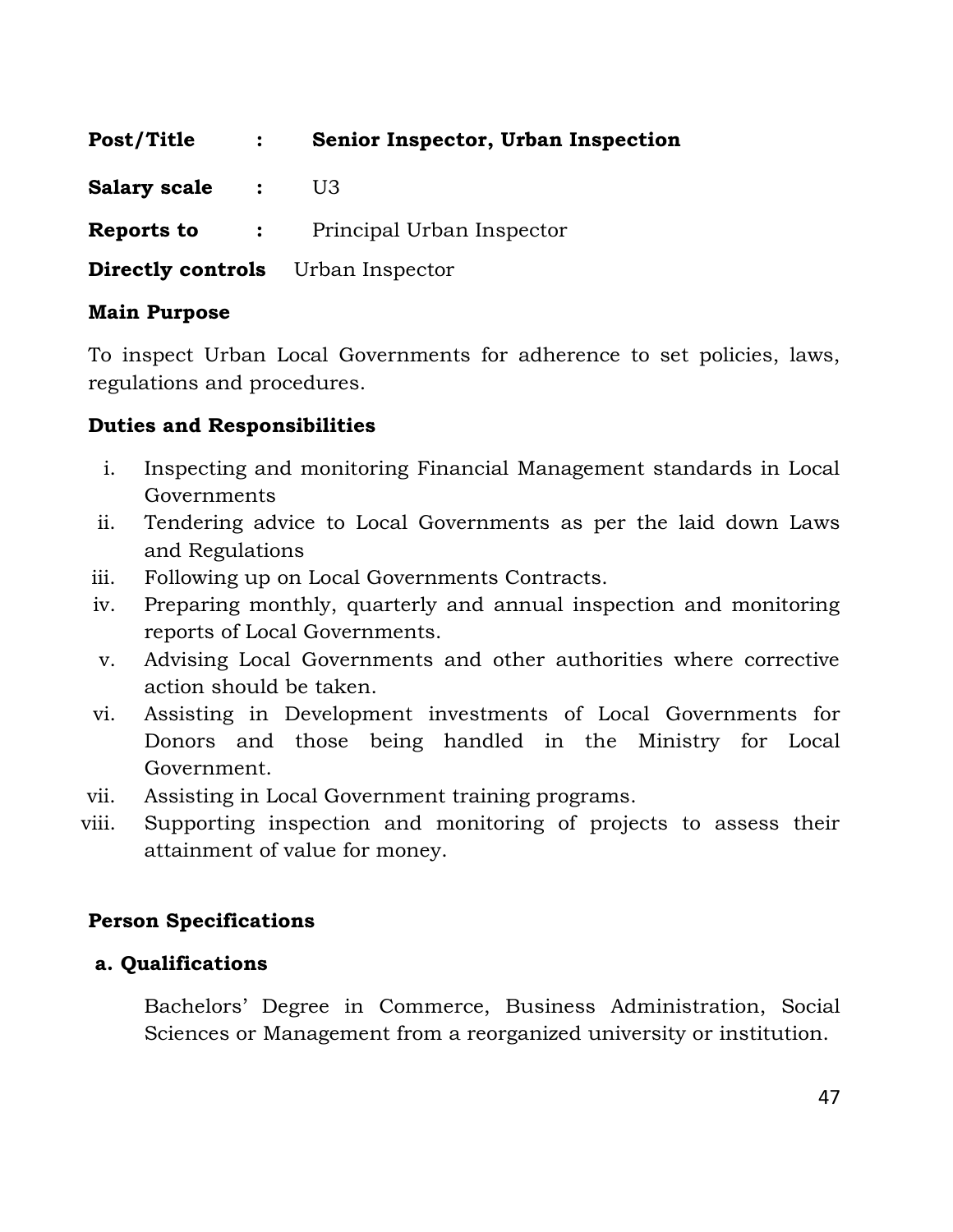| Post/Title<br>$\mathbf{H}$               |  | Senior Inspector, Urban Inspection            |
|------------------------------------------|--|-----------------------------------------------|
| Salary scale :                           |  | U3                                            |
|                                          |  | <b>Reports to :</b> Principal Urban Inspector |
| <b>Directly controls</b> Urban Inspector |  |                                               |

#### **Main Purpose**

To inspect Urban Local Governments for adherence to set policies, laws, regulations and procedures.

## **Duties and Responsibilities**

- i. Inspecting and monitoring Financial Management standards in Local Governments
- ii. Tendering advice to Local Governments as per the laid down Laws and Regulations
- iii. Following up on Local Governments Contracts.
- iv. Preparing monthly, quarterly and annual inspection and monitoring reports of Local Governments.
- v. Advising Local Governments and other authorities where corrective action should be taken.
- vi. Assisting in Development investments of Local Governments for Donors and those being handled in the Ministry for Local Government.
- vii. Assisting in Local Government training programs.
- viii. Supporting inspection and monitoring of projects to assess their attainment of value for money.

## **Person Specifications**

#### **a. Qualifications**

Bachelors' Degree in Commerce, Business Administration, Social Sciences or Management from a reorganized university or institution.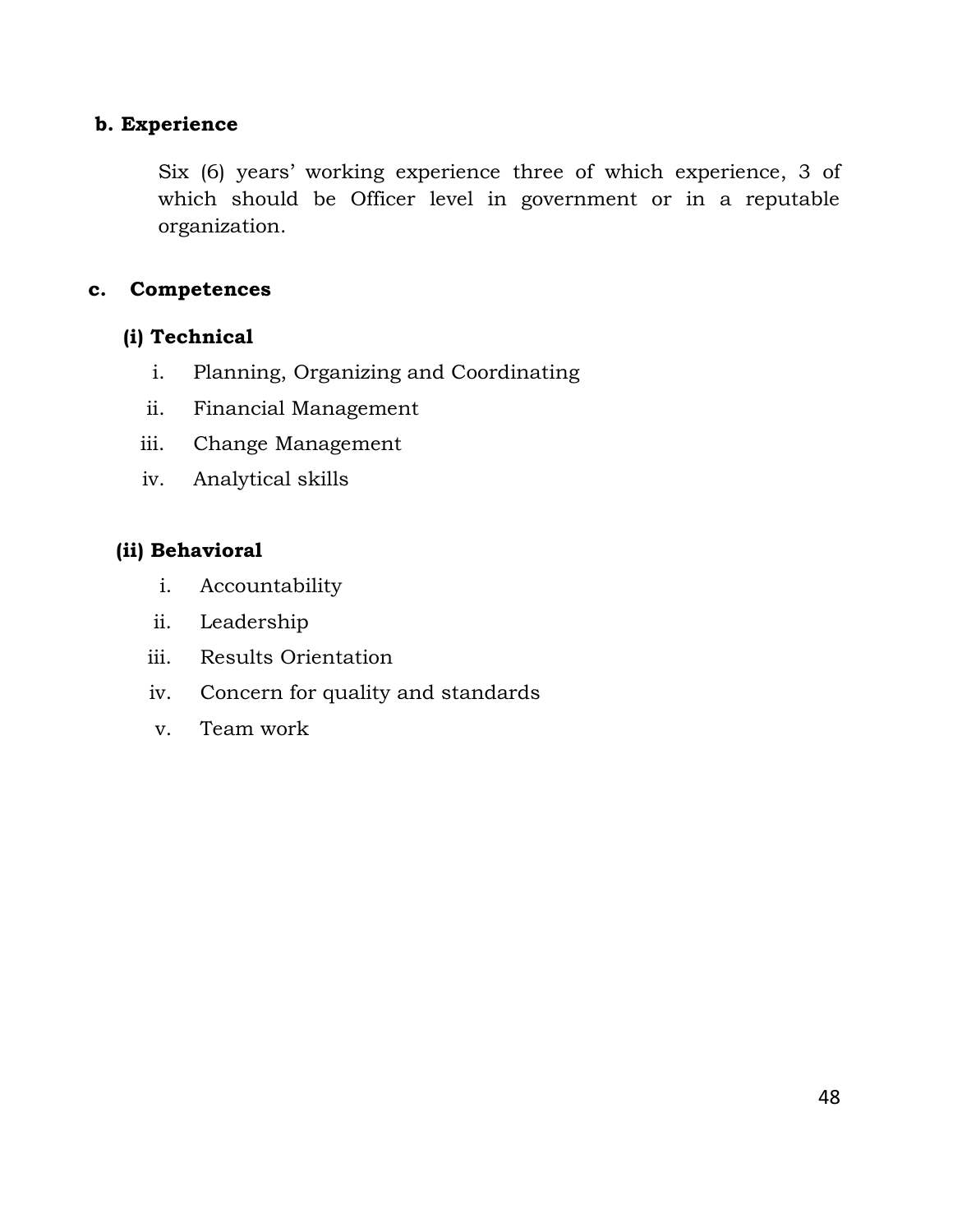#### **b. Experience**

Six (6) years' working experience three of which experience, 3 of which should be Officer level in government or in a reputable organization.

## **c. Competences**

## **(i) Technical**

- i. Planning, Organizing and Coordinating
- ii. Financial Management
- iii. Change Management
- iv. Analytical skills

- i. Accountability
- ii. Leadership
- iii. Results Orientation
- iv. Concern for quality and standards
- v. Team work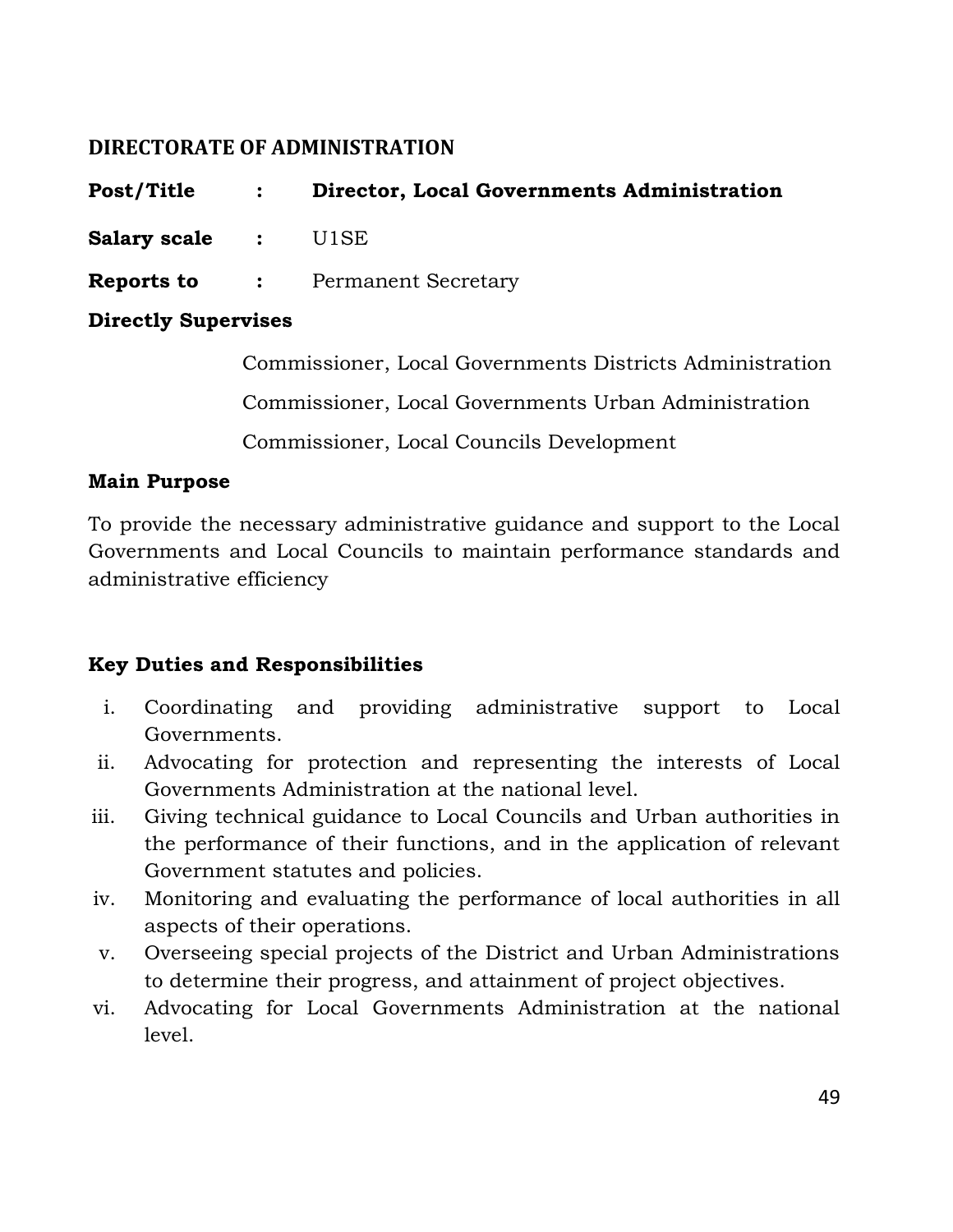## **DIRECTORATE OF ADMINISTRATION**

| <b>Post/Title :</b>        |  | <b>Director, Local Governments Administration</b> |
|----------------------------|--|---------------------------------------------------|
| <b>Salary scale : UISE</b> |  |                                                   |
|                            |  | <b>Reports to : Permanent Secretary</b>           |
| <b>Directly Supervises</b> |  |                                                   |

Commissioner, Local Governments Districts Administration Commissioner, Local Governments Urban Administration Commissioner, Local Councils Development

## **Main Purpose**

To provide the necessary administrative guidance and support to the Local Governments and Local Councils to maintain performance standards and administrative efficiency

## **Key Duties and Responsibilities**

- i. Coordinating and providing administrative support to Local Governments.
- ii. Advocating for protection and representing the interests of Local Governments Administration at the national level.
- iii. Giving technical guidance to Local Councils and Urban authorities in the performance of their functions, and in the application of relevant Government statutes and policies.
- iv. Monitoring and evaluating the performance of local authorities in all aspects of their operations.
- v. Overseeing special projects of the District and Urban Administrations to determine their progress, and attainment of project objectives.
- vi. Advocating for Local Governments Administration at the national level.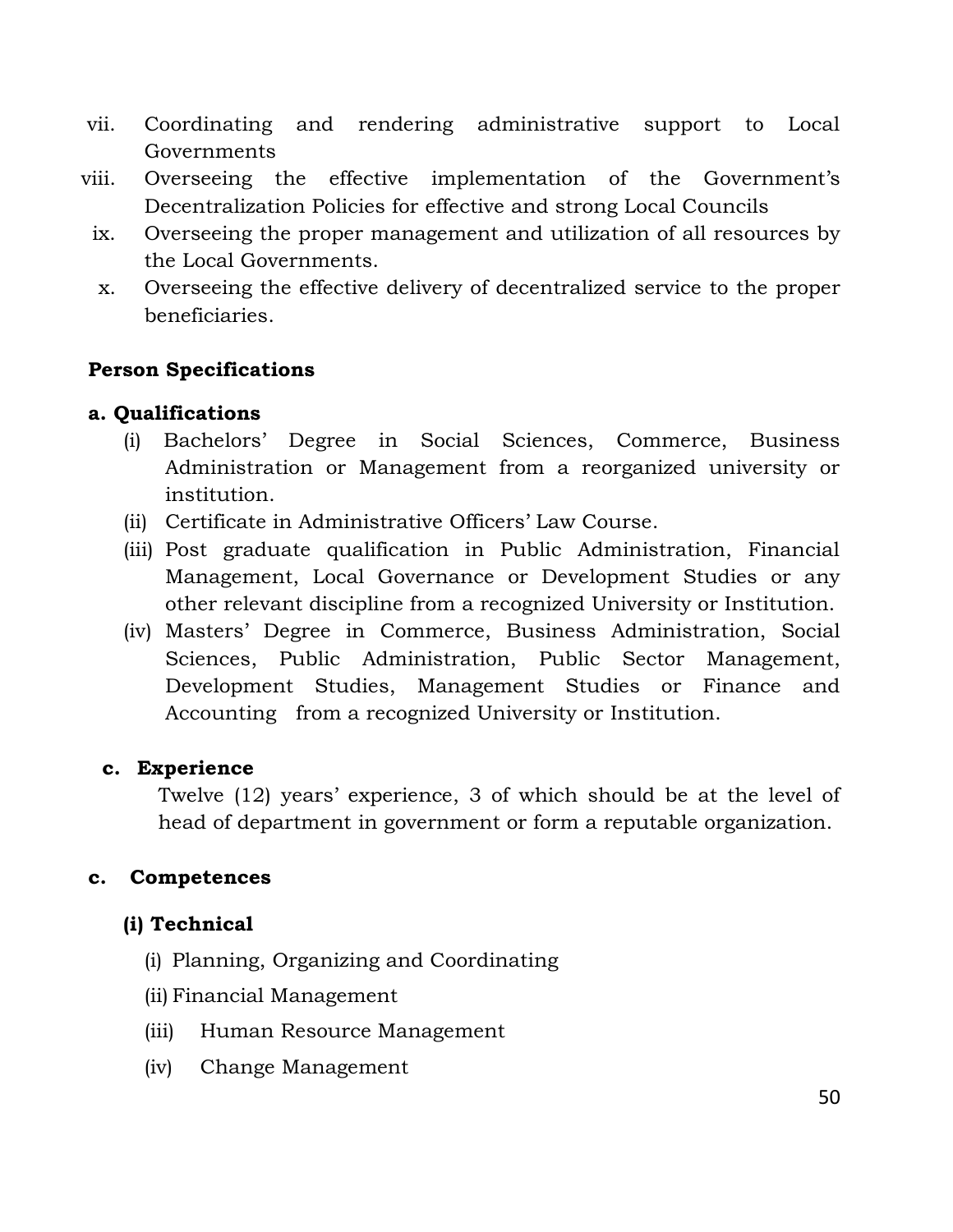- vii. Coordinating and rendering administrative support to Local Governments
- viii. Overseeing the effective implementation of the Government's Decentralization Policies for effective and strong Local Councils
- ix. Overseeing the proper management and utilization of all resources by the Local Governments.
- x. Overseeing the effective delivery of decentralized service to the proper beneficiaries.

## **Person Specifications**

#### **a. Qualifications**

- (i) Bachelors' Degree in Social Sciences, Commerce, Business Administration or Management from a reorganized university or institution.
- (ii) Certificate in Administrative Officers' Law Course.
- (iii) Post graduate qualification in Public Administration, Financial Management, Local Governance or Development Studies or any other relevant discipline from a recognized University or Institution.
- (iv) Masters' Degree in Commerce, Business Administration, Social Sciences, Public Administration, Public Sector Management, Development Studies, Management Studies or Finance and Accounting from a recognized University or Institution.

## **c. Experience**

Twelve (12) years' experience, 3 of which should be at the level of head of department in government or form a reputable organization.

## **c. Competences**

## **(i) Technical**

- (i) Planning, Organizing and Coordinating
- (ii) Financial Management
- (iii) Human Resource Management
- (iv) Change Management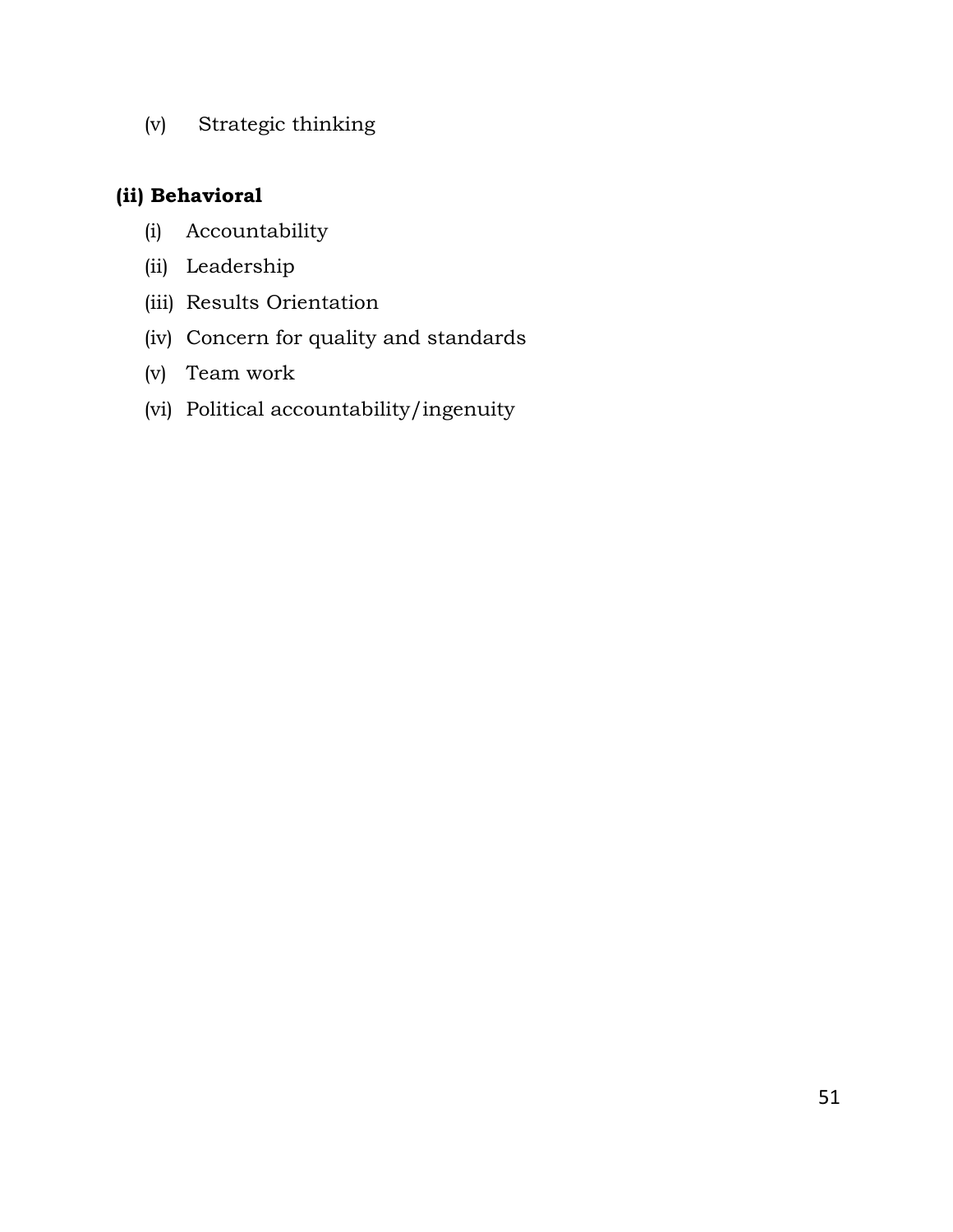(v) Strategic thinking

- (i) Accountability
- (ii) Leadership
- (iii) Results Orientation
- (iv) Concern for quality and standards
- (v) Team work
- (vi) Political accountability/ingenuity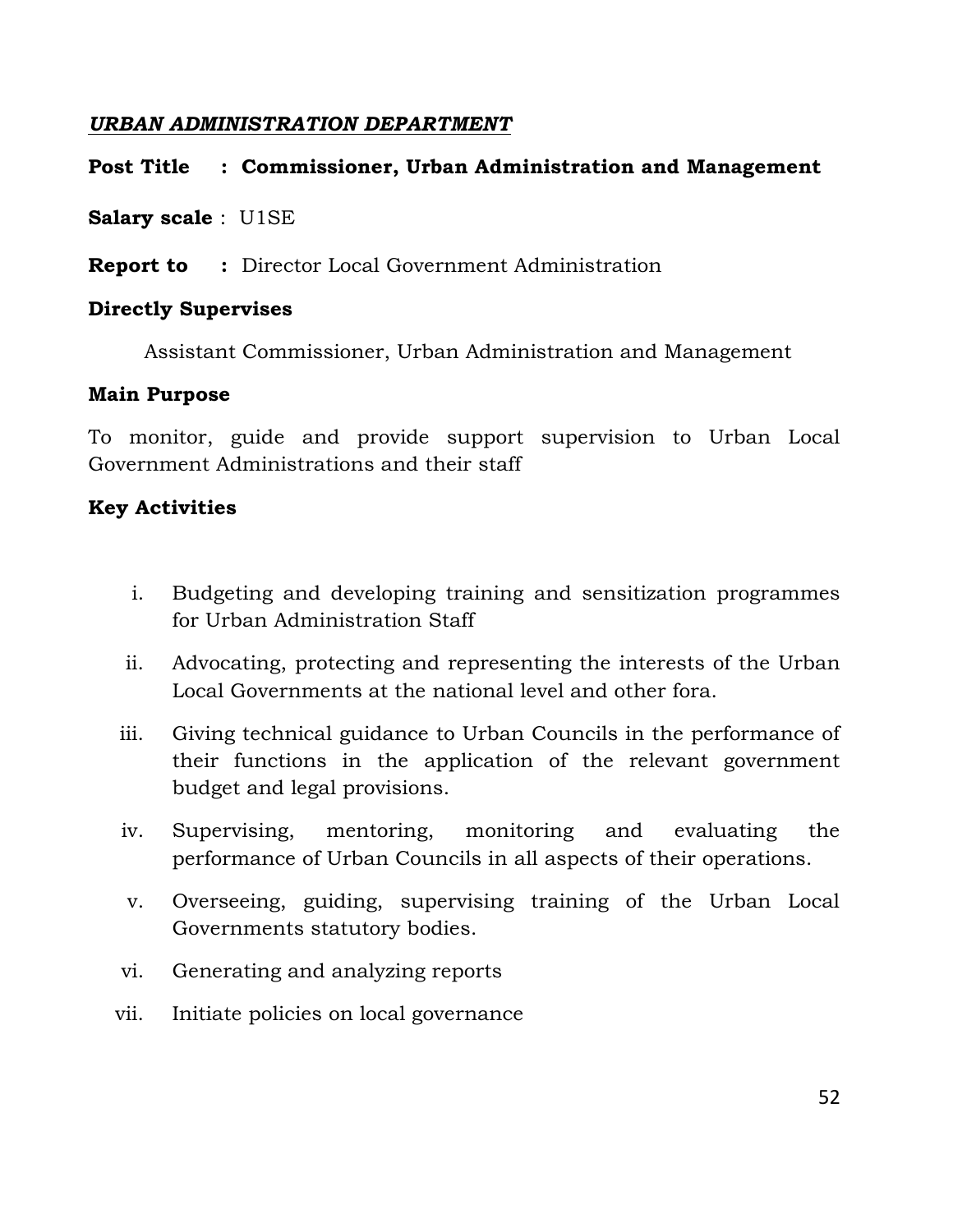#### *URBAN ADMINISTRATION DEPARTMENT*

## **Post Title : Commissioner, Urban Administration and Management**

**Salary scale** : U1SE

**Report to** : Director Local Government Administration

#### **Directly Supervises**

Assistant Commissioner, Urban Administration and Management

#### **Main Purpose**

To monitor, guide and provide support supervision to Urban Local Government Administrations and their staff

## **Key Activities**

- i. Budgeting and developing training and sensitization programmes for Urban Administration Staff
- ii. Advocating, protecting and representing the interests of the Urban Local Governments at the national level and other fora.
- iii. Giving technical guidance to Urban Councils in the performance of their functions in the application of the relevant government budget and legal provisions.
- iv. Supervising, mentoring, monitoring and evaluating the performance of Urban Councils in all aspects of their operations.
- v. Overseeing, guiding, supervising training of the Urban Local Governments statutory bodies.
- vi. Generating and analyzing reports
- vii. Initiate policies on local governance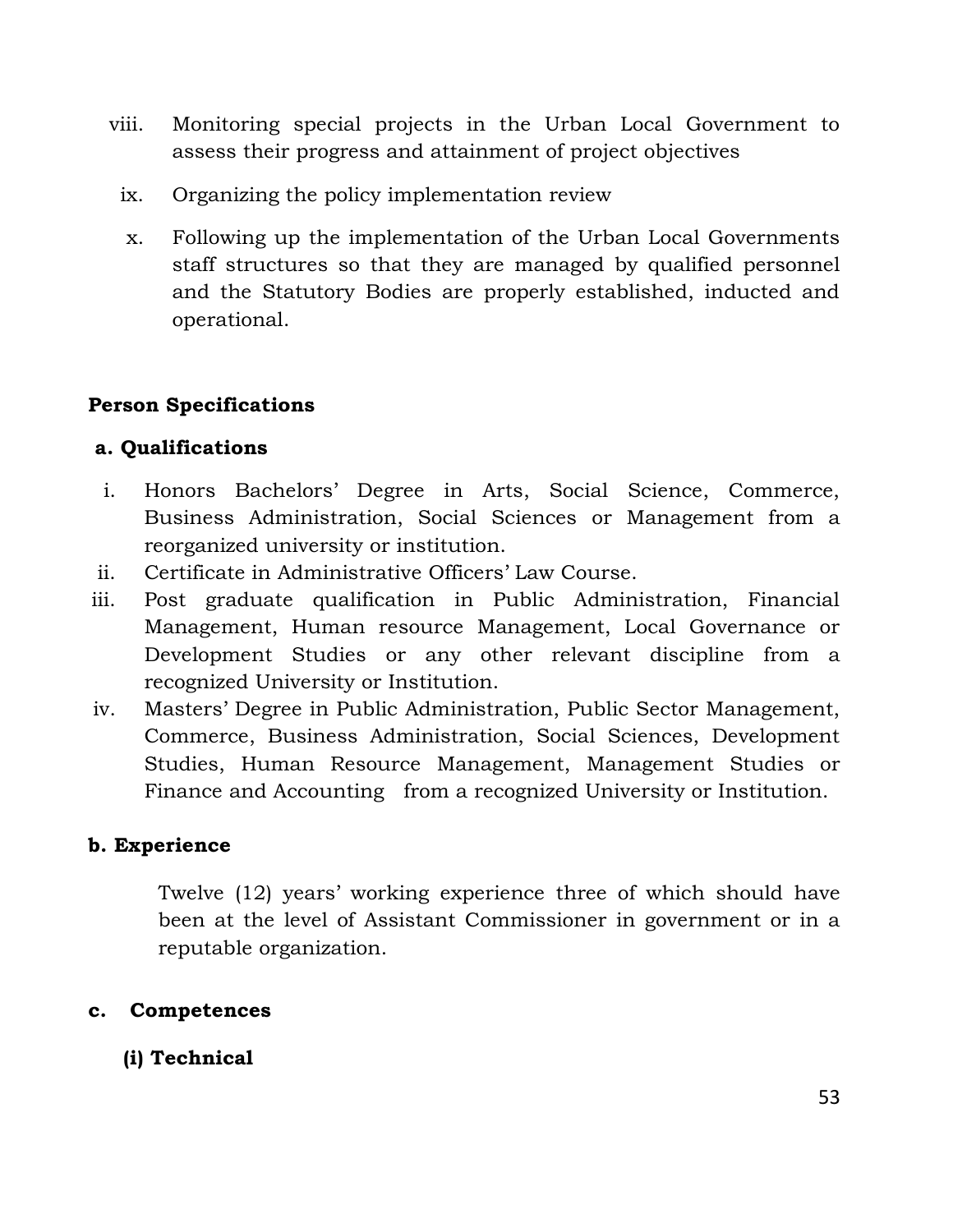- viii. Monitoring special projects in the Urban Local Government to assess their progress and attainment of project objectives
	- ix. Organizing the policy implementation review
	- x. Following up the implementation of the Urban Local Governments staff structures so that they are managed by qualified personnel and the Statutory Bodies are properly established, inducted and operational.

## **Person Specifications**

## **a. Qualifications**

- i. Honors Bachelors' Degree in Arts, Social Science, Commerce, Business Administration, Social Sciences or Management from a reorganized university or institution.
- ii. Certificate in Administrative Officers' Law Course.
- iii. Post graduate qualification in Public Administration, Financial Management, Human resource Management, Local Governance or Development Studies or any other relevant discipline from a recognized University or Institution.
- iv. Masters' Degree in Public Administration, Public Sector Management, Commerce, Business Administration, Social Sciences, Development Studies, Human Resource Management, Management Studies or Finance and Accounting from a recognized University or Institution.

## **b. Experience**

Twelve (12) years' working experience three of which should have been at the level of Assistant Commissioner in government or in a reputable organization.

## **c. Competences**

## **(i) Technical**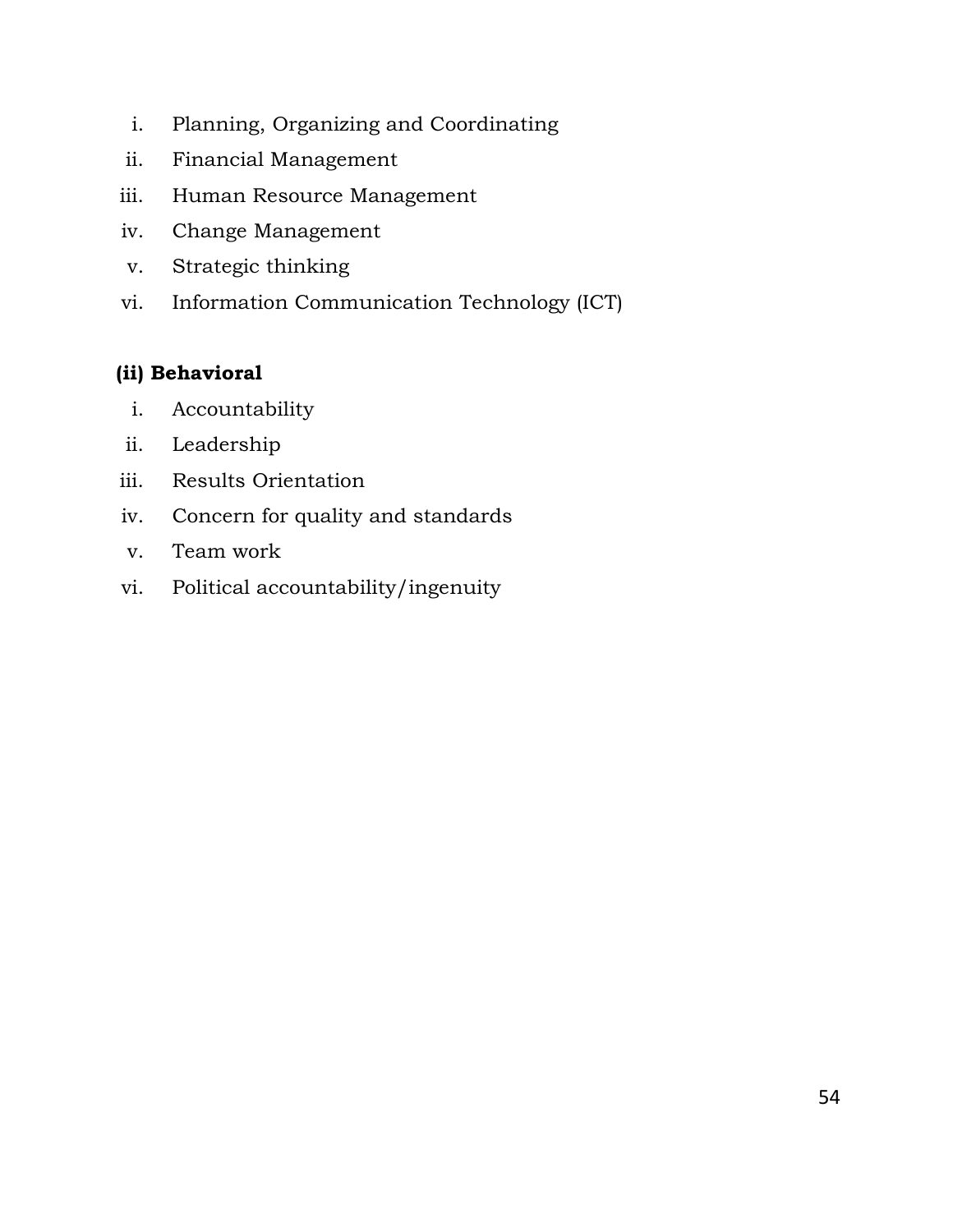- i. Planning, Organizing and Coordinating
- ii. Financial Management
- iii. Human Resource Management
- iv. Change Management
- v. Strategic thinking
- vi. Information Communication Technology (ICT)

- i. Accountability
- ii. Leadership
- iii. Results Orientation
- iv. Concern for quality and standards
- v. Team work
- vi. Political accountability/ingenuity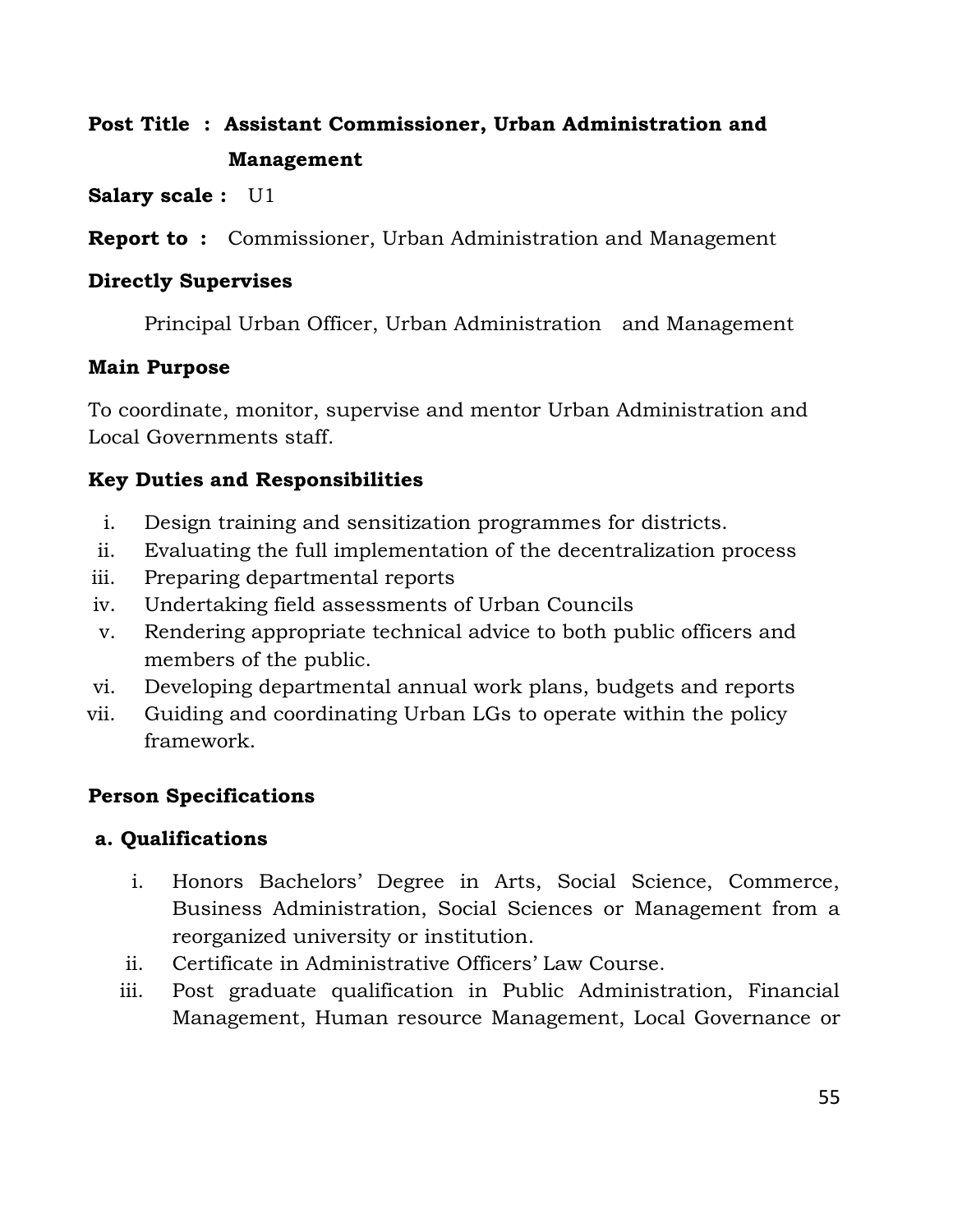# **Post Title : Assistant Commissioner, Urban Administration and Management**

**Salary scale :** U1

**Report to :** Commissioner, Urban Administration and Management

## **Directly Supervises**

Principal Urban Officer, Urban Administration and Management

## **Main Purpose**

To coordinate, monitor, supervise and mentor Urban Administration and Local Governments staff.

## **Key Duties and Responsibilities**

- i. Design training and sensitization programmes for districts.
- ii. Evaluating the full implementation of the decentralization process
- iii. Preparing departmental reports
- iv. Undertaking field assessments of Urban Councils
- v. Rendering appropriate technical advice to both public officers and members of the public.
- vi. Developing departmental annual work plans, budgets and reports
- vii. Guiding and coordinating Urban LGs to operate within the policy framework.

## **Person Specifications**

## **a. Qualifications**

- i. Honors Bachelors' Degree in Arts, Social Science, Commerce, Business Administration, Social Sciences or Management from a reorganized university or institution.
- ii. Certificate in Administrative Officers' Law Course.
- iii. Post graduate qualification in Public Administration, Financial Management, Human resource Management, Local Governance or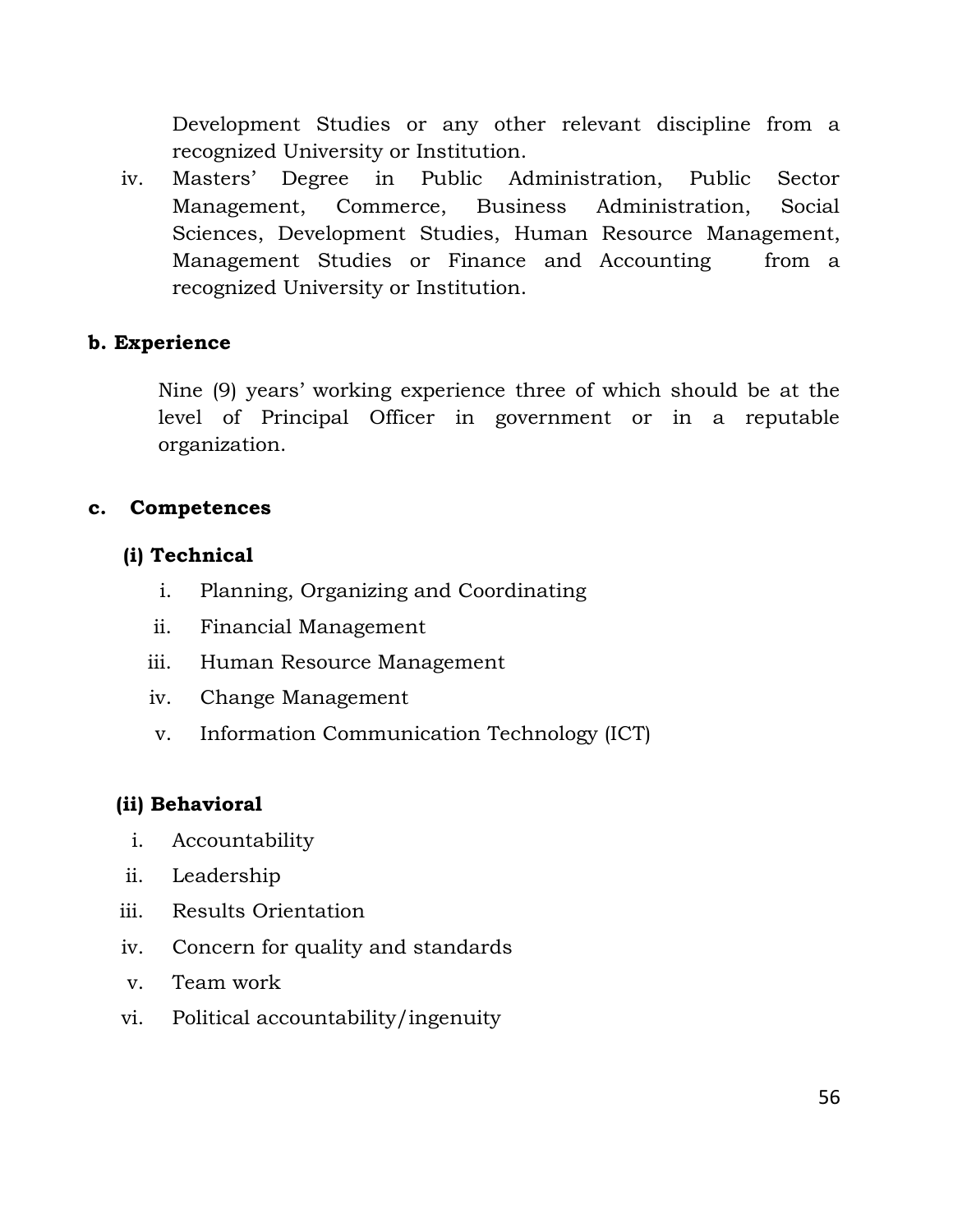Development Studies or any other relevant discipline from a recognized University or Institution.

iv. Masters' Degree in Public Administration, Public Sector Management, Commerce, Business Administration, Social Sciences, Development Studies, Human Resource Management, Management Studies or Finance and Accounting from a recognized University or Institution.

#### **b. Experience**

Nine (9) years' working experience three of which should be at the level of Principal Officer in government or in a reputable organization.

## **c. Competences**

## **(i) Technical**

- i. Planning, Organizing and Coordinating
- ii. Financial Management
- iii. Human Resource Management
- iv. Change Management
- v. Information Communication Technology (ICT)

- i. Accountability
- ii. Leadership
- iii. Results Orientation
- iv. Concern for quality and standards
- v. Team work
- vi. Political accountability/ingenuity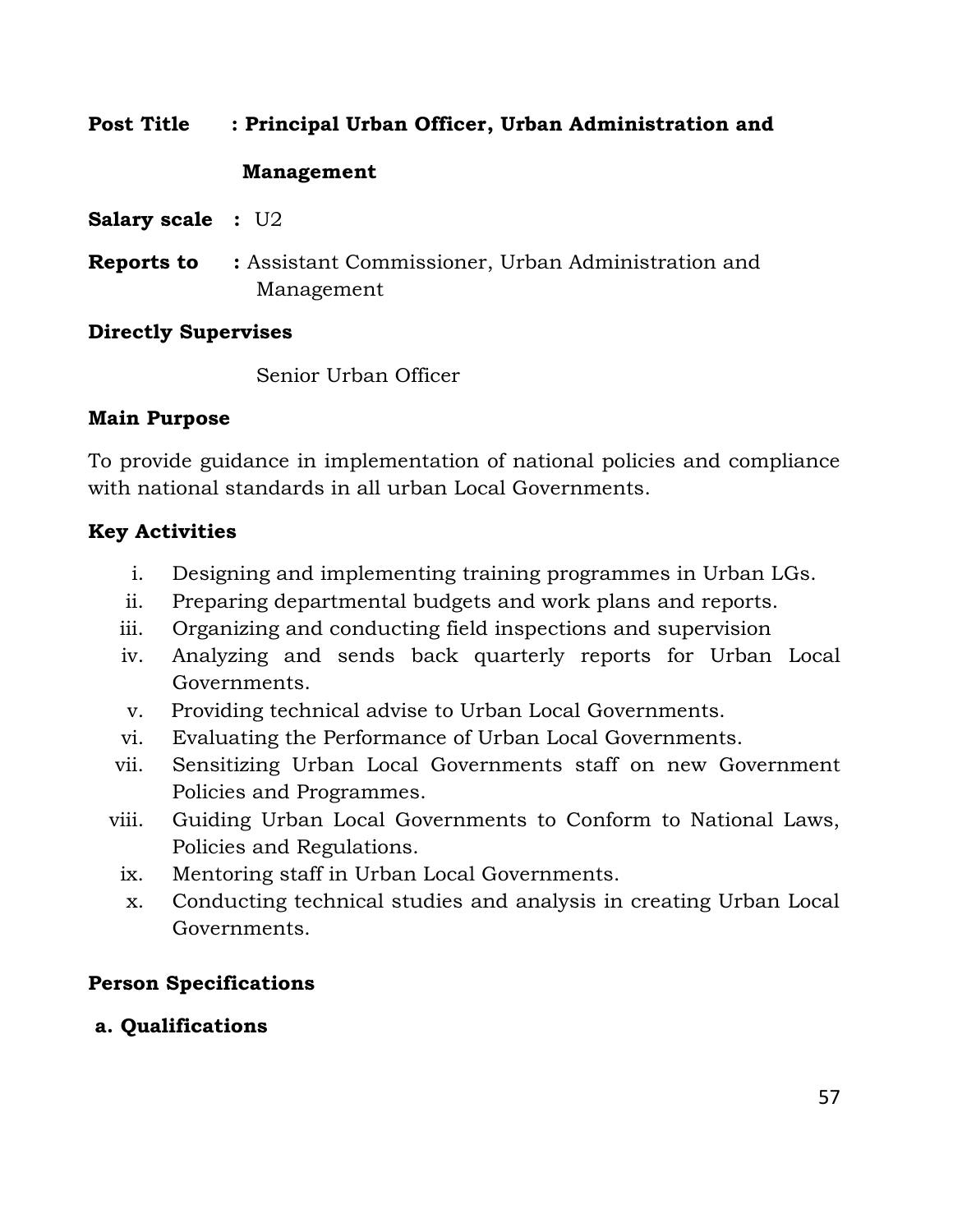# **Post Title : Principal Urban Officer, Urban Administration and Management**

- **Salary scale :** U2
- **Reports to :** Assistant Commissioner, Urban Administration and Management

## **Directly Supervises**

Senior Urban Officer

## **Main Purpose**

To provide guidance in implementation of national policies and compliance with national standards in all urban Local Governments.

## **Key Activities**

- i. Designing and implementing training programmes in Urban LGs.
- ii. Preparing departmental budgets and work plans and reports.
- iii. Organizing and conducting field inspections and supervision
- iv. Analyzing and sends back quarterly reports for Urban Local Governments.
- v. Providing technical advise to Urban Local Governments.
- vi. Evaluating the Performance of Urban Local Governments.
- vii. Sensitizing Urban Local Governments staff on new Government Policies and Programmes.
- viii. Guiding Urban Local Governments to Conform to National Laws, Policies and Regulations.
	- ix. Mentoring staff in Urban Local Governments.
	- x. Conducting technical studies and analysis in creating Urban Local Governments.

## **Person Specifications**

**a. Qualifications**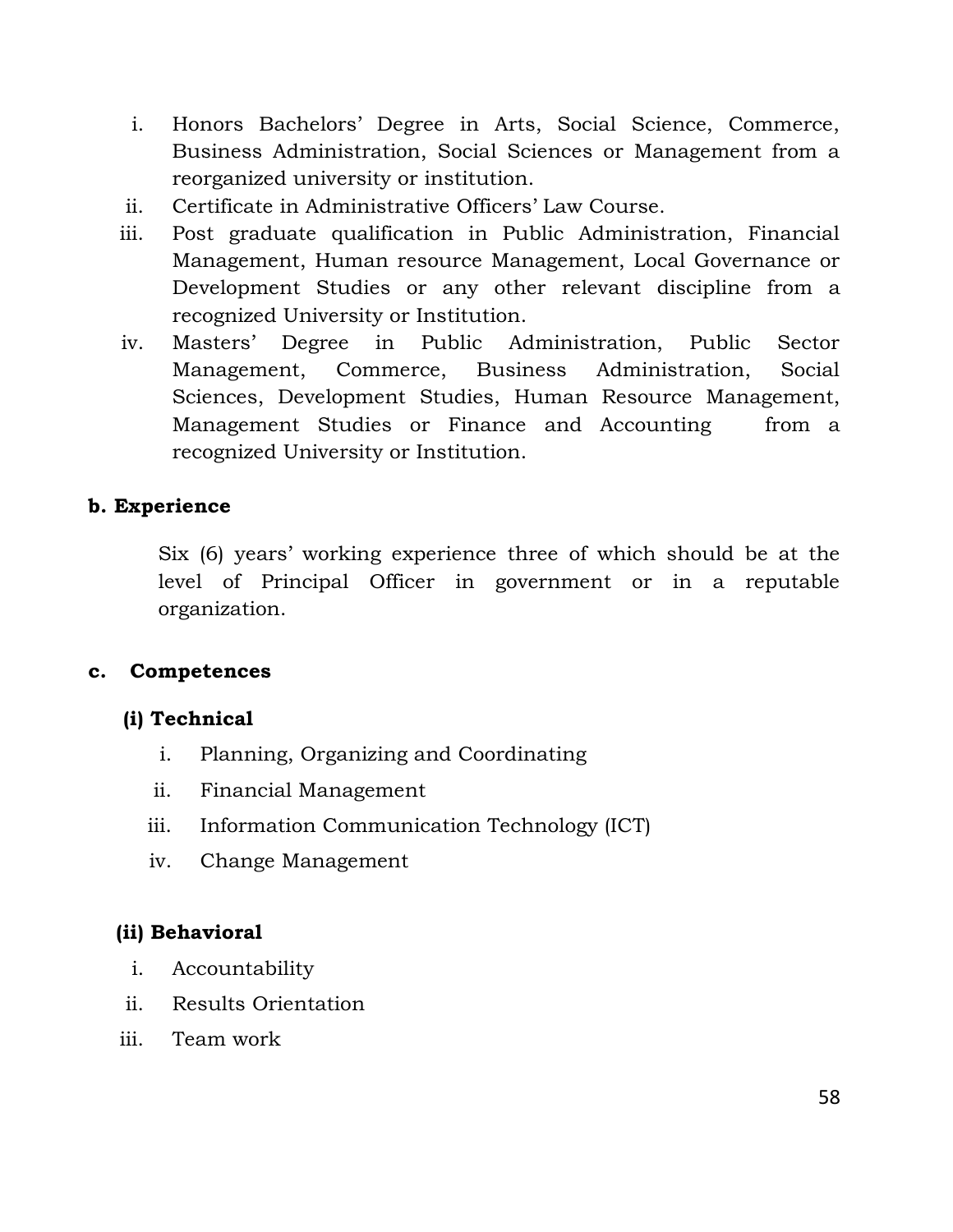- i. Honors Bachelors' Degree in Arts, Social Science, Commerce, Business Administration, Social Sciences or Management from a reorganized university or institution.
- ii. Certificate in Administrative Officers' Law Course.
- iii. Post graduate qualification in Public Administration, Financial Management, Human resource Management, Local Governance or Development Studies or any other relevant discipline from a recognized University or Institution.
- iv. Masters' Degree in Public Administration, Public Sector Management, Commerce, Business Administration, Social Sciences, Development Studies, Human Resource Management, Management Studies or Finance and Accounting from a recognized University or Institution.

## **b. Experience**

Six (6) years' working experience three of which should be at the level of Principal Officer in government or in a reputable organization.

## **c. Competences**

## **(i) Technical**

- i. Planning, Organizing and Coordinating
- ii. Financial Management
- iii. Information Communication Technology (ICT)
- iv. Change Management

- i. Accountability
- ii. Results Orientation
- iii. Team work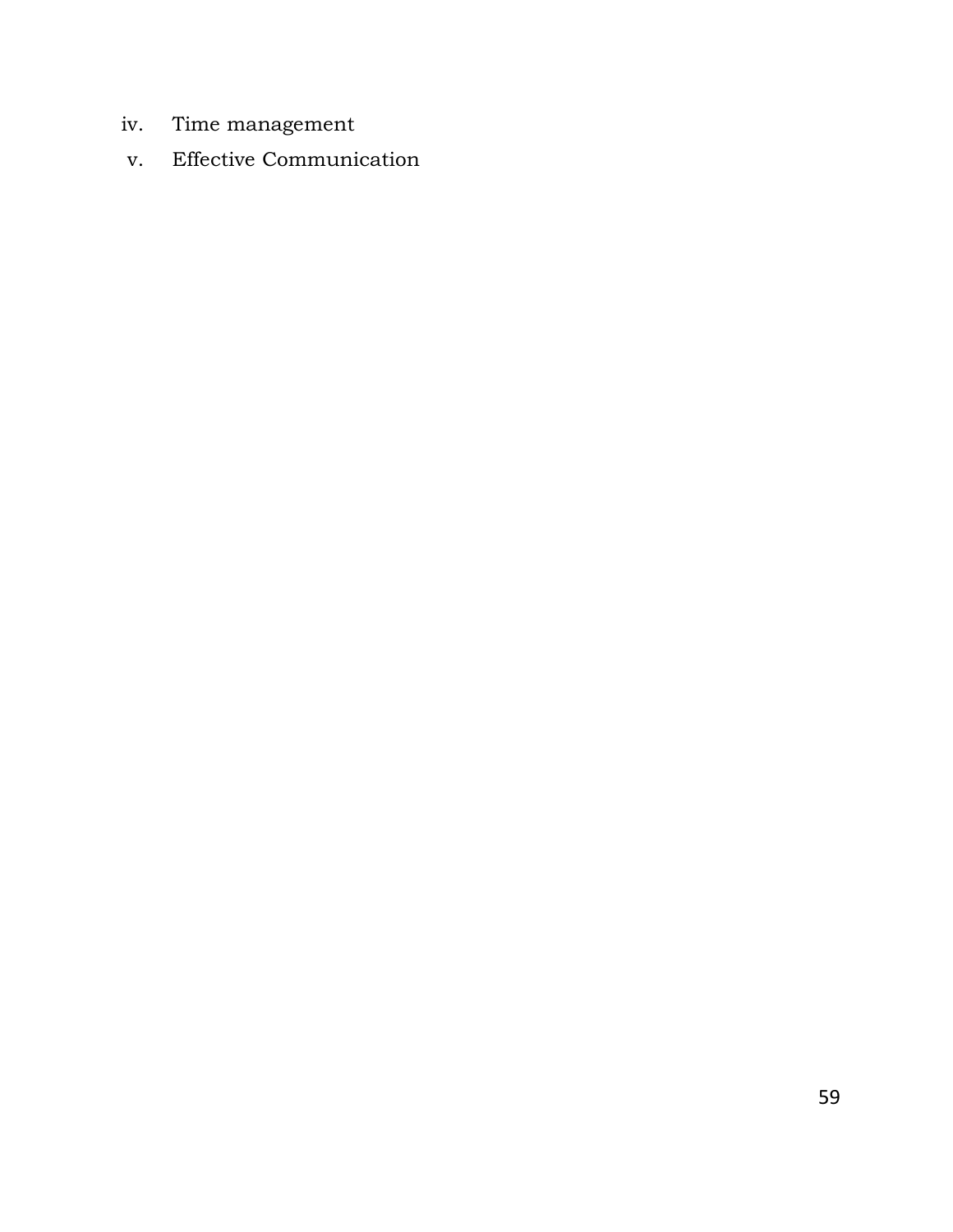- iv. Time management
- v. Effective Communication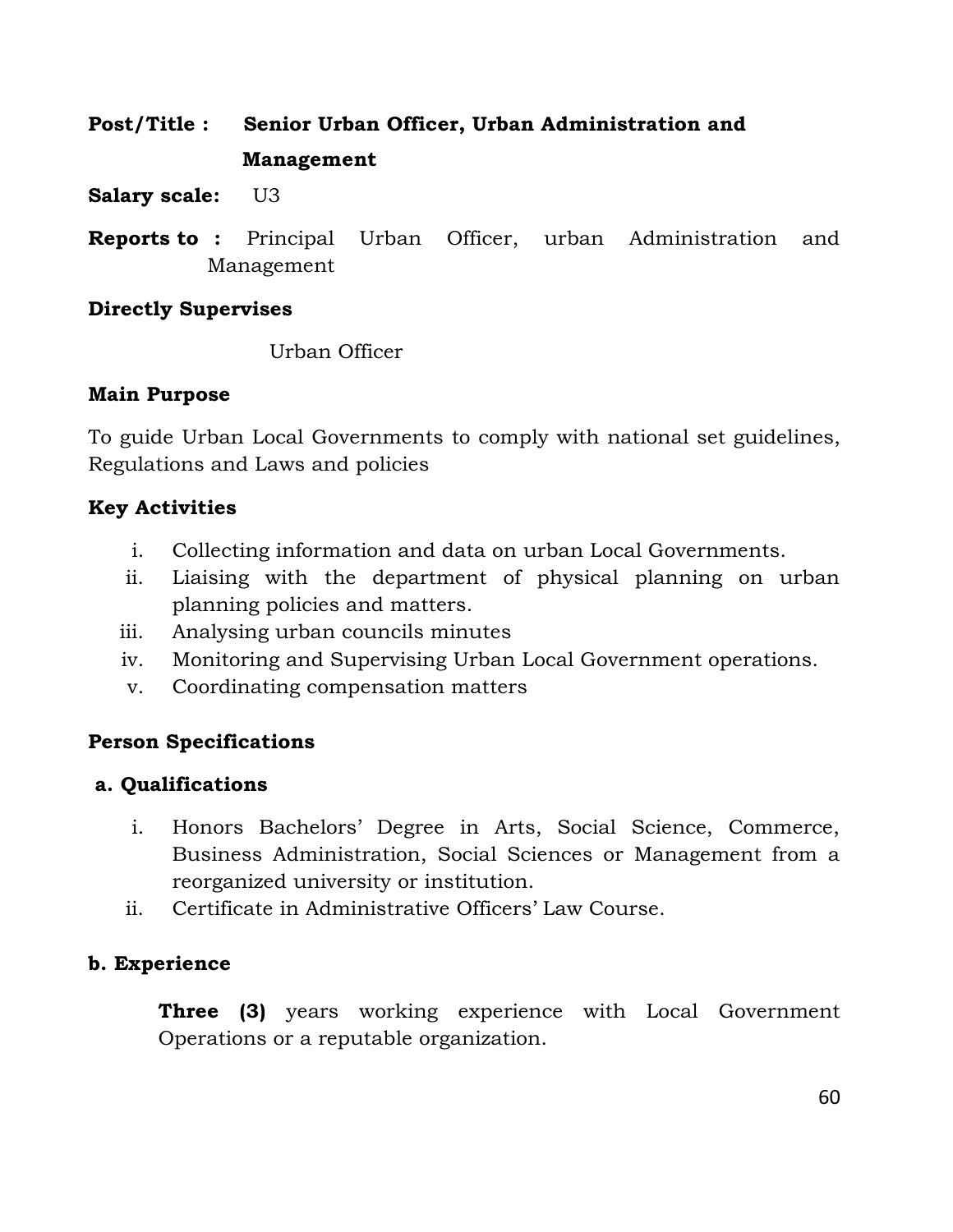# **Post/Title : Senior Urban Officer, Urban Administration and Management**

**Salary scale:** U3

**Reports to :** Principal Urban Officer, urban Administration and Management

## **Directly Supervises**

Urban Officer

## **Main Purpose**

To guide Urban Local Governments to comply with national set guidelines, Regulations and Laws and policies

## **Key Activities**

- i. Collecting information and data on urban Local Governments.
- ii. Liaising with the department of physical planning on urban planning policies and matters.
- iii. Analysing urban councils minutes
- iv. Monitoring and Supervising Urban Local Government operations.
- v. Coordinating compensation matters

## **Person Specifications**

## **a. Qualifications**

- i. Honors Bachelors' Degree in Arts, Social Science, Commerce, Business Administration, Social Sciences or Management from a reorganized university or institution.
- ii. Certificate in Administrative Officers' Law Course.

## **b. Experience**

**Three (3)** years working experience with Local Government Operations or a reputable organization.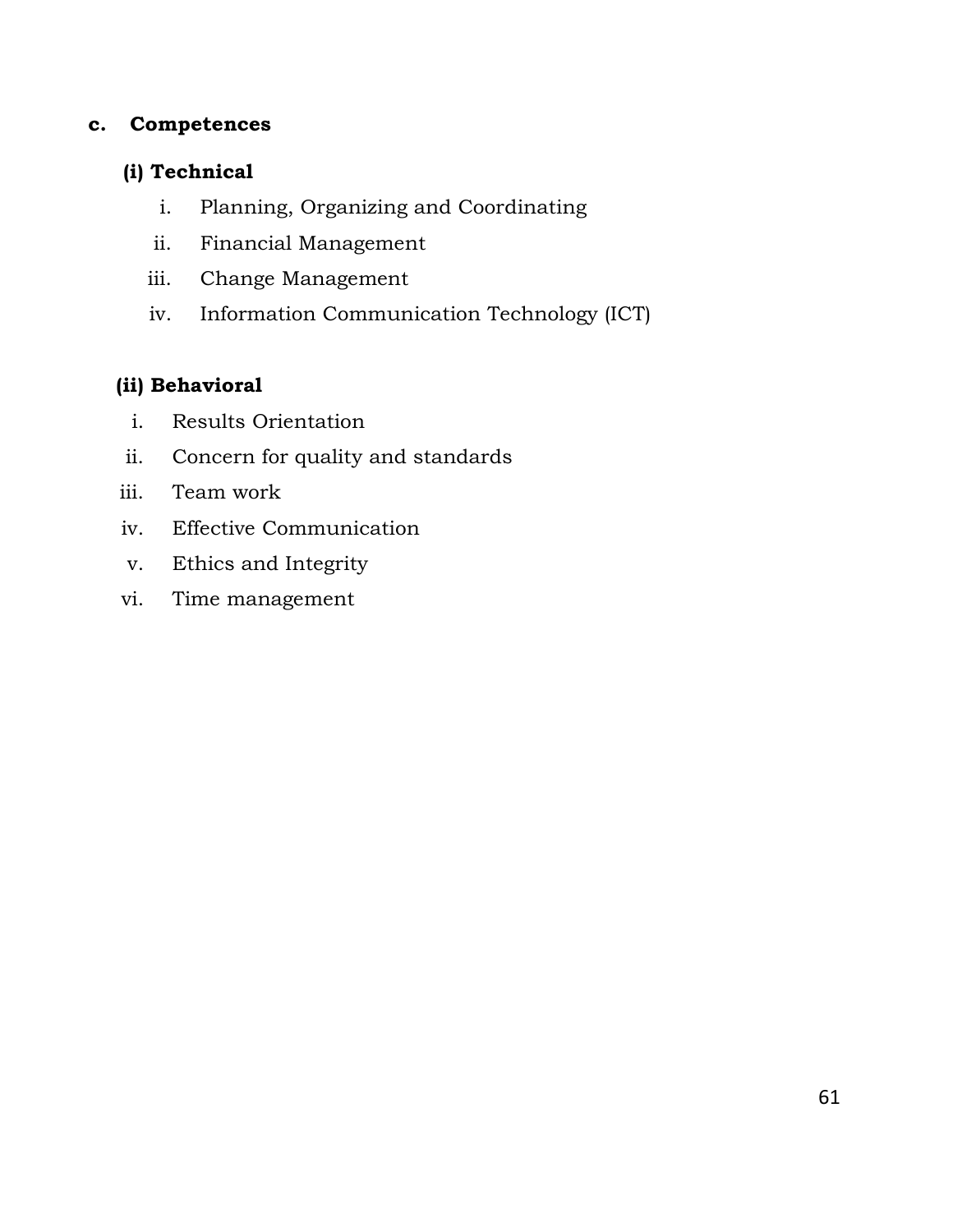## **c. Competences**

#### **(i) Technical**

- i. Planning, Organizing and Coordinating
- ii. Financial Management
- iii. Change Management
- iv. Information Communication Technology (ICT)

- i. Results Orientation
- ii. Concern for quality and standards
- iii. Team work
- iv. Effective Communication
- v. Ethics and Integrity
- vi. Time management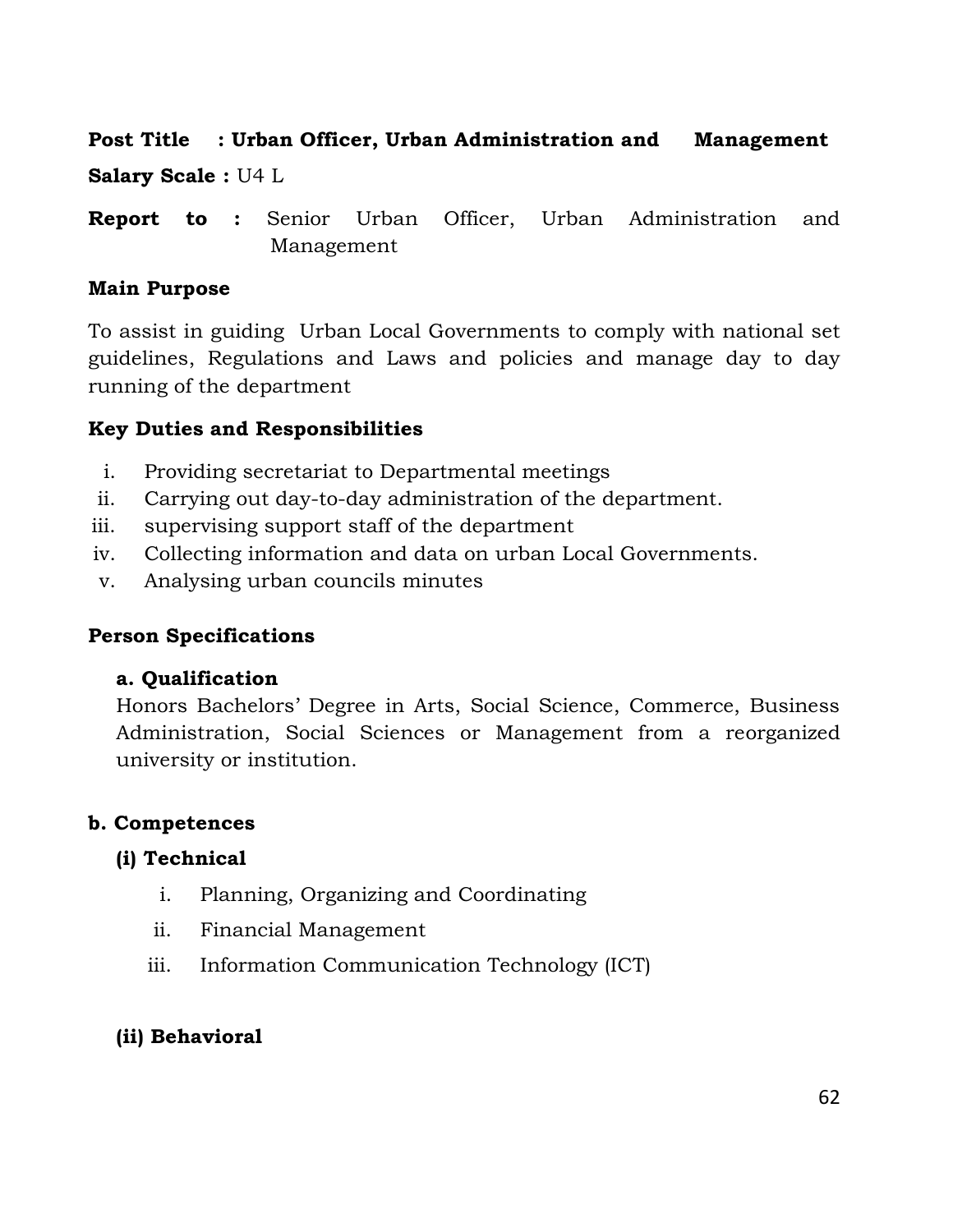**Post Title : Urban Officer, Urban Administration and Management Salary Scale :** U4 L

**Report to :** Senior Urban Officer, Urban Administration and Management

#### **Main Purpose**

To assist in guiding Urban Local Governments to comply with national set guidelines, Regulations and Laws and policies and manage day to day running of the department

## **Key Duties and Responsibilities**

- i. Providing secretariat to Departmental meetings
- ii. Carrying out day-to-day administration of the department.
- iii. supervising support staff of the department
- iv. Collecting information and data on urban Local Governments.
- v. Analysing urban councils minutes

#### **Person Specifications**

#### **a. Qualification**

Honors Bachelors' Degree in Arts, Social Science, Commerce, Business Administration, Social Sciences or Management from a reorganized university or institution.

## **b. Competences**

## **(i) Technical**

- i. Planning, Organizing and Coordinating
- ii. Financial Management
- iii. Information Communication Technology (ICT)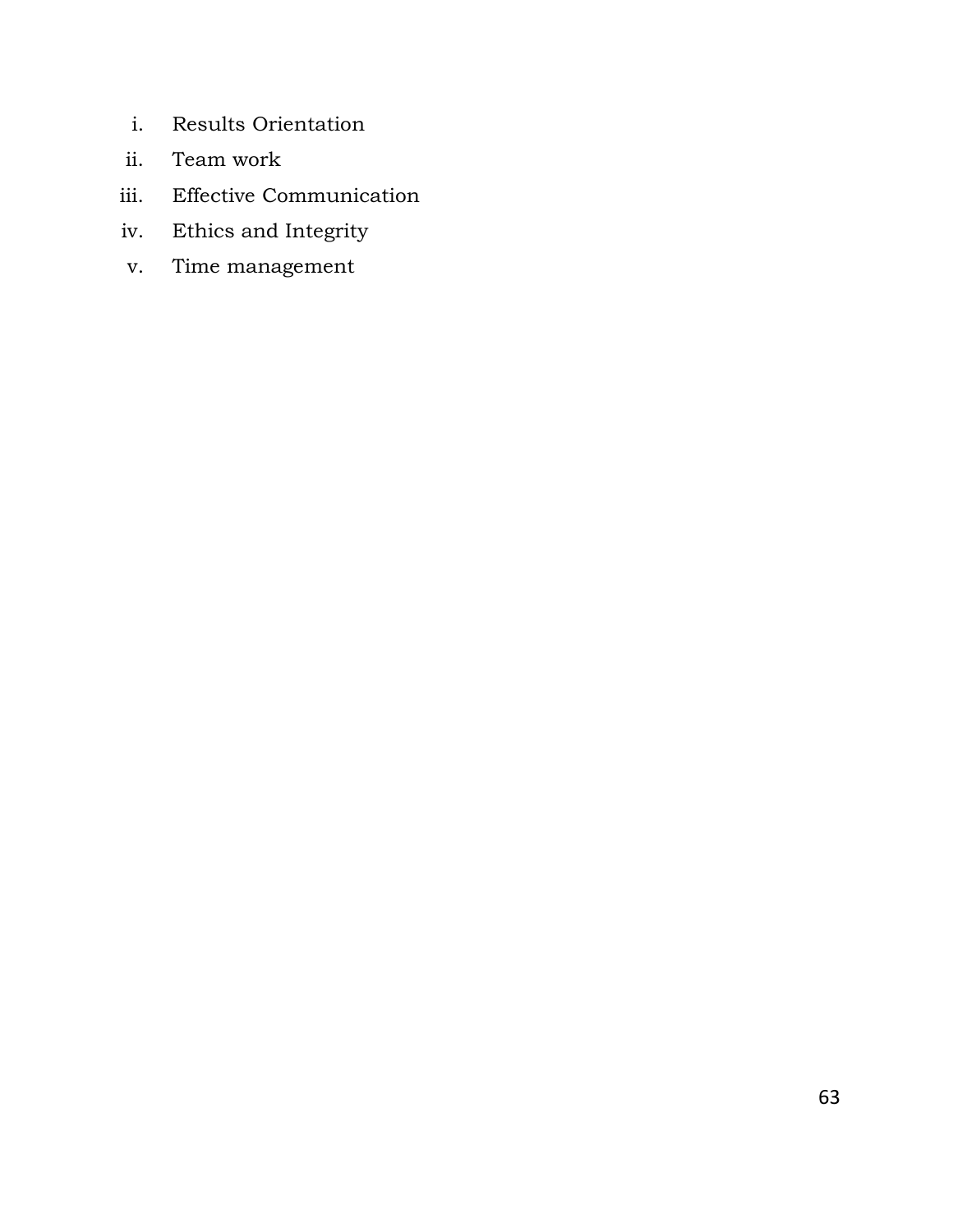- i. Results Orientation
- ii. Team work
- iii. Effective Communication
- iv. Ethics and Integrity
- v. Time management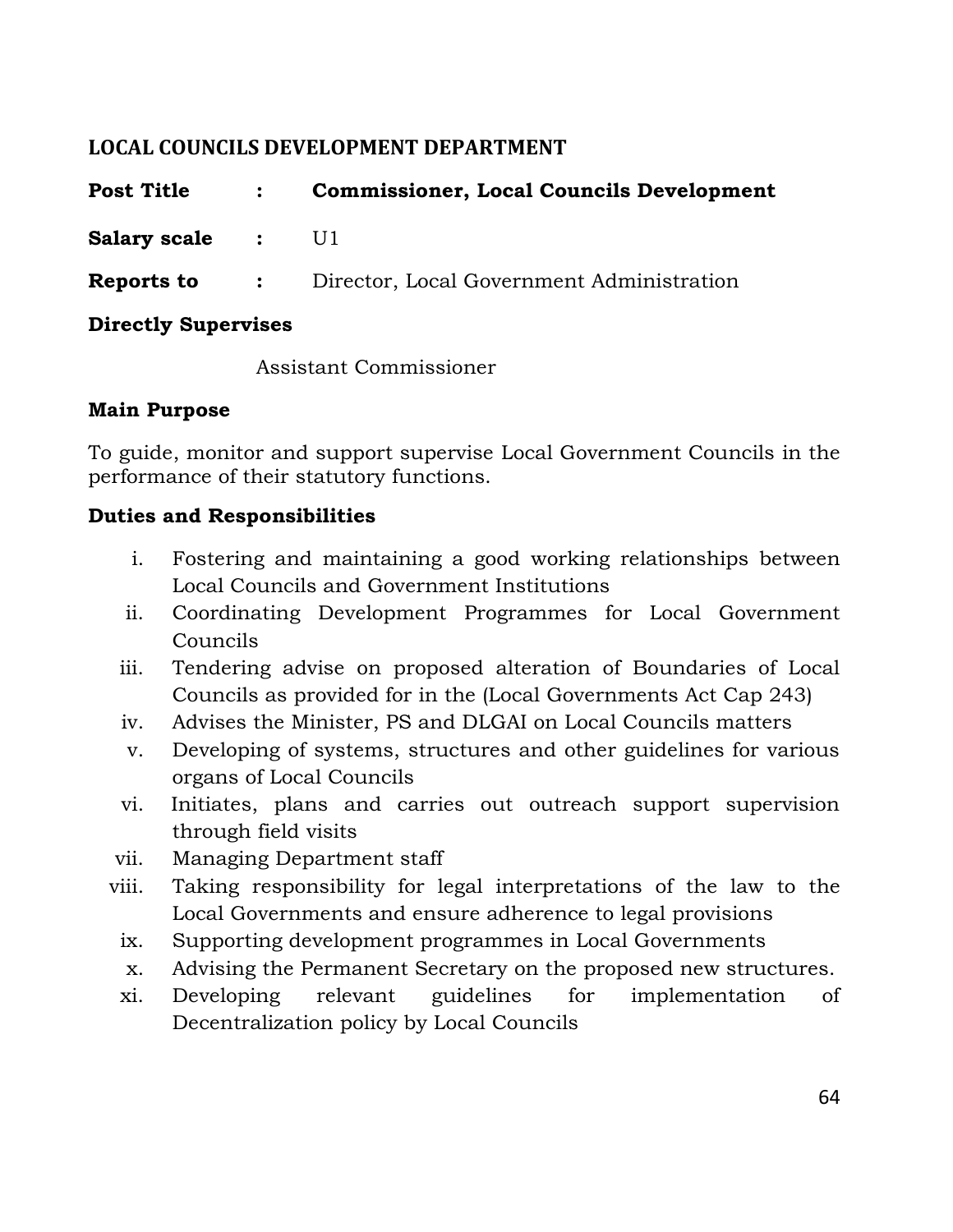## **LOCAL COUNCILS DEVELOPMENT DEPARTMENT**

|                            | Post Title : Commissioner, Local Councils Development         |
|----------------------------|---------------------------------------------------------------|
| <b>Salary scale : U1</b>   |                                                               |
|                            | <b>Reports to :</b> Director, Local Government Administration |
| <b>Directly Supervises</b> |                                                               |

# Assistant Commissioner

## **Main Purpose**

To guide, monitor and support supervise Local Government Councils in the performance of their statutory functions.

## **Duties and Responsibilities**

- i. Fostering and maintaining a good working relationships between Local Councils and Government Institutions
- ii. Coordinating Development Programmes for Local Government Councils
- iii. Tendering advise on proposed alteration of Boundaries of Local Councils as provided for in the (Local Governments Act Cap 243)
- iv. Advises the Minister, PS and DLGAI on Local Councils matters
- v. Developing of systems, structures and other guidelines for various organs of Local Councils
- vi. Initiates, plans and carries out outreach support supervision through field visits
- vii. Managing Department staff
- viii. Taking responsibility for legal interpretations of the law to the Local Governments and ensure adherence to legal provisions
	- ix. Supporting development programmes in Local Governments
	- x. Advising the Permanent Secretary on the proposed new structures.
	- xi. Developing relevant guidelines for implementation of Decentralization policy by Local Councils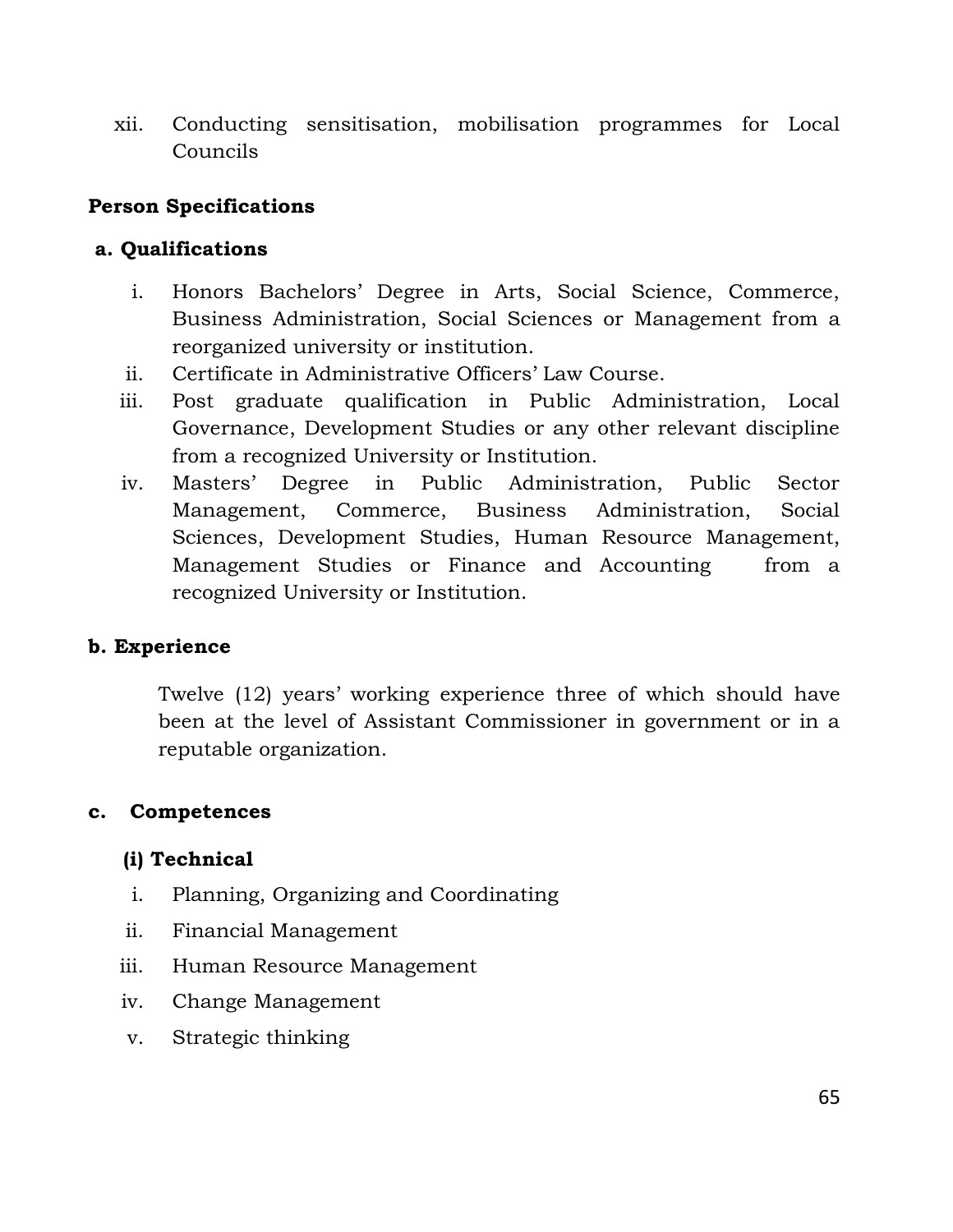xii. Conducting sensitisation, mobilisation programmes for Local Councils

## **Person Specifications**

## **a. Qualifications**

- i. Honors Bachelors' Degree in Arts, Social Science, Commerce, Business Administration, Social Sciences or Management from a reorganized university or institution.
- ii. Certificate in Administrative Officers' Law Course.
- iii. Post graduate qualification in Public Administration, Local Governance, Development Studies or any other relevant discipline from a recognized University or Institution.
- iv. Masters' Degree in Public Administration, Public Sector Management, Commerce, Business Administration, Social Sciences, Development Studies, Human Resource Management, Management Studies or Finance and Accounting from a recognized University or Institution.

#### **b. Experience**

Twelve (12) years' working experience three of which should have been at the level of Assistant Commissioner in government or in a reputable organization.

#### **c. Competences**

## **(i) Technical**

- i. Planning, Organizing and Coordinating
- ii. Financial Management
- iii. Human Resource Management
- iv. Change Management
- v. Strategic thinking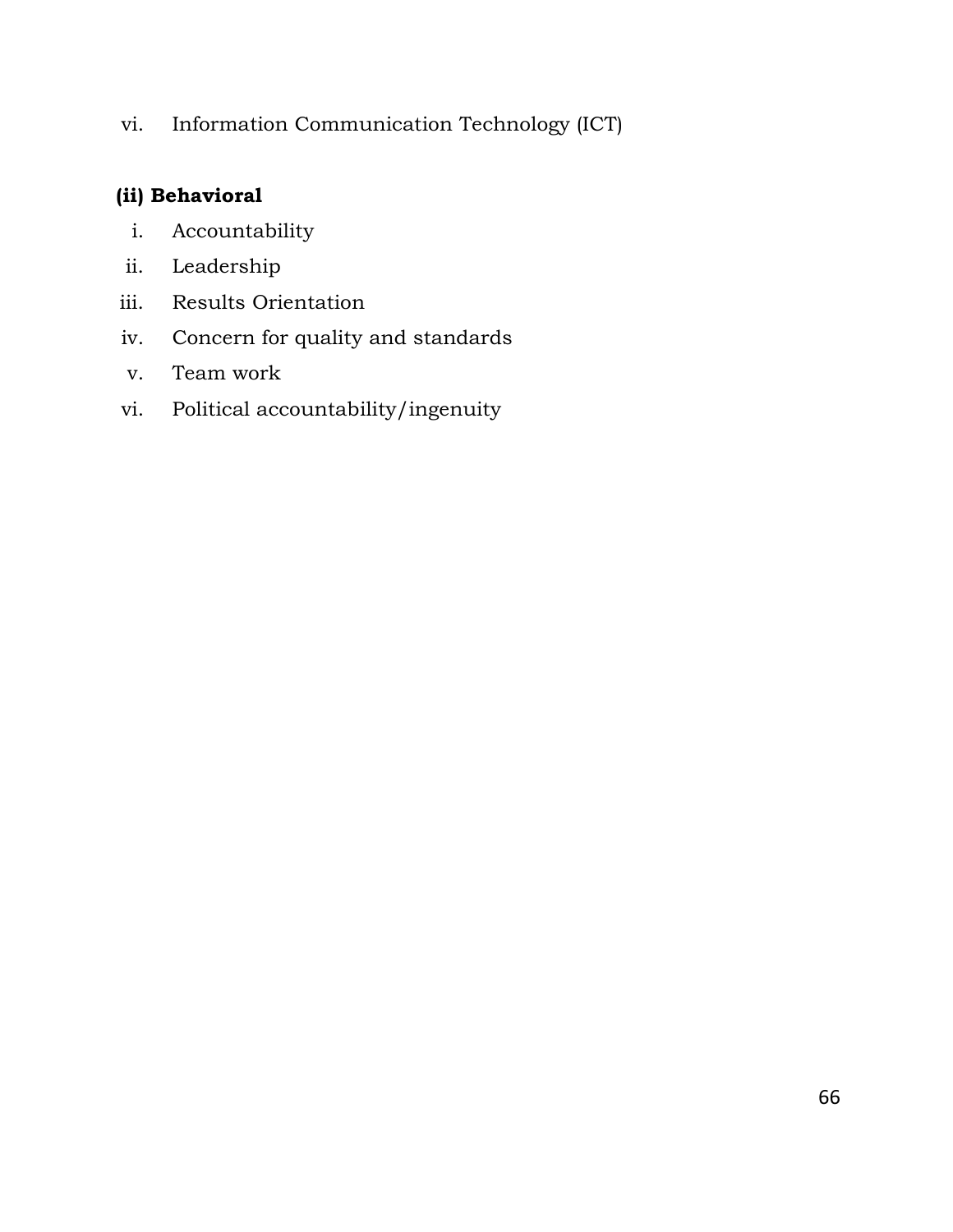vi. Information Communication Technology (ICT)

- i. Accountability
- ii. Leadership
- iii. Results Orientation
- iv. Concern for quality and standards
- v. Team work
- vi. Political accountability/ingenuity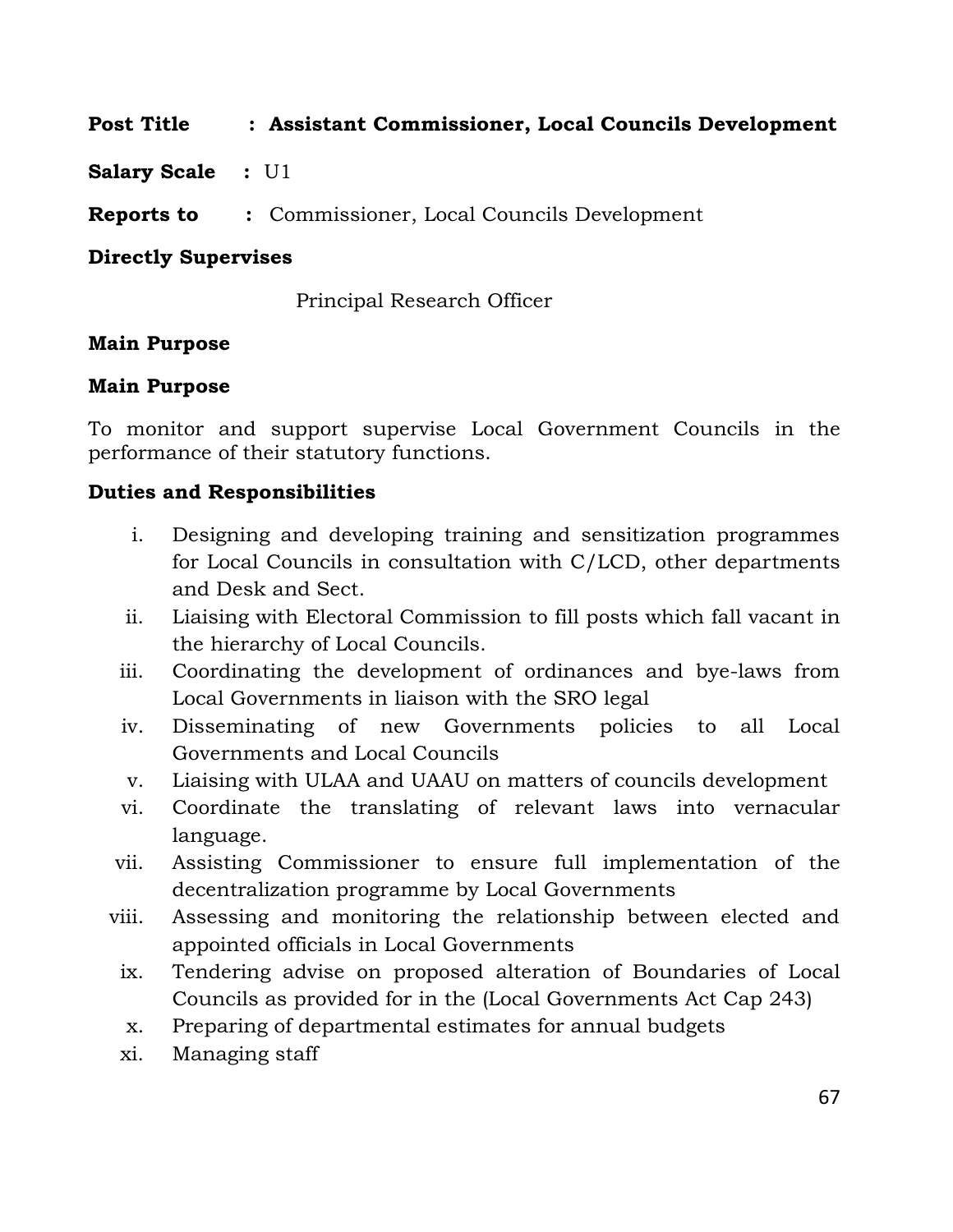## **Post Title : Assistant Commissioner, Local Councils Development**

**Salary Scale :** U1

**Reports to :** Commissioner, Local Councils Development

#### **Directly Supervises**

Principal Research Officer

#### **Main Purpose**

#### **Main Purpose**

To monitor and support supervise Local Government Councils in the performance of their statutory functions.

## **Duties and Responsibilities**

- i. Designing and developing training and sensitization programmes for Local Councils in consultation with C/LCD, other departments and Desk and Sect.
- ii. Liaising with Electoral Commission to fill posts which fall vacant in the hierarchy of Local Councils.
- iii. Coordinating the development of ordinances and bye-laws from Local Governments in liaison with the SRO legal
- iv. Disseminating of new Governments policies to all Local Governments and Local Councils
- v. Liaising with ULAA and UAAU on matters of councils development
- vi. Coordinate the translating of relevant laws into vernacular language.
- vii. Assisting Commissioner to ensure full implementation of the decentralization programme by Local Governments
- viii. Assessing and monitoring the relationship between elected and appointed officials in Local Governments
	- ix. Tendering advise on proposed alteration of Boundaries of Local Councils as provided for in the (Local Governments Act Cap 243)
	- x. Preparing of departmental estimates for annual budgets
	- xi. Managing staff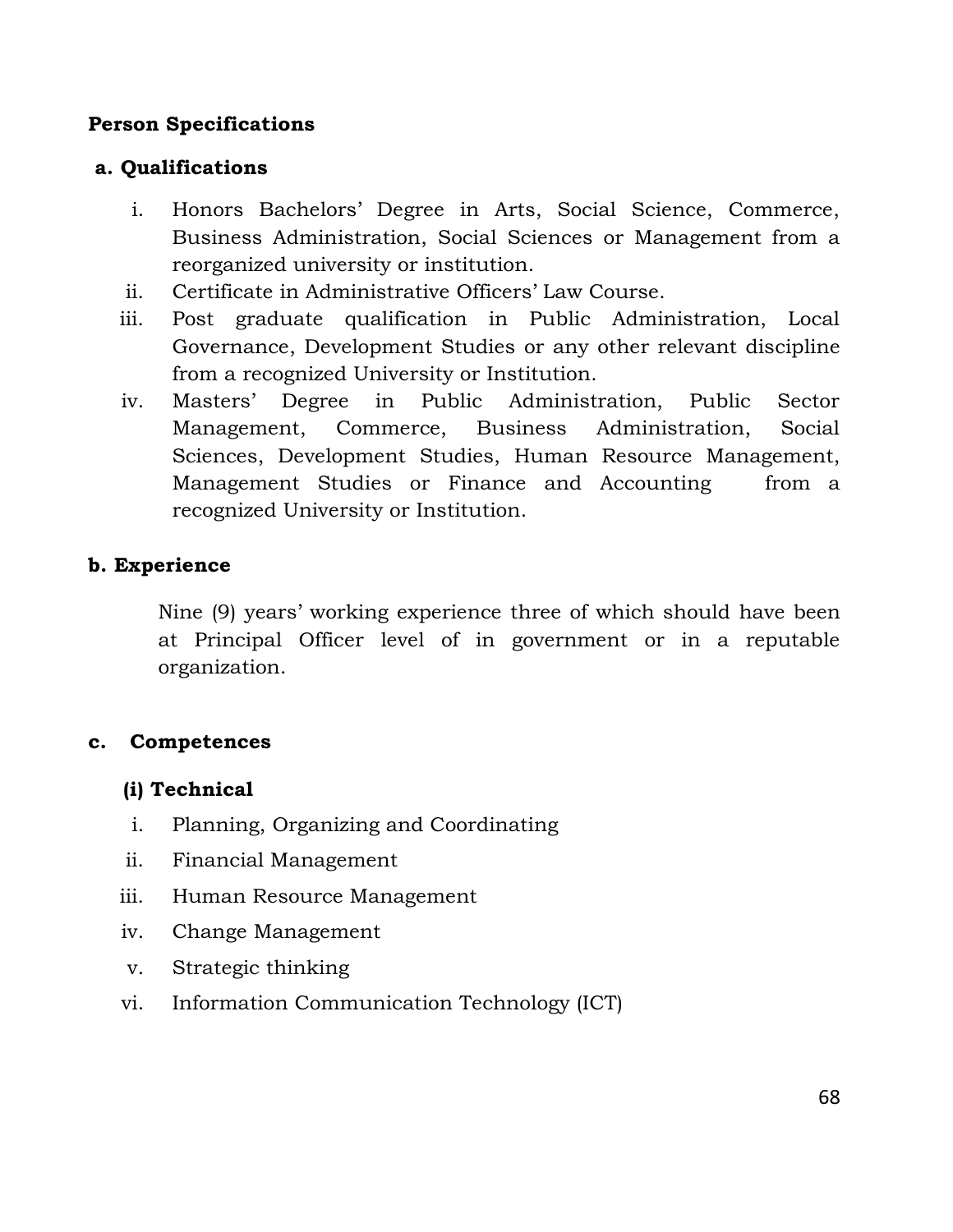#### **Person Specifications**

#### **a. Qualifications**

- i. Honors Bachelors' Degree in Arts, Social Science, Commerce, Business Administration, Social Sciences or Management from a reorganized university or institution.
- ii. Certificate in Administrative Officers' Law Course.
- iii. Post graduate qualification in Public Administration, Local Governance, Development Studies or any other relevant discipline from a recognized University or Institution.
- iv. Masters' Degree in Public Administration, Public Sector Management, Commerce, Business Administration, Social Sciences, Development Studies, Human Resource Management, Management Studies or Finance and Accounting from a recognized University or Institution.

## **b. Experience**

Nine (9) years' working experience three of which should have been at Principal Officer level of in government or in a reputable organization.

## **c. Competences**

## **(i) Technical**

- i. Planning, Organizing and Coordinating
- ii. Financial Management
- iii. Human Resource Management
- iv. Change Management
- v. Strategic thinking
- vi. Information Communication Technology (ICT)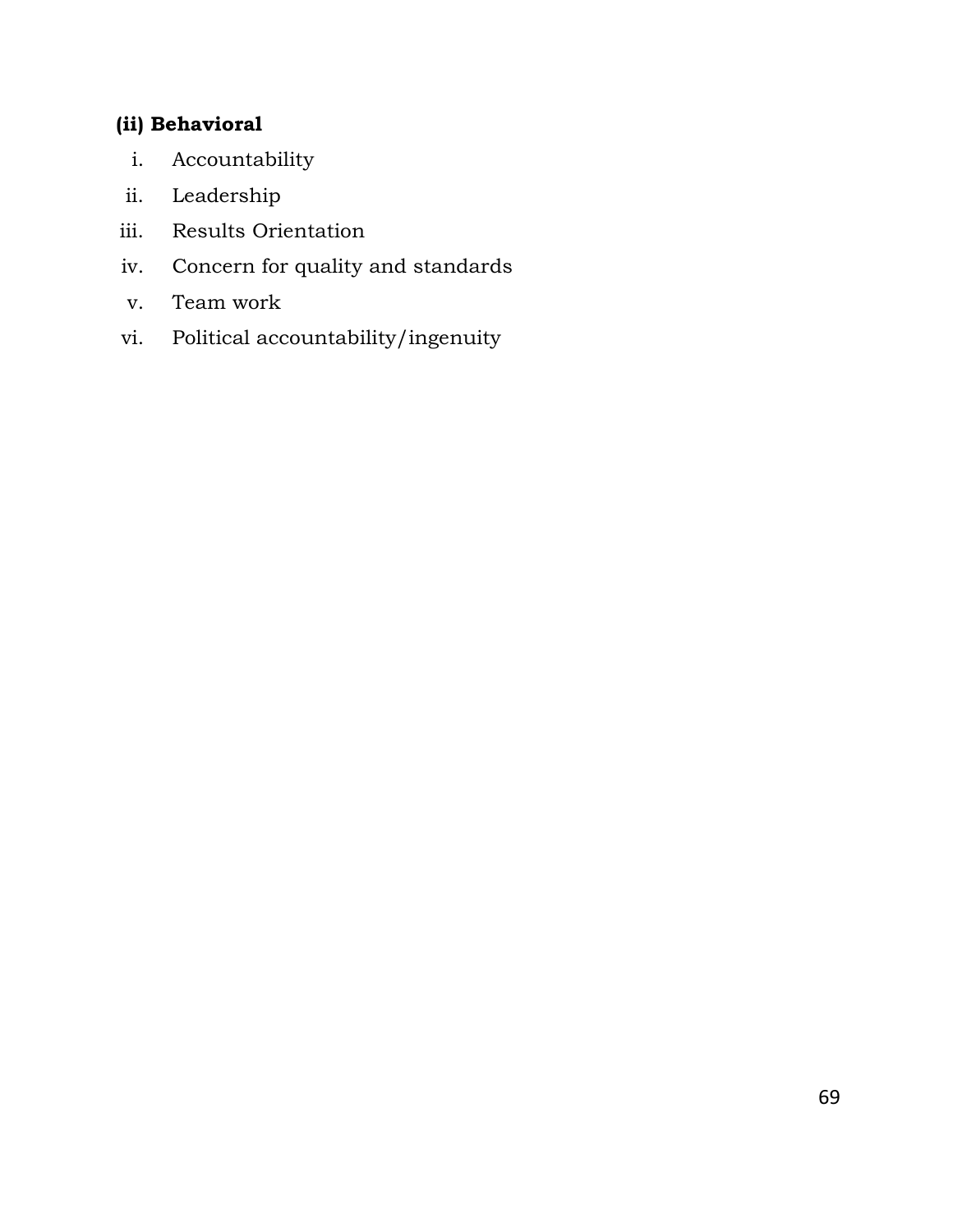- i. Accountability
- ii. Leadership
- iii. Results Orientation
- iv. Concern for quality and standards
- v. Team work
- vi. Political accountability/ingenuity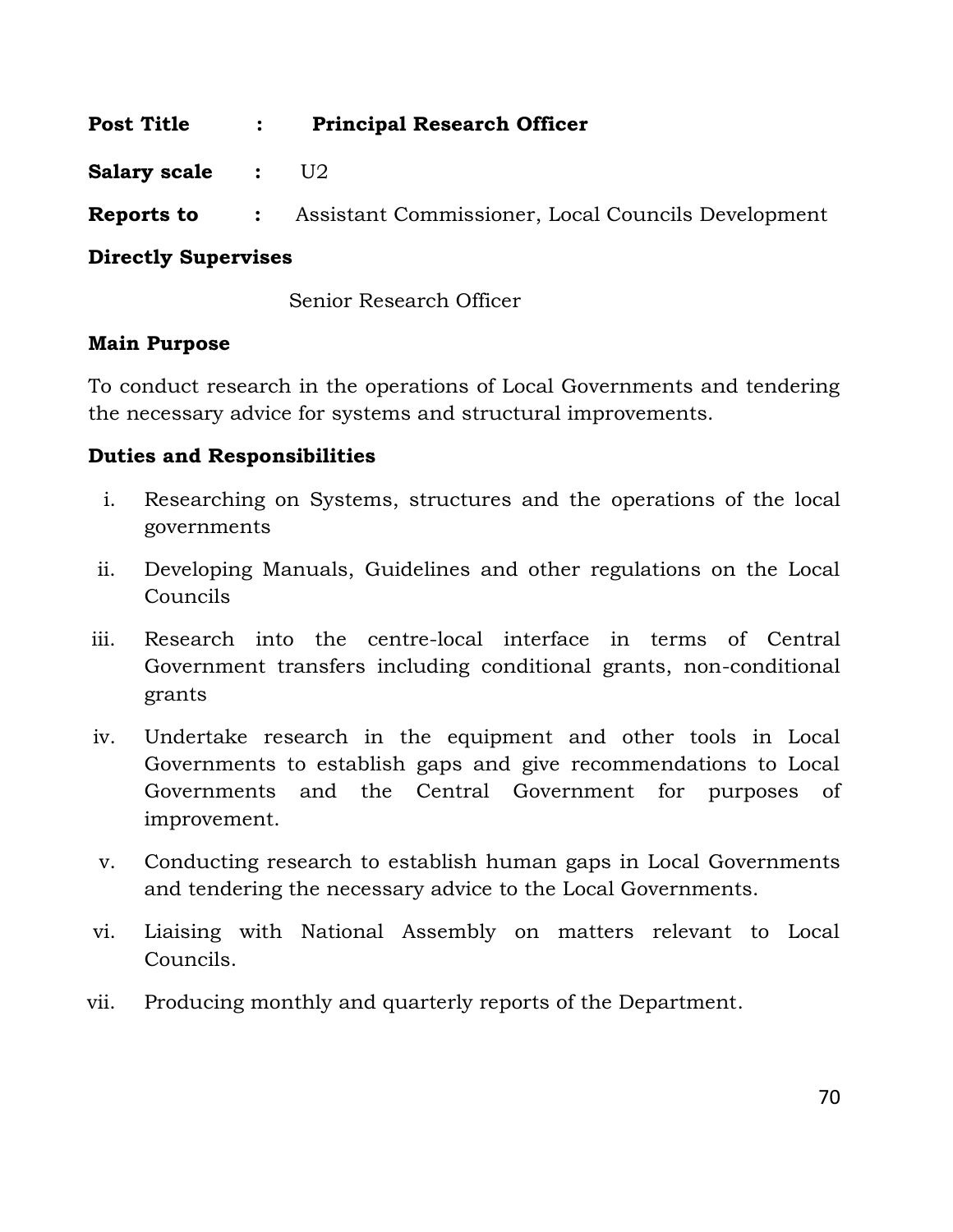| <b>Post Title</b>        | $\mathbf{L}$ . The set of $\mathbf{L}$ | <b>Principal Research Officer</b>                                      |
|--------------------------|----------------------------------------|------------------------------------------------------------------------|
| <b>Salary scale : U2</b> |                                        |                                                                        |
|                          |                                        | <b>Reports to :</b> Assistant Commissioner, Local Councils Development |

#### **Directly Supervises**

Senior Research Officer

#### **Main Purpose**

To conduct research in the operations of Local Governments and tendering the necessary advice for systems and structural improvements.

#### **Duties and Responsibilities**

- i. Researching on Systems, structures and the operations of the local governments
- ii. Developing Manuals, Guidelines and other regulations on the Local Councils
- iii. Research into the centre-local interface in terms of Central Government transfers including conditional grants, non-conditional grants
- iv. Undertake research in the equipment and other tools in Local Governments to establish gaps and give recommendations to Local Governments and the Central Government for purposes of improvement.
- v. Conducting research to establish human gaps in Local Governments and tendering the necessary advice to the Local Governments.
- vi. Liaising with National Assembly on matters relevant to Local Councils.
- vii. Producing monthly and quarterly reports of the Department.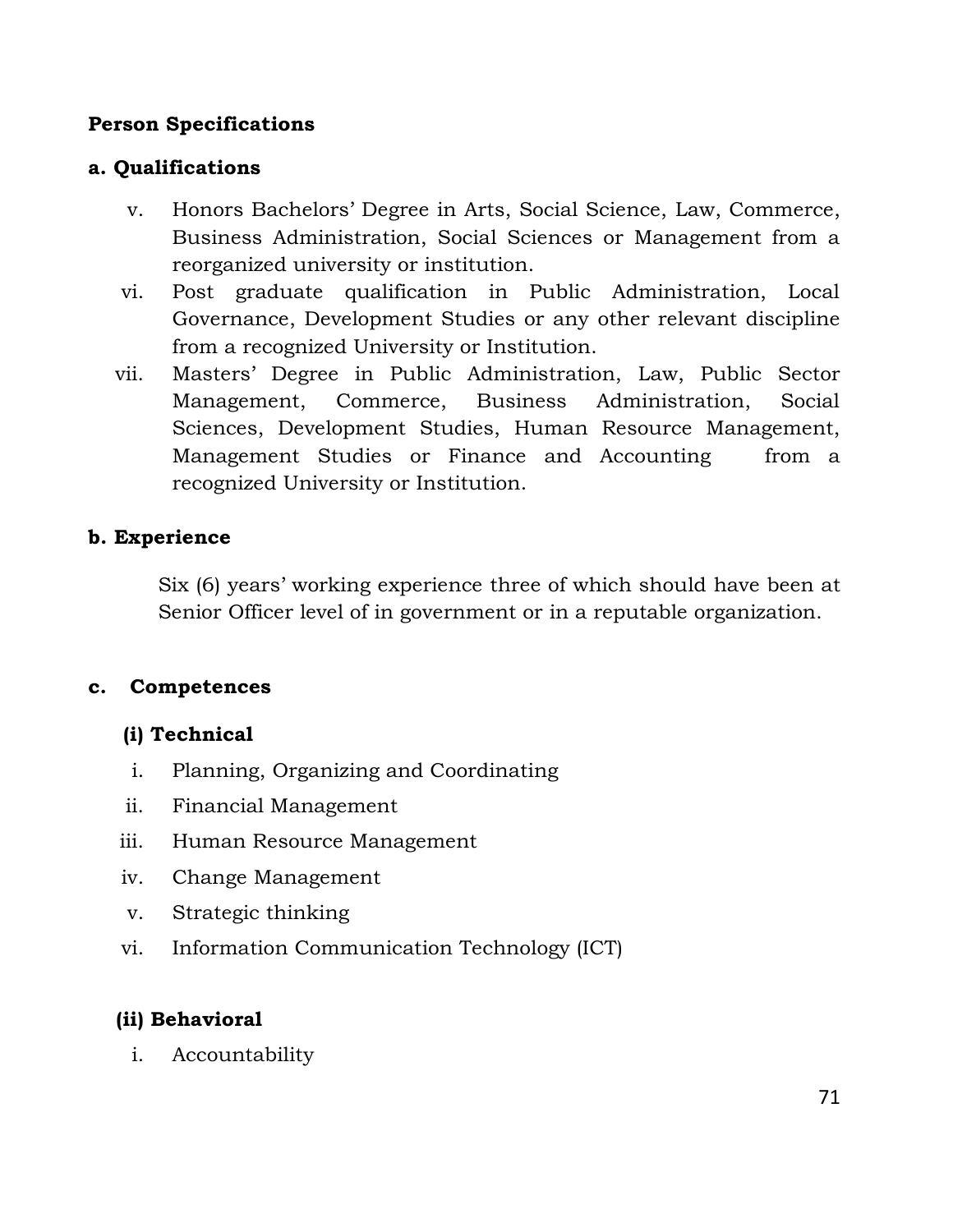#### **Person Specifications**

#### **a. Qualifications**

- v. Honors Bachelors' Degree in Arts, Social Science, Law, Commerce, Business Administration, Social Sciences or Management from a reorganized university or institution.
- vi. Post graduate qualification in Public Administration, Local Governance, Development Studies or any other relevant discipline from a recognized University or Institution.
- vii. Masters' Degree in Public Administration, Law, Public Sector Management, Commerce, Business Administration, Social Sciences, Development Studies, Human Resource Management, Management Studies or Finance and Accounting from a recognized University or Institution.

## **b. Experience**

Six (6) years' working experience three of which should have been at Senior Officer level of in government or in a reputable organization.

## **c. Competences**

## **(i) Technical**

- i. Planning, Organizing and Coordinating
- ii. Financial Management
- iii. Human Resource Management
- iv. Change Management
- v. Strategic thinking
- vi. Information Communication Technology (ICT)

## **(ii) Behavioral**

i. Accountability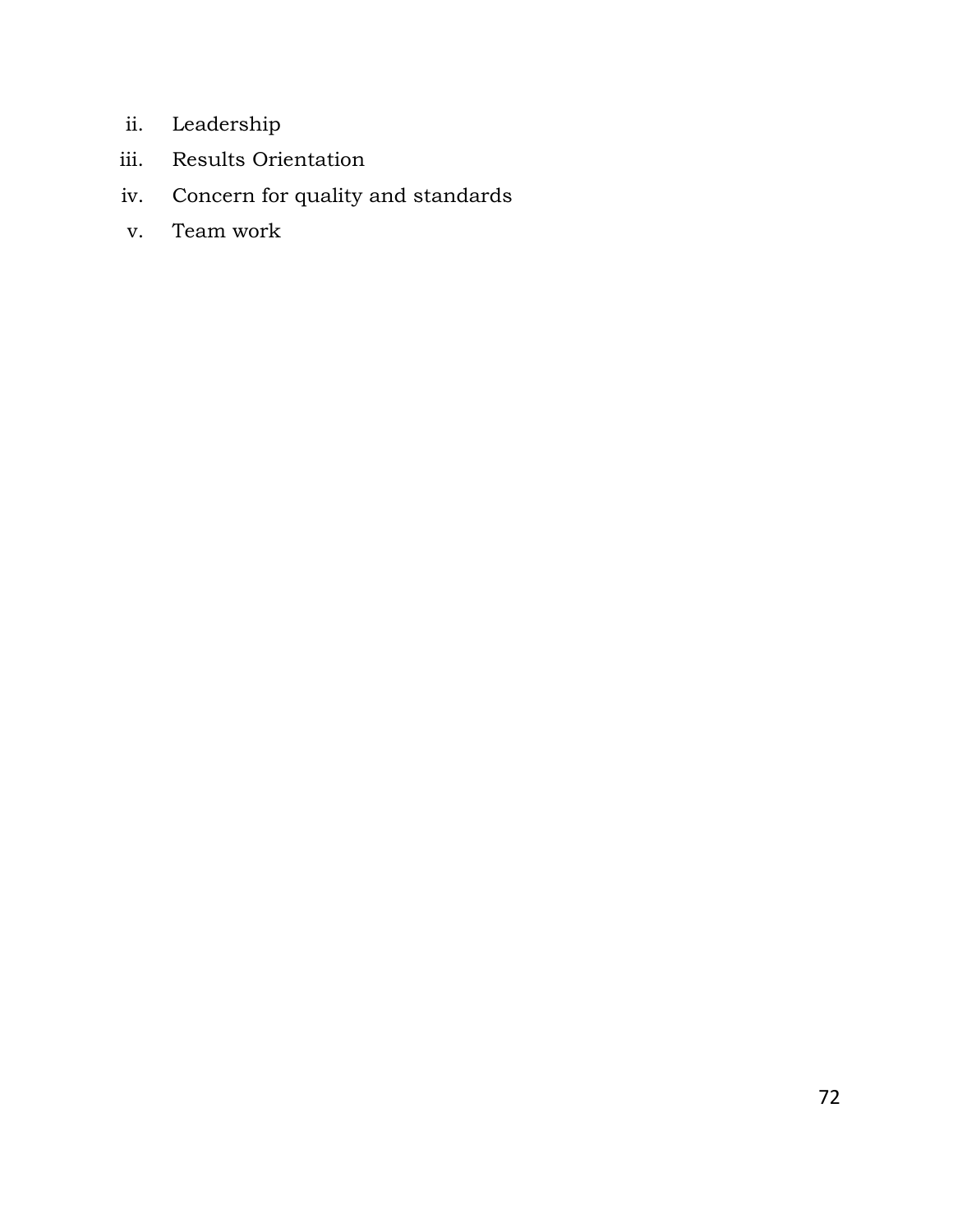- ii. Leadership
- iii. Results Orientation
- iv. Concern for quality and standards
- v. Team work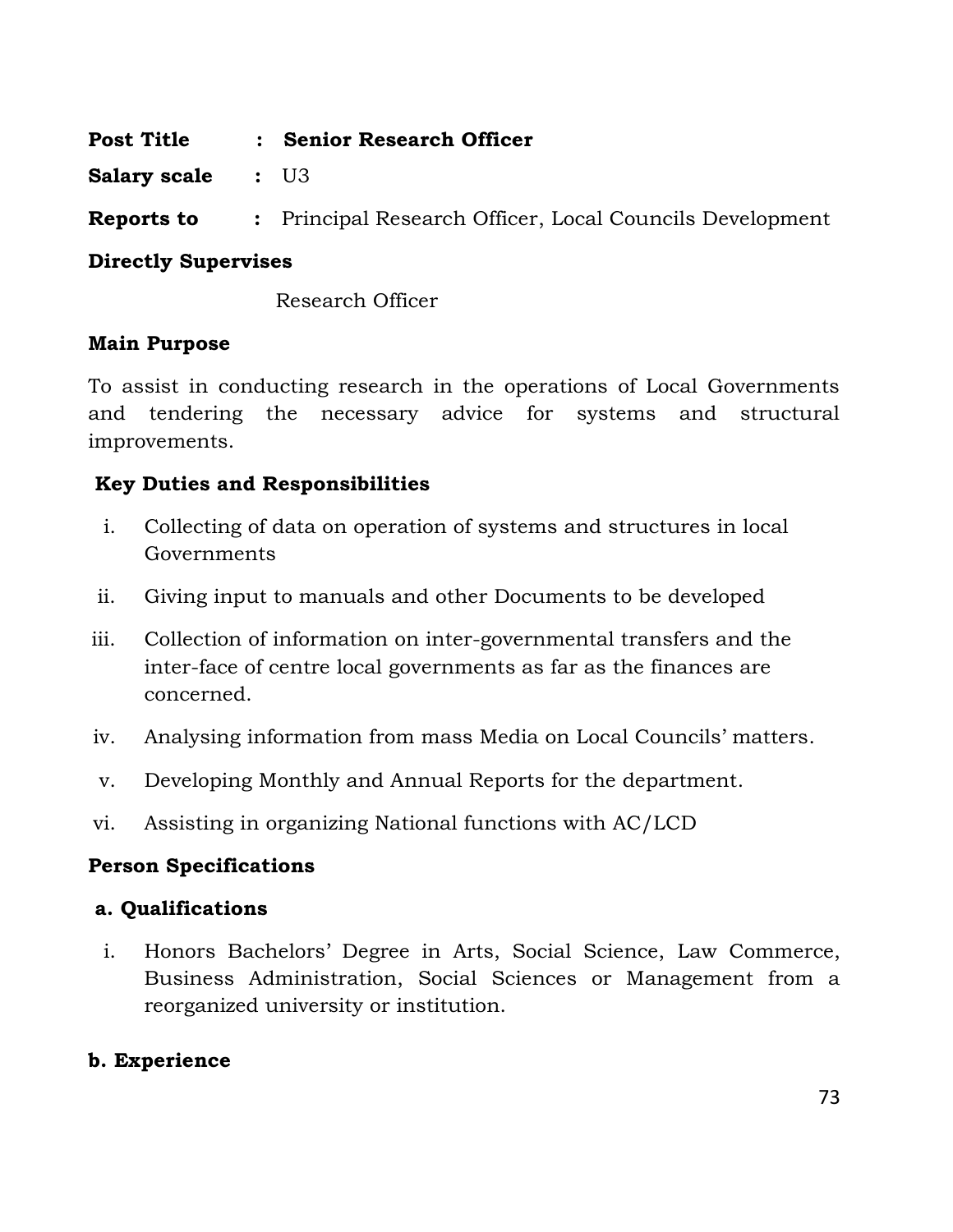| <b>Post Title</b>        | : Senior Research Officer                                |
|--------------------------|----------------------------------------------------------|
| <b>Salary scale : U3</b> |                                                          |
| Reports to               | : Principal Research Officer, Local Councils Development |

### **Directly Supervises**

Research Officer

#### **Main Purpose**

To assist in conducting research in the operations of Local Governments and tendering the necessary advice for systems and structural improvements.

## **Key Duties and Responsibilities**

- i. Collecting of data on operation of systems and structures in local Governments
- ii. Giving input to manuals and other Documents to be developed
- iii. Collection of information on inter-governmental transfers and the inter-face of centre local governments as far as the finances are concerned.
- iv. Analysing information from mass Media on Local Councils' matters.
- v. Developing Monthly and Annual Reports for the department.
- vi. Assisting in organizing National functions with AC/LCD

## **Person Specifications**

## **a. Qualifications**

i. Honors Bachelors' Degree in Arts, Social Science, Law Commerce, Business Administration, Social Sciences or Management from a reorganized university or institution.

## **b. Experience**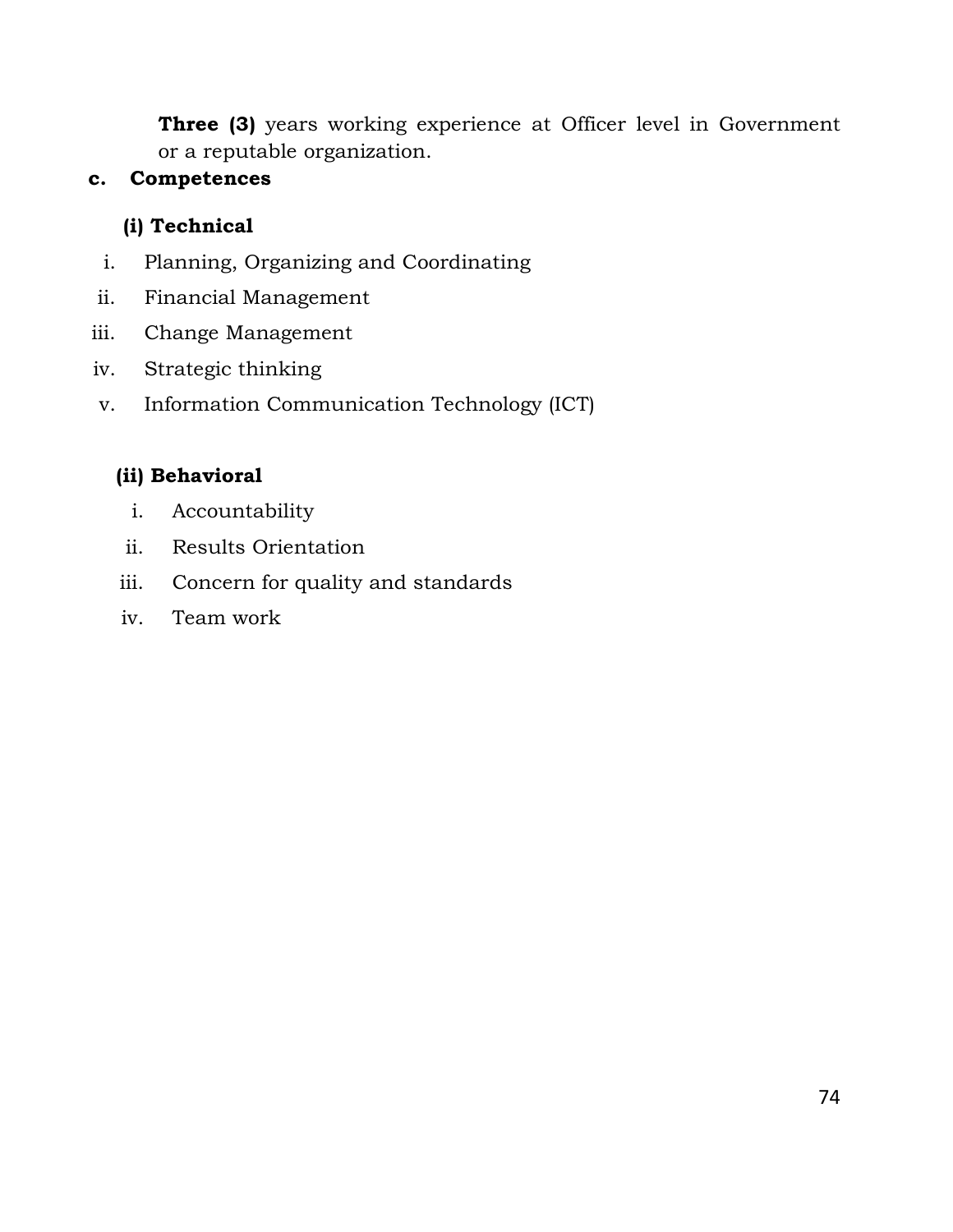**Three (3)** years working experience at Officer level in Government or a reputable organization.

**c. Competences**

## **(i) Technical**

- i. Planning, Organizing and Coordinating
- ii. Financial Management
- iii. Change Management
- iv. Strategic thinking
- v. Information Communication Technology (ICT)

# **(ii) Behavioral**

- i. Accountability
- ii. Results Orientation
- iii. Concern for quality and standards
- iv. Team work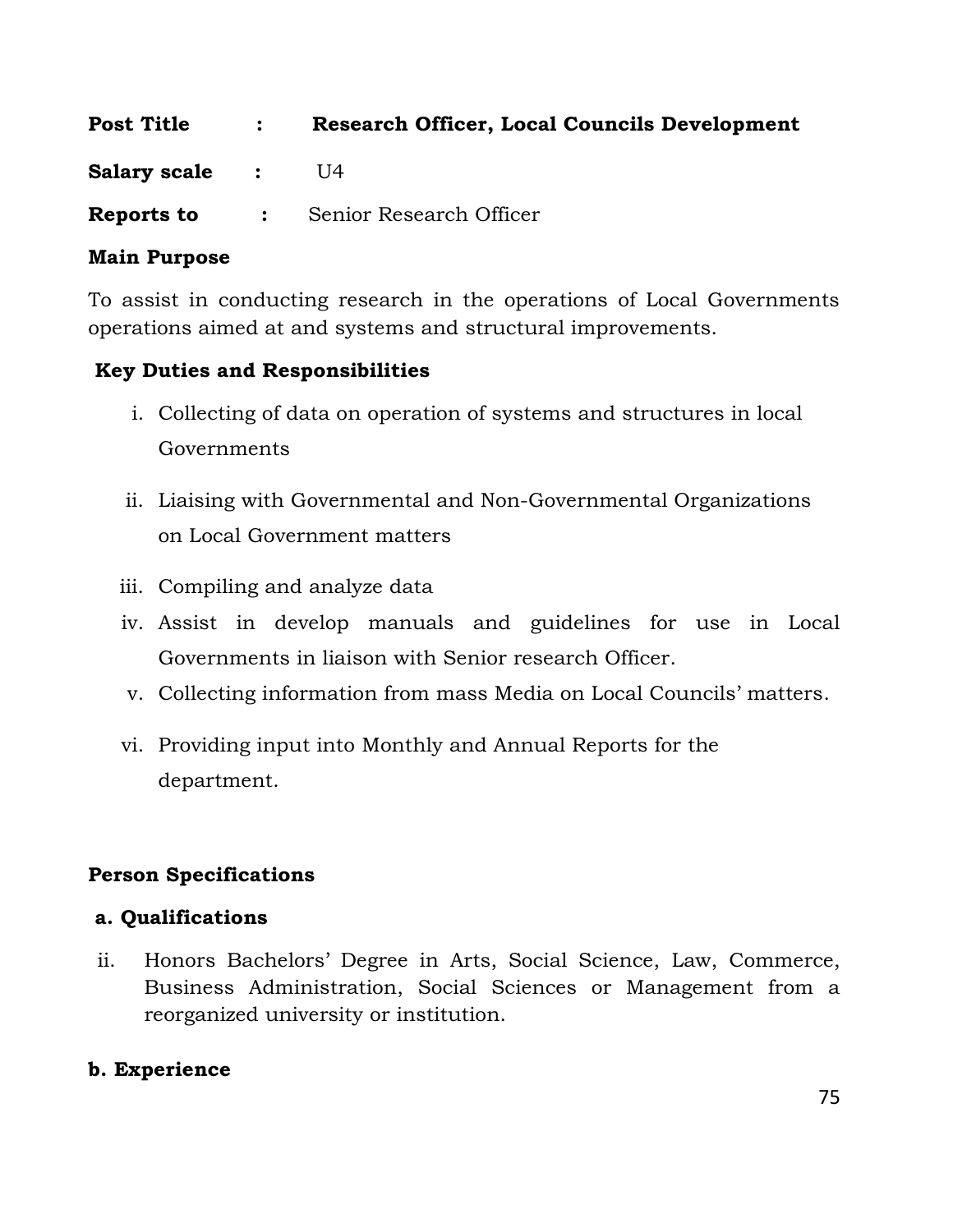| <b>Post Title</b>       | $\mathbb{R}^n$ . The set of $\mathbb{R}^n$ | <b>Research Officer, Local Councils Development</b> |
|-------------------------|--------------------------------------------|-----------------------------------------------------|
| <b>Salary scale : :</b> |                                            | 114                                                 |
| Reports to              |                                            | : Senior Research Officer                           |

## **Main Purpose**

To assist in conducting research in the operations of Local Governments operations aimed at and systems and structural improvements.

## **Key Duties and Responsibilities**

- i. Collecting of data on operation of systems and structures in local Governments
- ii. Liaising with Governmental and Non-Governmental Organizations on Local Government matters
- iii. Compiling and analyze data
- iv. Assist in develop manuals and guidelines for use in Local Governments in liaison with Senior research Officer.
- v. Collecting information from mass Media on Local Councils' matters.
- vi. Providing input into Monthly and Annual Reports for the department.

## **Person Specifications**

#### **a. Qualifications**

ii. Honors Bachelors' Degree in Arts, Social Science, Law, Commerce, Business Administration, Social Sciences or Management from a reorganized university or institution.

## **b. Experience**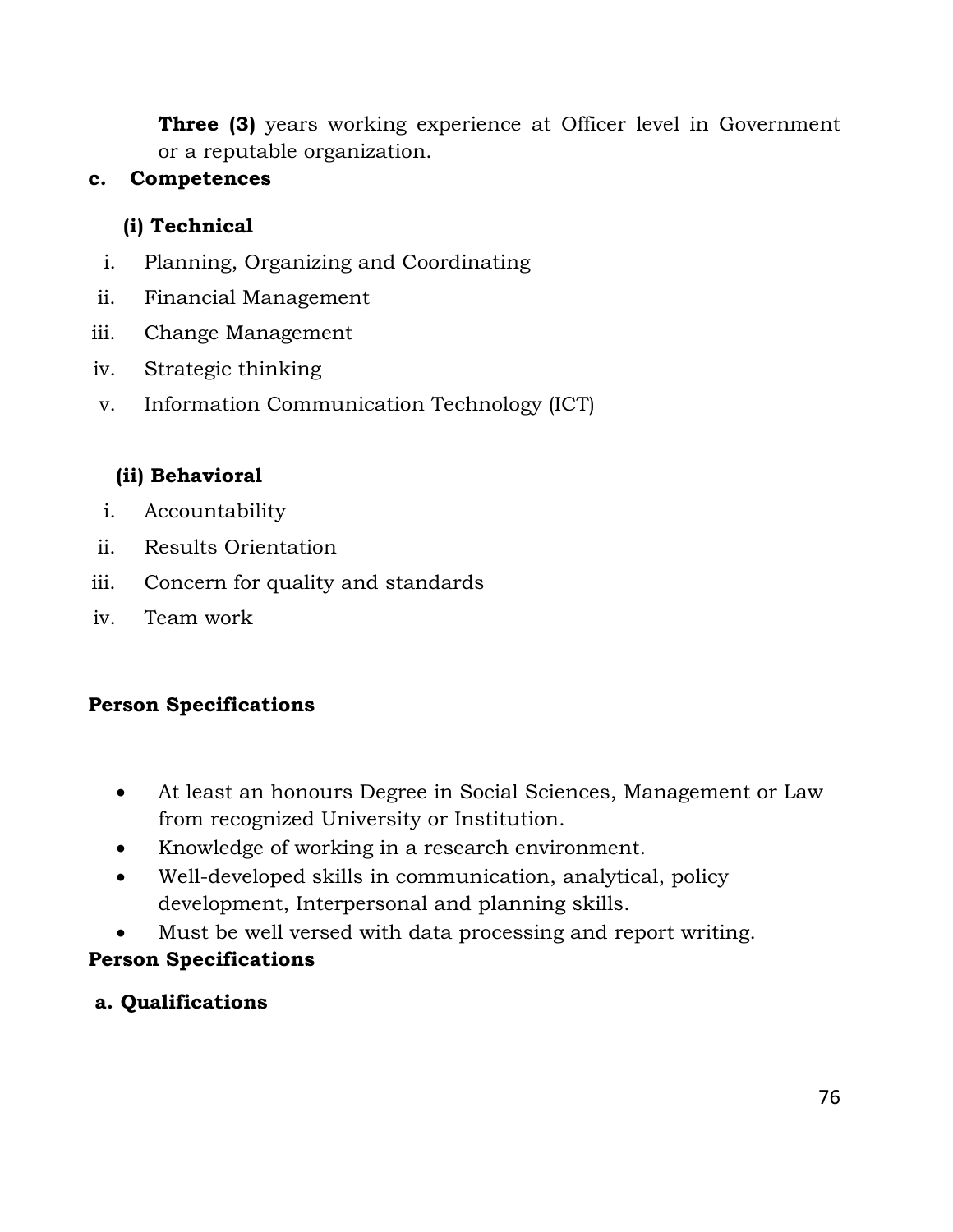**Three (3)** years working experience at Officer level in Government or a reputable organization.

**c. Competences**

## **(i) Technical**

- i. Planning, Organizing and Coordinating
- ii. Financial Management
- iii. Change Management
- iv. Strategic thinking
- v. Information Communication Technology (ICT)

# **(ii) Behavioral**

- i. Accountability
- ii. Results Orientation
- iii. Concern for quality and standards
- iv. Team work

# **Person Specifications**

- At least an honours Degree in Social Sciences, Management or Law from recognized University or Institution.
- Knowledge of working in a research environment.
- Well-developed skills in communication, analytical, policy development, Interpersonal and planning skills.
- Must be well versed with data processing and report writing.

# **Person Specifications**

# **a. Qualifications**